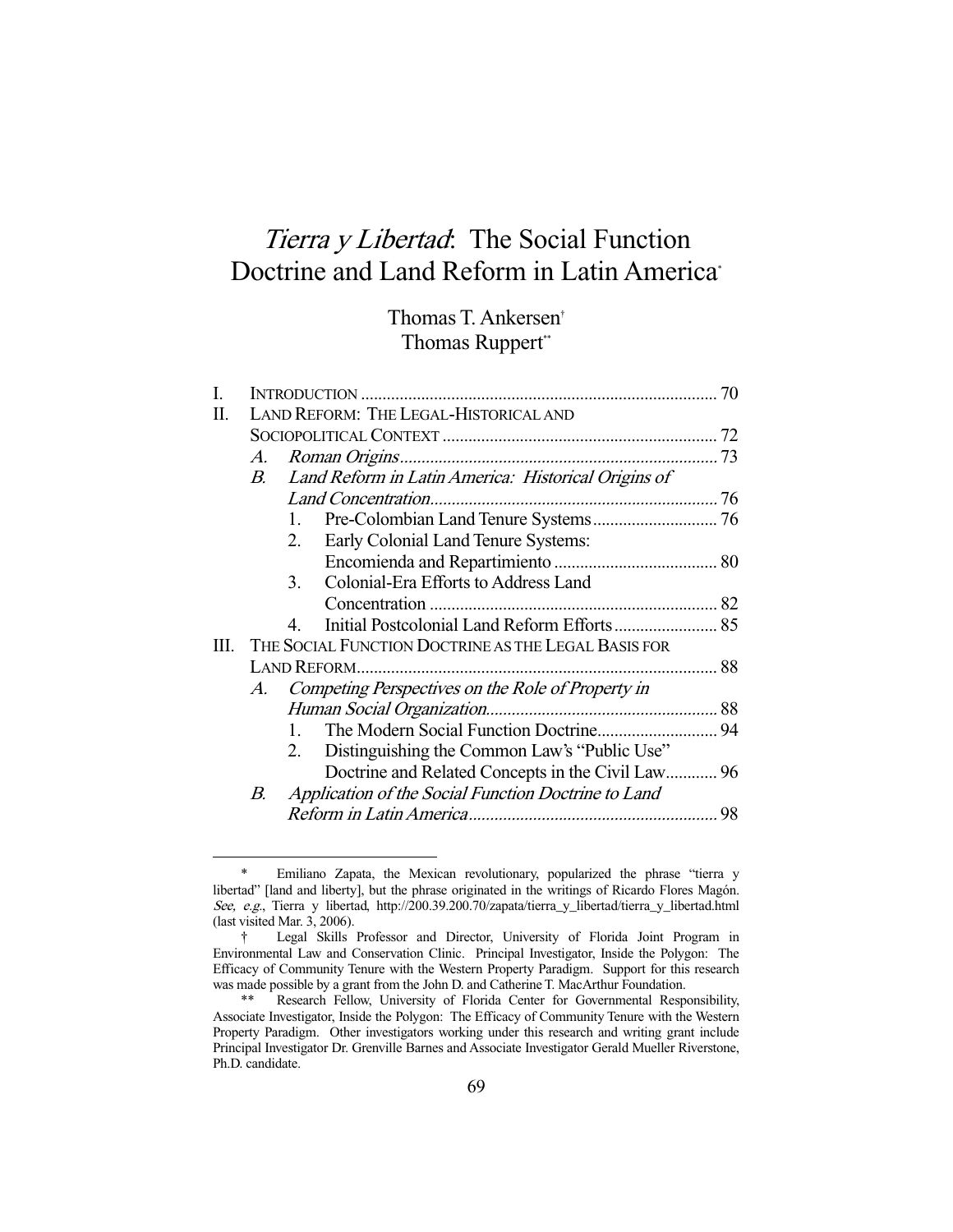# Tierra y Libertad: The Social Function Doctrine and Land Reform in Latin America\*

Thomas T. Ankersen† Thomas Ruppert\*\*

| I. |                                       |                                                        |  |  |
|----|---------------------------------------|--------------------------------------------------------|--|--|
| Π. | LAND REFORM: THE LEGAL-HISTORICAL AND |                                                        |  |  |
|    |                                       |                                                        |  |  |
|    | A.                                    |                                                        |  |  |
|    |                                       | B. Land Reform in Latin America: Historical Origins of |  |  |
|    |                                       |                                                        |  |  |
|    |                                       | 1.                                                     |  |  |
|    |                                       | Early Colonial Land Tenure Systems:<br>2.              |  |  |
|    |                                       |                                                        |  |  |
|    |                                       | Colonial-Era Efforts to Address Land<br>3.             |  |  |
|    |                                       |                                                        |  |  |
|    |                                       | 4                                                      |  |  |
| Ш. |                                       | THE SOCIAL FUNCTION DOCTRINE AS THE LEGAL BASIS FOR    |  |  |
|    |                                       |                                                        |  |  |
|    | A.                                    | Competing Perspectives on the Role of Property in      |  |  |
|    |                                       |                                                        |  |  |
|    |                                       | $\mathbf{1}$                                           |  |  |
|    |                                       | Distinguishing the Common Law's "Public Use"<br>2.     |  |  |
|    |                                       | Doctrine and Related Concepts in the Civil Law 96      |  |  |
|    | В.                                    | Application of the Social Function Doctrine to Land    |  |  |
|    |                                       |                                                        |  |  |
|    |                                       |                                                        |  |  |

 <sup>\*</sup> Emiliano Zapata, the Mexican revolutionary, popularized the phrase "tierra y libertad" [land and liberty], but the phrase originated in the writings of Ricardo Flores Magón. See, e.g., Tierra y libertad, http://200.39.200.70/zapata/tierra\_y\_libertad/tierra\_y\_libertad.html (last visited Mar. 3, 2006).

 <sup>†</sup> Legal Skills Professor and Director, University of Florida Joint Program in Environmental Law and Conservation Clinic. Principal Investigator, Inside the Polygon: The Efficacy of Community Tenure with the Western Property Paradigm. Support for this research was made possible by a grant from the John D. and Catherine T. MacArthur Foundation.<br> **Example 18** Research, Fellow, University of Florida Center, for Governmental Resp.

Research Fellow, University of Florida Center for Governmental Responsibility, Associate Investigator, Inside the Polygon: The Efficacy of Community Tenure with the Western Property Paradigm. Other investigators working under this research and writing grant include Principal Investigator Dr. Grenville Barnes and Associate Investigator Gerald Mueller Riverstone, Ph.D. candidate.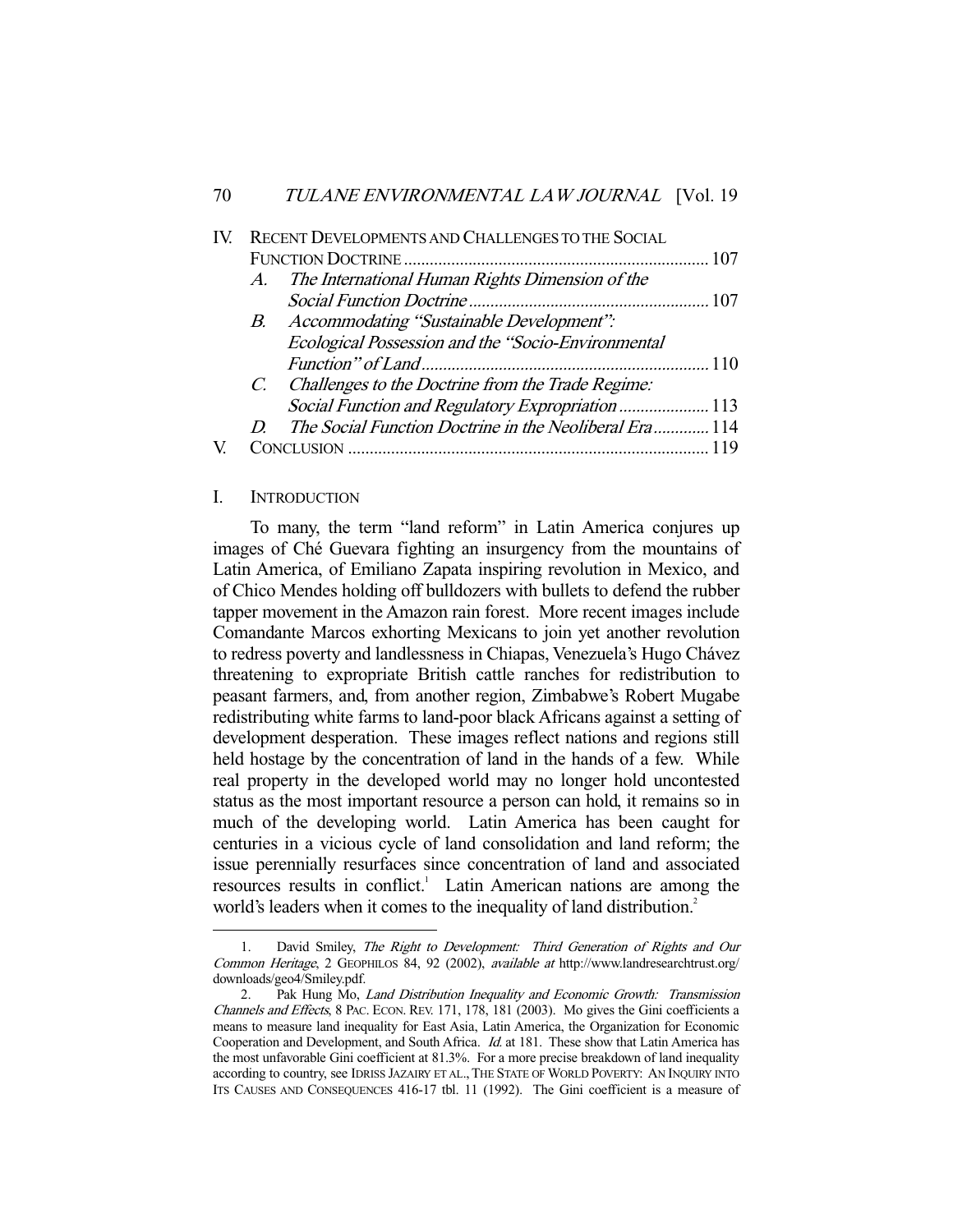|   | RECENT DEVELOPMENTS AND CHALLENGES TO THE SOCIAL       |  |
|---|--------------------------------------------------------|--|
|   |                                                        |  |
|   | A. The International Human Rights Dimension of the     |  |
|   |                                                        |  |
|   | B. Accommodating "Sustainable Development":            |  |
|   | Ecological Possession and the "Socio-Environmental     |  |
|   |                                                        |  |
|   | C. Challenges to the Doctrine from the Trade Regime:   |  |
|   | Social Function and Regulatory Expropriation  113      |  |
| D | The Social Function Doctrine in the Neoliberal Era 114 |  |
|   |                                                        |  |
|   |                                                        |  |

### I. INTRODUCTION

-

 To many, the term "land reform" in Latin America conjures up images of Ché Guevara fighting an insurgency from the mountains of Latin America, of Emiliano Zapata inspiring revolution in Mexico, and of Chico Mendes holding off bulldozers with bullets to defend the rubber tapper movement in the Amazon rain forest. More recent images include Comandante Marcos exhorting Mexicans to join yet another revolution to redress poverty and landlessness in Chiapas, Venezuela's Hugo Chávez threatening to expropriate British cattle ranches for redistribution to peasant farmers, and, from another region, Zimbabwe's Robert Mugabe redistributing white farms to land-poor black Africans against a setting of development desperation. These images reflect nations and regions still held hostage by the concentration of land in the hands of a few. While real property in the developed world may no longer hold uncontested status as the most important resource a person can hold, it remains so in much of the developing world. Latin America has been caught for centuries in a vicious cycle of land consolidation and land reform; the issue perennially resurfaces since concentration of land and associated resources results in conflict.<sup>1</sup> Latin American nations are among the world's leaders when it comes to the inequality of land distribution.<sup>2</sup>

<sup>1.</sup> David Smiley, The Right to Development: Third Generation of Rights and Our Common Heritage, 2 GEOPHILOS 84, 92 (2002), available at http://www.landresearchtrust.org/ downloads/geo4/Smiley.pdf.

 <sup>2.</sup> Pak Hung Mo, Land Distribution Inequality and Economic Growth: Transmission Channels and Effects, 8 PAC. ECON. REV. 171, 178, 181 (2003). Mo gives the Gini coefficients a means to measure land inequality for East Asia, Latin America, the Organization for Economic Cooperation and Development, and South Africa. Id. at 181. These show that Latin America has the most unfavorable Gini coefficient at 81.3%. For a more precise breakdown of land inequality according to country, see IDRISS JAZAIRY ET AL.,THE STATE OF WORLD POVERTY: AN INQUIRY INTO ITS CAUSES AND CONSEQUENCES 416-17 tbl. 11 (1992). The Gini coefficient is a measure of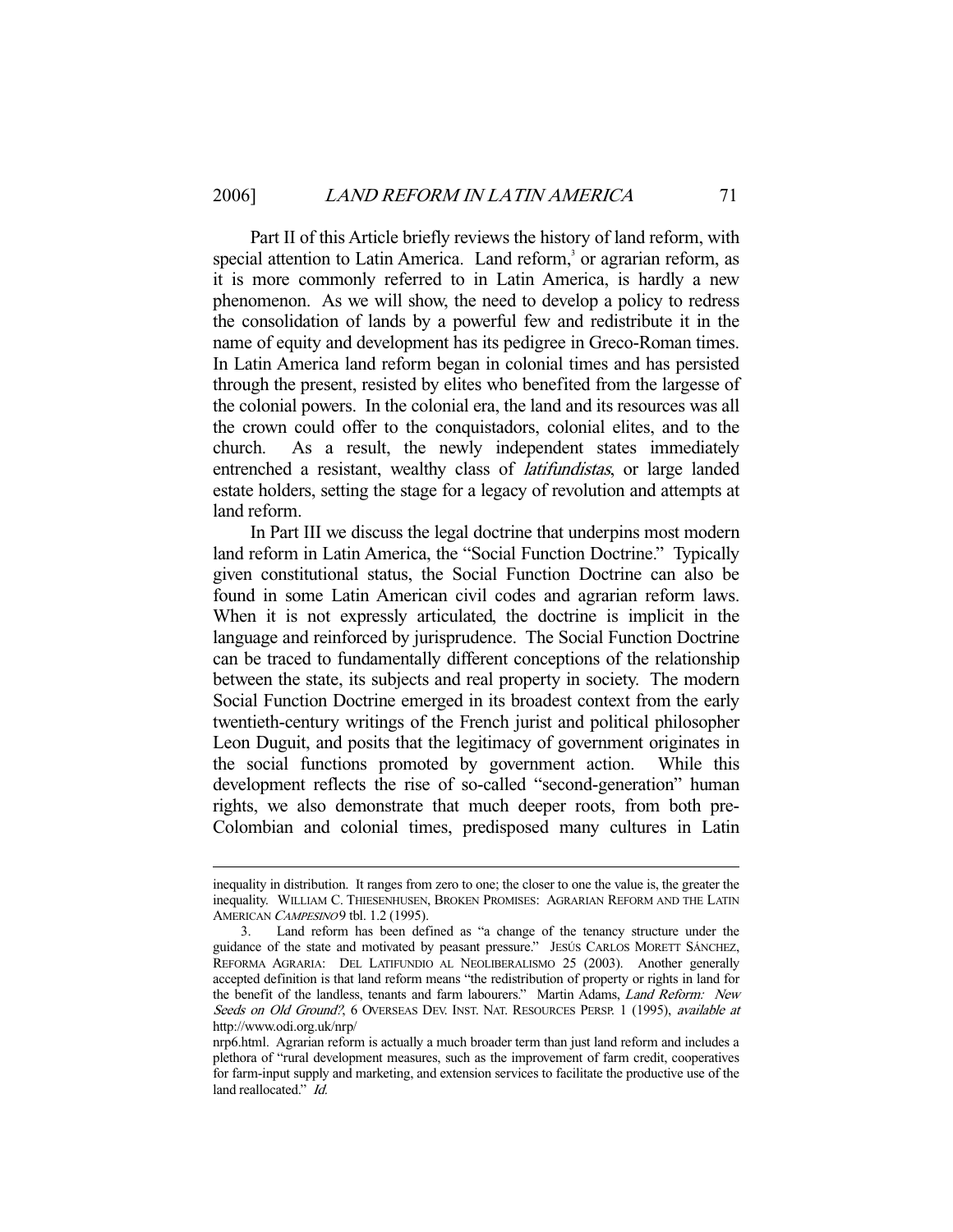Part II of this Article briefly reviews the history of land reform, with special attention to Latin America. Land reform,<sup>3</sup> or agrarian reform, as it is more commonly referred to in Latin America, is hardly a new phenomenon. As we will show, the need to develop a policy to redress the consolidation of lands by a powerful few and redistribute it in the name of equity and development has its pedigree in Greco-Roman times. In Latin America land reform began in colonial times and has persisted through the present, resisted by elites who benefited from the largesse of the colonial powers. In the colonial era, the land and its resources was all the crown could offer to the conquistadors, colonial elites, and to the church. As a result, the newly independent states immediately entrenched a resistant, wealthy class of latifundistas, or large landed estate holders, setting the stage for a legacy of revolution and attempts at land reform.

 In Part III we discuss the legal doctrine that underpins most modern land reform in Latin America, the "Social Function Doctrine." Typically given constitutional status, the Social Function Doctrine can also be found in some Latin American civil codes and agrarian reform laws. When it is not expressly articulated, the doctrine is implicit in the language and reinforced by jurisprudence. The Social Function Doctrine can be traced to fundamentally different conceptions of the relationship between the state, its subjects and real property in society. The modern Social Function Doctrine emerged in its broadest context from the early twentieth-century writings of the French jurist and political philosopher Leon Duguit, and posits that the legitimacy of government originates in the social functions promoted by government action. While this development reflects the rise of so-called "second-generation" human rights, we also demonstrate that much deeper roots, from both pre-Colombian and colonial times, predisposed many cultures in Latin

inequality in distribution. It ranges from zero to one; the closer to one the value is, the greater the inequality. WILLIAM C. THIESENHUSEN, BROKEN PROMISES: AGRARIAN REFORM AND THE LATIN AMERICAN CAMPESINO 9 tbl. 1.2 (1995).

 <sup>3.</sup> Land reform has been defined as "a change of the tenancy structure under the guidance of the state and motivated by peasant pressure." JESÚS CARLOS MORETT SÁNCHEZ, REFORMA AGRARIA: DEL LATIFUNDIO AL NEOLIBERALISMO 25 (2003). Another generally accepted definition is that land reform means "the redistribution of property or rights in land for the benefit of the landless, tenants and farm labourers." Martin Adams, Land Reform: New Seeds on Old Ground?, 6 OVERSEAS DEV. INST. NAT. RESOURCES PERSP. 1 (1995), available at http://www.odi.org.uk/nrp/

nrp6.html. Agrarian reform is actually a much broader term than just land reform and includes a plethora of "rural development measures, such as the improvement of farm credit, cooperatives for farm-input supply and marketing, and extension services to facilitate the productive use of the land reallocated." *Id.*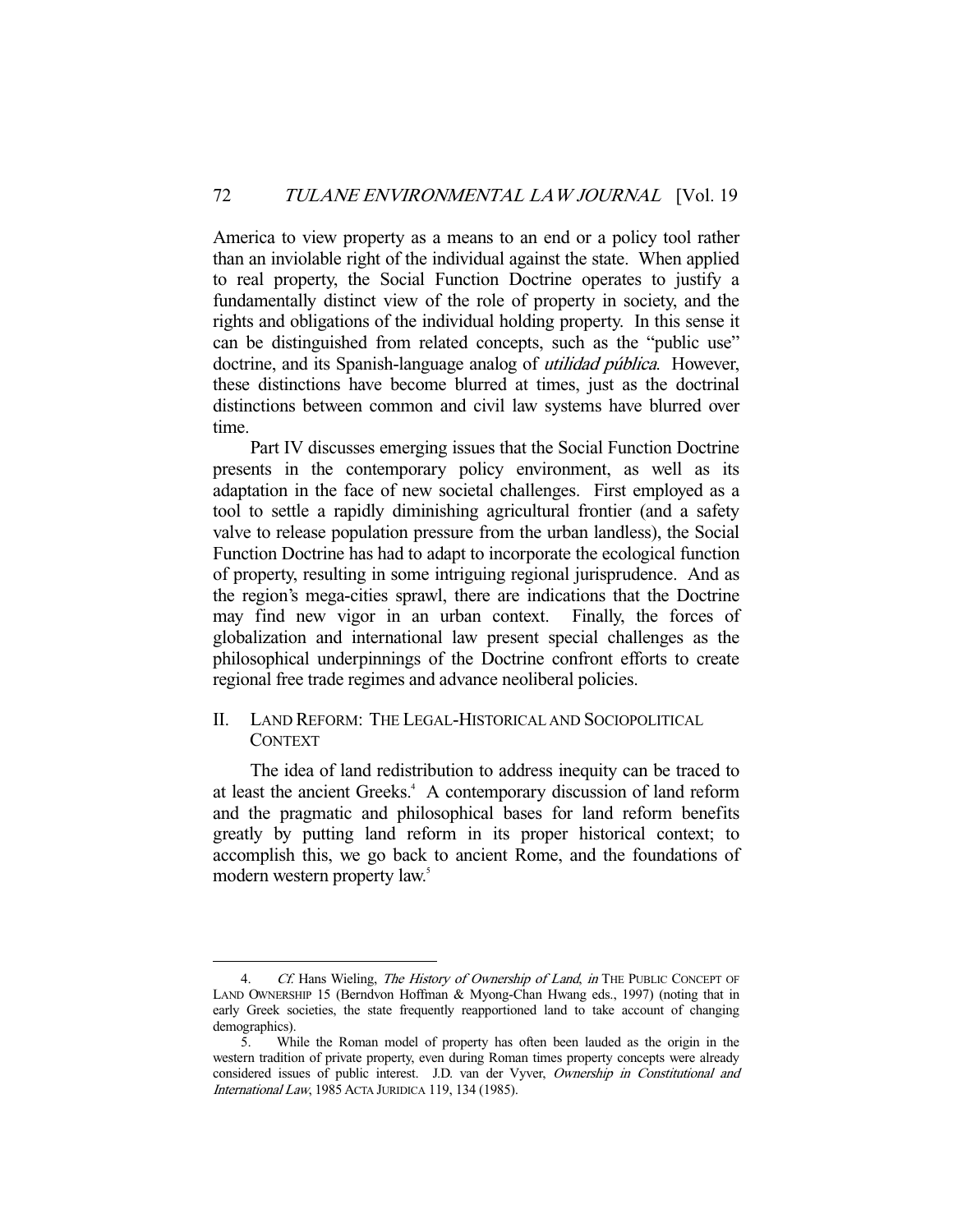America to view property as a means to an end or a policy tool rather than an inviolable right of the individual against the state. When applied to real property, the Social Function Doctrine operates to justify a fundamentally distinct view of the role of property in society, and the rights and obligations of the individual holding property. In this sense it can be distinguished from related concepts, such as the "public use" doctrine, and its Spanish-language analog of *utilidad pública*. However, these distinctions have become blurred at times, just as the doctrinal distinctions between common and civil law systems have blurred over time.

 Part IV discusses emerging issues that the Social Function Doctrine presents in the contemporary policy environment, as well as its adaptation in the face of new societal challenges. First employed as a tool to settle a rapidly diminishing agricultural frontier (and a safety valve to release population pressure from the urban landless), the Social Function Doctrine has had to adapt to incorporate the ecological function of property, resulting in some intriguing regional jurisprudence. And as the region's mega-cities sprawl, there are indications that the Doctrine may find new vigor in an urban context. Finally, the forces of globalization and international law present special challenges as the philosophical underpinnings of the Doctrine confront efforts to create regional free trade regimes and advance neoliberal policies.

## II. LAND REFORM: THE LEGAL-HISTORICAL AND SOCIOPOLITICAL **CONTEXT**

 The idea of land redistribution to address inequity can be traced to at least the ancient Greeks.<sup>4</sup> A contemporary discussion of land reform and the pragmatic and philosophical bases for land reform benefits greatly by putting land reform in its proper historical context; to accomplish this, we go back to ancient Rome, and the foundations of modern western property law.<sup>5</sup>

<sup>4.</sup> Cf. Hans Wieling, The History of Ownership of Land, in THE PUBLIC CONCEPT OF LAND OWNERSHIP 15 (Berndvon Hoffman & Myong-Chan Hwang eds., 1997) (noting that in early Greek societies, the state frequently reapportioned land to take account of changing demographics).

 <sup>5.</sup> While the Roman model of property has often been lauded as the origin in the western tradition of private property, even during Roman times property concepts were already considered issues of public interest. J.D. van der Vyver, Ownership in Constitutional and International Law, 1985 ACTA JURIDICA 119, 134 (1985).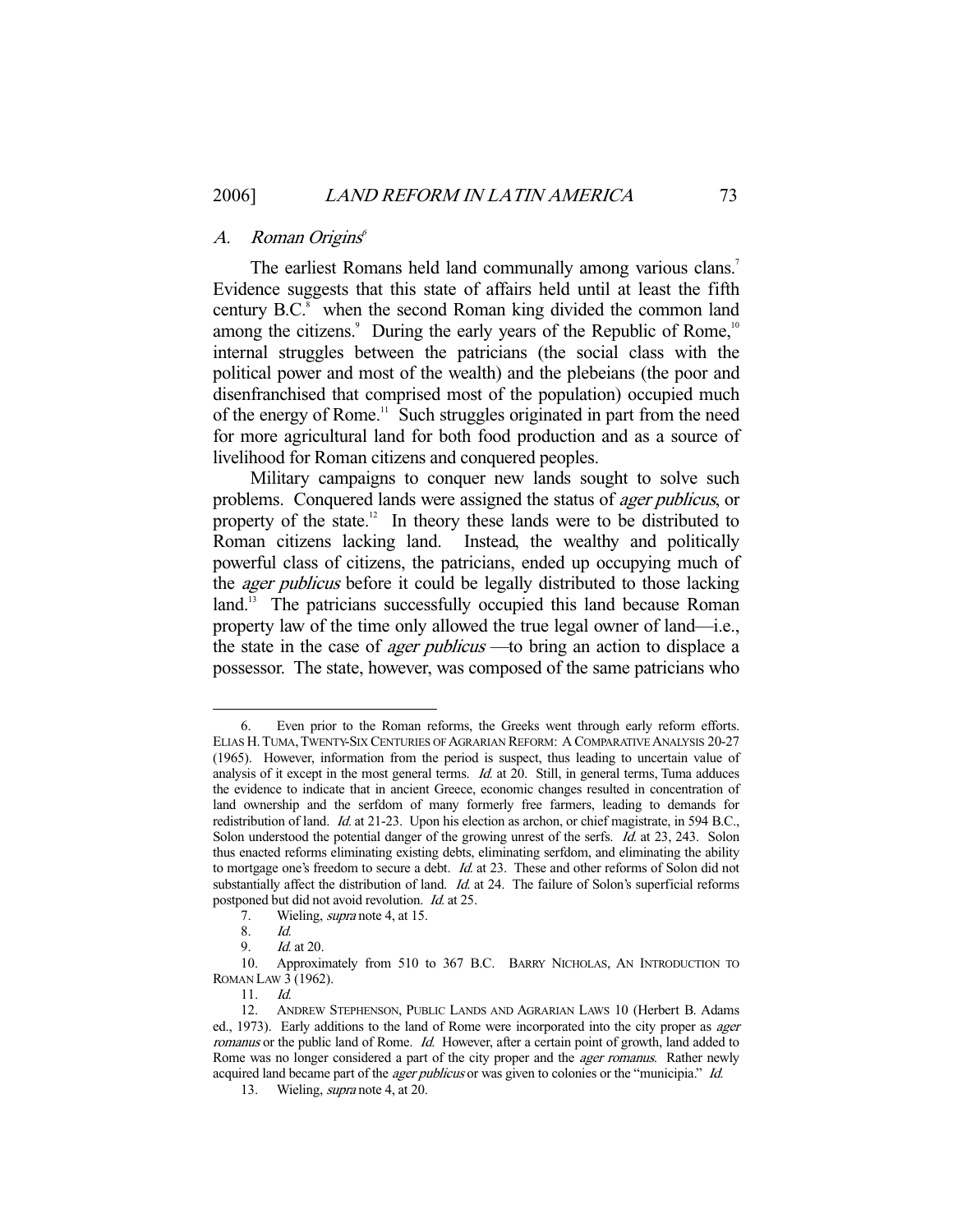## A. Roman Origins®

The earliest Romans held land communally among various clans.<sup>7</sup> Evidence suggests that this state of affairs held until at least the fifth century B.C.<sup>8</sup> when the second Roman king divided the common land among the citizens.<sup>9</sup> During the early years of the Republic of Rome,<sup>10</sup> internal struggles between the patricians (the social class with the political power and most of the wealth) and the plebeians (the poor and disenfranchised that comprised most of the population) occupied much of the energy of Rome.<sup>11</sup> Such struggles originated in part from the need for more agricultural land for both food production and as a source of livelihood for Roman citizens and conquered peoples.

 Military campaigns to conquer new lands sought to solve such problems. Conquered lands were assigned the status of ager publicus, or property of the state.<sup>12</sup> In theory these lands were to be distributed to Roman citizens lacking land. Instead, the wealthy and politically powerful class of citizens, the patricians, ended up occupying much of the *ager publicus* before it could be legally distributed to those lacking land.<sup>13</sup> The patricians successfully occupied this land because Roman property law of the time only allowed the true legal owner of land—i.e., the state in the case of *ager publicus* —to bring an action to displace a possessor. The state, however, was composed of the same patricians who

 <sup>6.</sup> Even prior to the Roman reforms, the Greeks went through early reform efforts. ELIAS H.TUMA,TWENTY-SIX CENTURIES OF AGRARIAN REFORM: A COMPARATIVE ANALYSIS 20-27 (1965). However, information from the period is suspect, thus leading to uncertain value of analysis of it except in the most general terms. Id. at 20. Still, in general terms, Tuma adduces the evidence to indicate that in ancient Greece, economic changes resulted in concentration of land ownership and the serfdom of many formerly free farmers, leading to demands for redistribution of land. *Id.* at 21-23. Upon his election as archon, or chief magistrate, in 594 B.C., Solon understood the potential danger of the growing unrest of the serfs. *Id.* at 23, 243. Solon thus enacted reforms eliminating existing debts, eliminating serfdom, and eliminating the ability to mortgage one's freedom to secure a debt. Id. at 23. These and other reforms of Solon did not substantially affect the distribution of land. *Id.* at 24. The failure of Solon's superficial reforms postponed but did not avoid revolution. *Id.* at 25.<br>7. Wieling, *supra* note 4, at 15.

Wieling, *supra* note 4, at 15.

<sup>8.</sup> *Id.*<br>9. *Id.* 

Id. at 20.

 <sup>10.</sup> Approximately from 510 to 367 B.C. BARRY NICHOLAS, AN INTRODUCTION TO ROMAN LAW 3 (1962).

 <sup>11.</sup> Id.

 <sup>12.</sup> ANDREW STEPHENSON, PUBLIC LANDS AND AGRARIAN LAWS 10 (Herbert B. Adams ed., 1973). Early additions to the land of Rome were incorporated into the city proper as *ager* romanus or the public land of Rome. Id. However, after a certain point of growth, land added to Rome was no longer considered a part of the city proper and the *ager romanus*. Rather newly acquired land became part of the *ager publicus* or was given to colonies or the "municipia." Id.

 <sup>13.</sup> Wieling, supra note 4, at 20.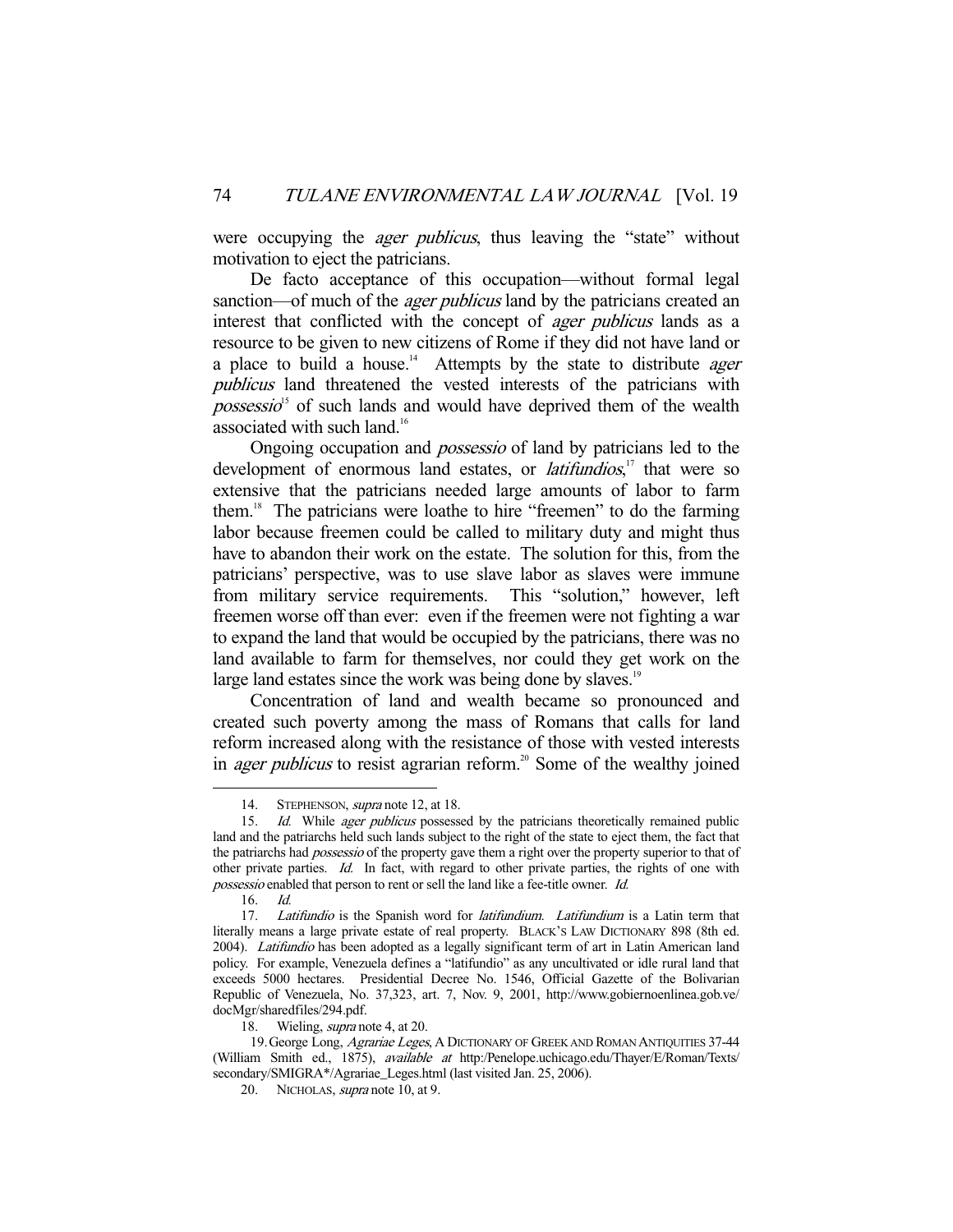were occupying the *ager publicus*, thus leaving the "state" without motivation to eject the patricians.

 De facto acceptance of this occupation—without formal legal sanction—of much of the *ager publicus* land by the patricians created an interest that conflicted with the concept of ager publicus lands as a resource to be given to new citizens of Rome if they did not have land or a place to build a house.<sup>14</sup> Attempts by the state to distribute *ager* publicus land threatened the vested interests of the patricians with  $possessio<sup>15</sup>$  of such lands and would have deprived them of the wealth associated with such land.<sup>16</sup>

 Ongoing occupation and possessio of land by patricians led to the development of enormous land estates, or *latifundios*,<sup>17</sup> that were so extensive that the patricians needed large amounts of labor to farm them.18 The patricians were loathe to hire "freemen" to do the farming labor because freemen could be called to military duty and might thus have to abandon their work on the estate. The solution for this, from the patricians' perspective, was to use slave labor as slaves were immune from military service requirements. This "solution," however, left freemen worse off than ever: even if the freemen were not fighting a war to expand the land that would be occupied by the patricians, there was no land available to farm for themselves, nor could they get work on the large land estates since the work was being done by slaves.<sup>19</sup>

 Concentration of land and wealth became so pronounced and created such poverty among the mass of Romans that calls for land reform increased along with the resistance of those with vested interests in *ager publicus* to resist agrarian reform.<sup>20</sup> Some of the wealthy joined

<sup>14.</sup> STEPHENSON, *supra* note 12, at 18.

<sup>15.</sup> Id. While ager publicus possessed by the patricians theoretically remained public land and the patriarchs held such lands subject to the right of the state to eject them, the fact that the patriarchs had *possessio* of the property gave them a right over the property superior to that of other private parties. Id. In fact, with regard to other private parties, the rights of one with possessio enabled that person to rent or sell the land like a fee-title owner. Id.

 <sup>16.</sup> Id.

<sup>17.</sup> Latifundio is the Spanish word for *latifundium. Latifundium* is a Latin term that literally means a large private estate of real property. BLACK'S LAW DICTIONARY 898 (8th ed. 2004). Latifundio has been adopted as a legally significant term of art in Latin American land policy. For example, Venezuela defines a "latifundio" as any uncultivated or idle rural land that exceeds 5000 hectares. Presidential Decree No. 1546, Official Gazette of the Bolivarian Republic of Venezuela, No. 37,323, art. 7, Nov. 9, 2001, http://www.gobiernoenlinea.gob.ve/ docMgr/sharedfiles/294.pdf.

<sup>18.</sup> Wieling, *supra* note 4, at 20.

 <sup>19.</sup> George Long, Agrariae Leges, A DICTIONARY OF GREEK AND ROMAN ANTIQUITIES 37-44 (William Smith ed., 1875), available at http:/Penelope.uchicago.edu/Thayer/E/Roman/Texts/ secondary/SMIGRA\*/Agrariae\_Leges.html (last visited Jan. 25, 2006).

<sup>20.</sup> NICHOLAS, *supra* note 10, at 9.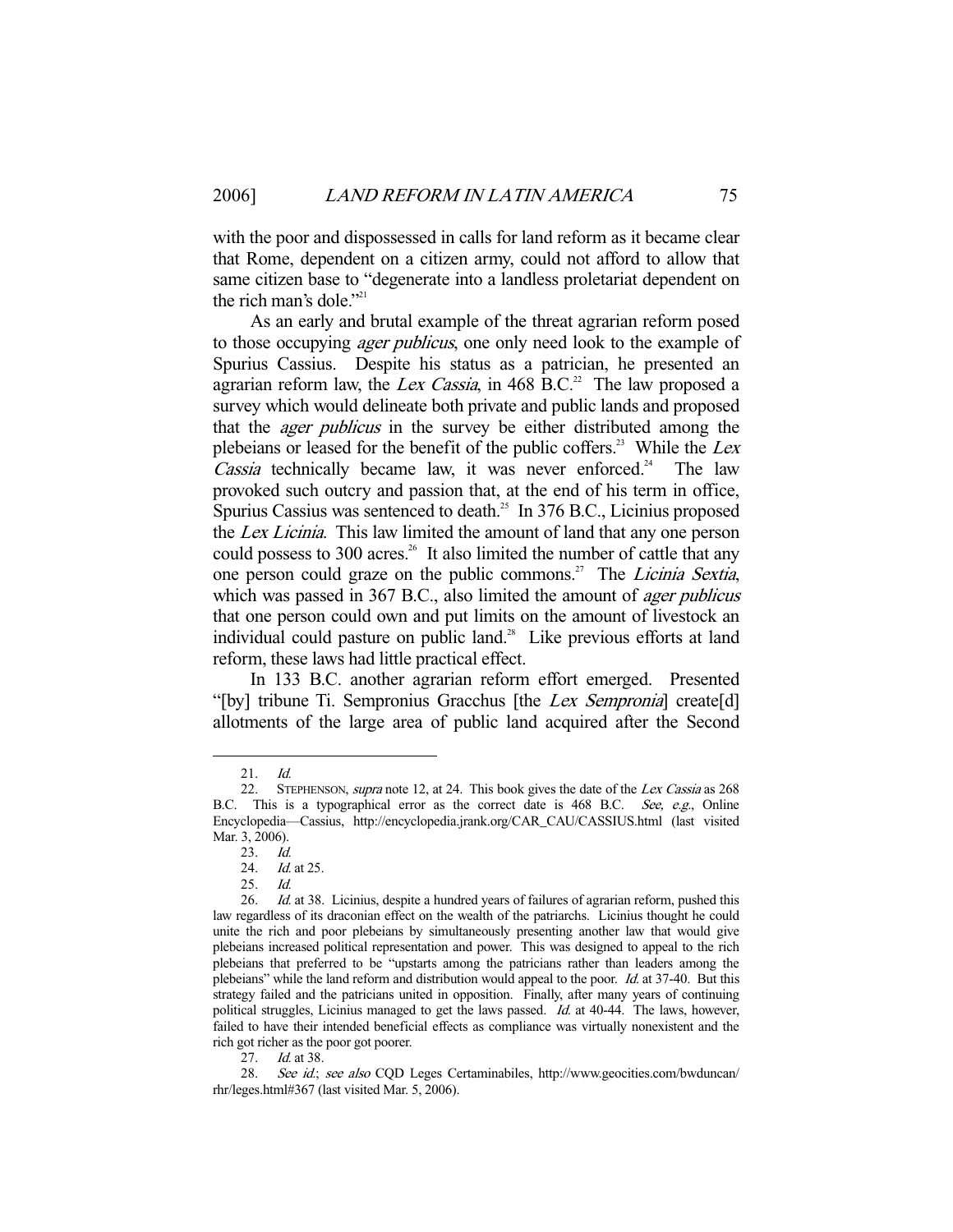with the poor and dispossessed in calls for land reform as it became clear that Rome, dependent on a citizen army, could not afford to allow that same citizen base to "degenerate into a landless proletariat dependent on the rich man's dole." $2^{21}$ 

 As an early and brutal example of the threat agrarian reform posed to those occupying ager publicus, one only need look to the example of Spurius Cassius. Despite his status as a patrician, he presented an agrarian reform law, the Lex Cassia, in 468 B.C.<sup>22</sup> The law proposed a survey which would delineate both private and public lands and proposed that the *ager publicus* in the survey be either distributed among the plebeians or leased for the benefit of the public coffers.<sup>23</sup> While the Lex Cassia technically became law, it was never enforced.<sup>24</sup> The law provoked such outcry and passion that, at the end of his term in office, Spurius Cassius was sentenced to death.<sup>25</sup> In  $376$  B.C., Licinius proposed the Lex Licinia. This law limited the amount of land that any one person could possess to 300 acres.<sup>26</sup> It also limited the number of cattle that any one person could graze on the public commons.<sup>27</sup> The *Licinia Sextia*, which was passed in 367 B.C., also limited the amount of *ager publicus* that one person could own and put limits on the amount of livestock an individual could pasture on public land.<sup>28</sup> Like previous efforts at land reform, these laws had little practical effect.

 In 133 B.C. another agrarian reform effort emerged. Presented "[by] tribune Ti. Sempronius Gracchus [the Lex Sempronia] create[d] allotments of the large area of public land acquired after the Second

-

27. *Id.* at 38.

 28. See id.; see also CQD Leges Certaminabiles, http://www.geocities.com/bwduncan/ rhr/leges.html#367 (last visited Mar. 5, 2006).

 <sup>21.</sup> Id.

<sup>22.</sup> STEPHENSON, *supra* note 12, at 24. This book gives the date of the Lex Cassia as 268 B.C. This is a typographical error as the correct date is 468 B.C. See, e.g., Online Encyclopedia—Cassius, http://encyclopedia.jrank.org/CAR\_CAU/CASSIUS.html (last visited Mar. 3, 2006).

<sup>23.</sup> *Id.*<br>24. *Id.* 

*Id.* at 25.

 <sup>25.</sup> Id.

<sup>26.</sup> *Id.* at 38. Licinius, despite a hundred years of failures of agrarian reform, pushed this law regardless of its draconian effect on the wealth of the patriarchs. Licinius thought he could unite the rich and poor plebeians by simultaneously presenting another law that would give plebeians increased political representation and power. This was designed to appeal to the rich plebeians that preferred to be "upstarts among the patricians rather than leaders among the plebeians" while the land reform and distribution would appeal to the poor. *Id.* at 37-40. But this strategy failed and the patricians united in opposition. Finally, after many years of continuing political struggles, Licinius managed to get the laws passed. Id. at 40-44. The laws, however, failed to have their intended beneficial effects as compliance was virtually nonexistent and the rich got richer as the poor got poorer.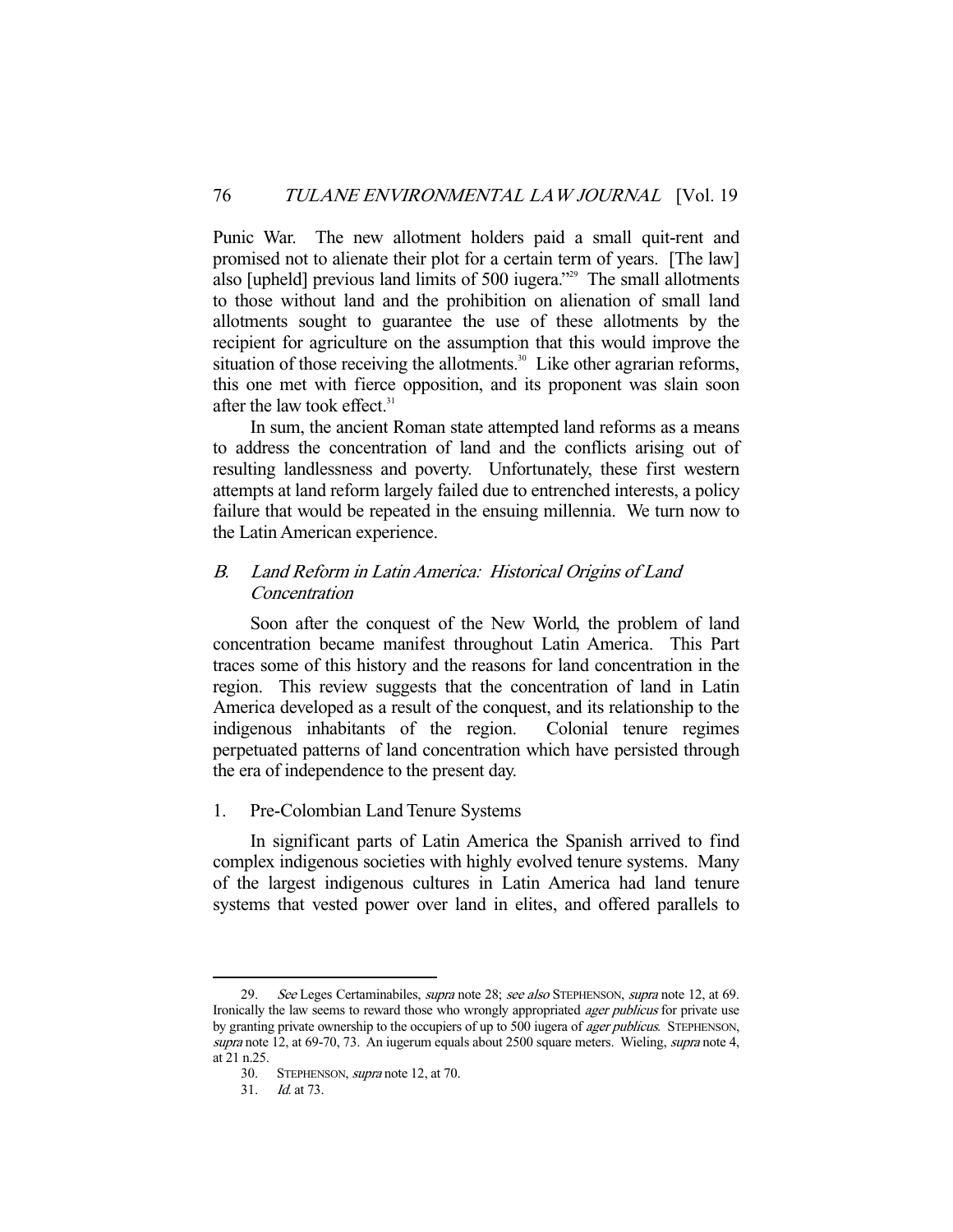Punic War. The new allotment holders paid a small quit-rent and promised not to alienate their plot for a certain term of years. [The law] also [upheld] previous land limits of 500 iugera."29 The small allotments to those without land and the prohibition on alienation of small land allotments sought to guarantee the use of these allotments by the recipient for agriculture on the assumption that this would improve the situation of those receiving the allotments. $30\degree$  Like other agrarian reforms, this one met with fierce opposition, and its proponent was slain soon after the law took effect.<sup>31</sup>

 In sum, the ancient Roman state attempted land reforms as a means to address the concentration of land and the conflicts arising out of resulting landlessness and poverty. Unfortunately, these first western attempts at land reform largely failed due to entrenched interests, a policy failure that would be repeated in the ensuing millennia. We turn now to the Latin American experience.

## B. Land Reform in Latin America: Historical Origins of Land Concentration

 Soon after the conquest of the New World, the problem of land concentration became manifest throughout Latin America. This Part traces some of this history and the reasons for land concentration in the region. This review suggests that the concentration of land in Latin America developed as a result of the conquest, and its relationship to the indigenous inhabitants of the region. Colonial tenure regimes perpetuated patterns of land concentration which have persisted through the era of independence to the present day.

#### 1. Pre-Colombian Land Tenure Systems

 In significant parts of Latin America the Spanish arrived to find complex indigenous societies with highly evolved tenure systems. Many of the largest indigenous cultures in Latin America had land tenure systems that vested power over land in elites, and offered parallels to

<sup>29.</sup> See Leges Certaminabiles, *supra* note 28; see also STEPHENSON, *supra* note 12, at 69. Ironically the law seems to reward those who wrongly appropriated *ager publicus* for private use by granting private ownership to the occupiers of up to 500 iugera of *ager publicus*. STEPHENSON, supra note 12, at 69-70, 73. An iugerum equals about 2500 square meters. Wieling, supra note 4, at 21 n.25.

 <sup>30.</sup> STEPHENSON, supra note 12, at 70.

 <sup>31.</sup> Id. at 73.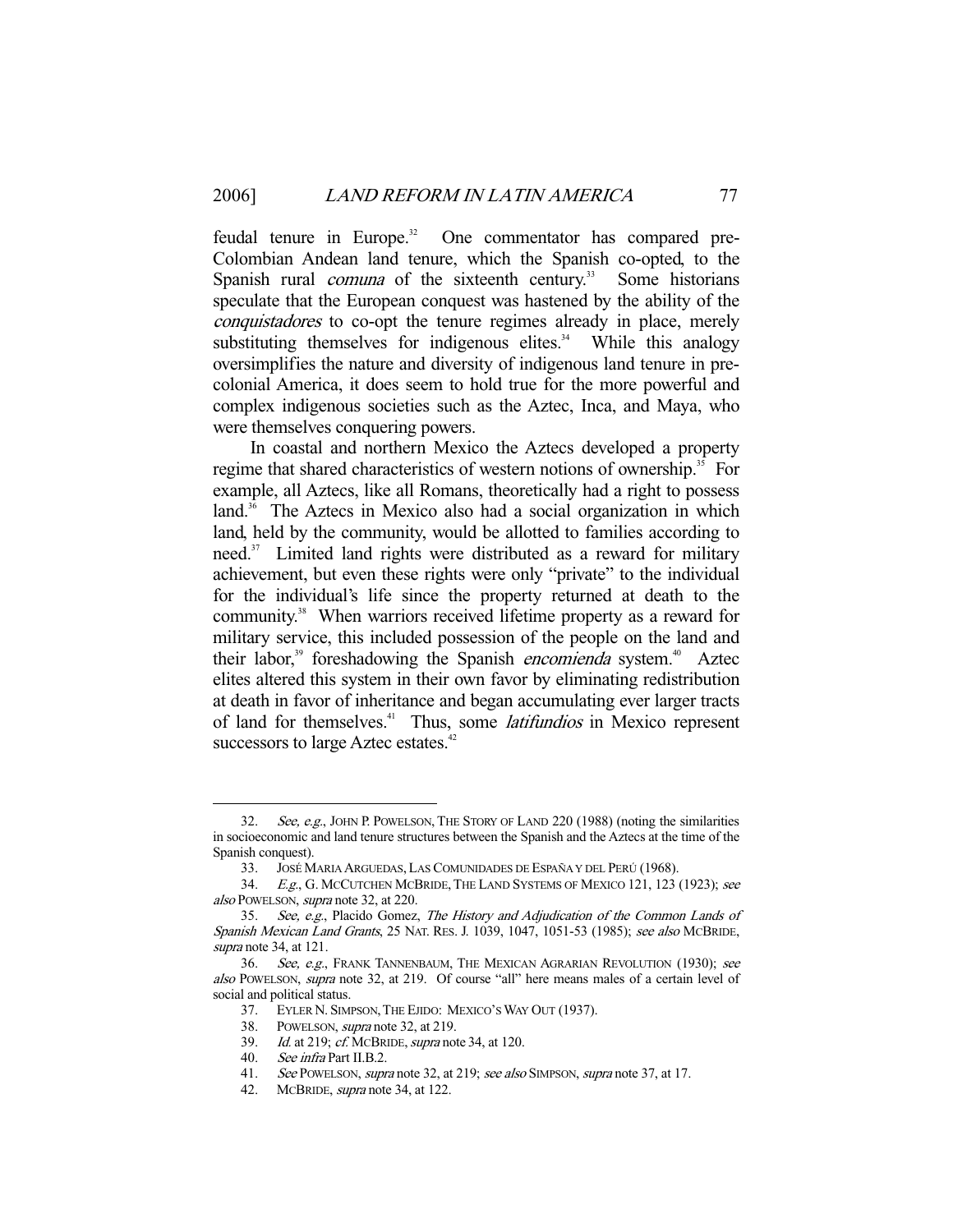feudal tenure in Europe.<sup>32</sup> One commentator has compared pre-Colombian Andean land tenure, which the Spanish co-opted, to the Spanish rural *comuna* of the sixteenth century.<sup>33</sup> Some historians speculate that the European conquest was hastened by the ability of the conquistadores to co-opt the tenure regimes already in place, merely substituting themselves for indigenous elites. $34$  While this analogy oversimplifies the nature and diversity of indigenous land tenure in precolonial America, it does seem to hold true for the more powerful and complex indigenous societies such as the Aztec, Inca, and Maya, who were themselves conquering powers.

 In coastal and northern Mexico the Aztecs developed a property regime that shared characteristics of western notions of ownership.<sup>35</sup> For example, all Aztecs, like all Romans, theoretically had a right to possess land.<sup>36</sup> The Aztecs in Mexico also had a social organization in which land, held by the community, would be allotted to families according to need.<sup>37</sup> Limited land rights were distributed as a reward for military achievement, but even these rights were only "private" to the individual for the individual's life since the property returned at death to the community.<sup>38</sup> When warriors received lifetime property as a reward for military service, this included possession of the people on the land and their labor,<sup>39</sup> foreshadowing the Spanish *encomienda* system.<sup>40</sup> Aztec elites altered this system in their own favor by eliminating redistribution at death in favor of inheritance and began accumulating ever larger tracts of land for themselves.<sup>41</sup> Thus, some *latifundios* in Mexico represent successors to large Aztec estates.<sup>42</sup>

<sup>32.</sup> See, e.g., JOHN P. POWELSON, THE STORY OF LAND 220 (1988) (noting the similarities in socioeconomic and land tenure structures between the Spanish and the Aztecs at the time of the Spanish conquest).

 <sup>33.</sup> JOSÉ MARIA ARGUEDAS,LAS COMUNIDADES DE ESPAÑA Y DEL PERÚ (1968).

<sup>34.</sup> E.g., G. McCUTCHEN MCBRIDE, THE LAND SYSTEMS OF MEXICO 121, 123 (1923); see also POWELSON, supra note 32, at 220.

<sup>35.</sup> See, e.g., Placido Gomez, The History and Adjudication of the Common Lands of Spanish Mexican Land Grants, 25 NAT. RES. J. 1039, 1047, 1051-53 (1985); see also MCBRIDE, supra note 34, at 121.

<sup>36.</sup> See, e.g., FRANK TANNENBAUM, THE MEXICAN AGRARIAN REVOLUTION (1930); see also POWELSON, supra note 32, at 219. Of course "all" here means males of a certain level of social and political status.

 <sup>37.</sup> EYLER N. SIMPSON,THE EJIDO: MEXICO'S WAY OUT (1937).

<sup>38.</sup> POWELSON, *supra* note 32, at 219.<br>39. *Id.* at 219; *cf.* MCBRIDE, *supra* not

Id. at 219; cf. MCBRIDE, supra note 34, at 120.

 <sup>40.</sup> See infra Part II.B.2.

 <sup>41.</sup> See POWELSON, supra note 32, at 219; see also SIMPSON, supra note 37, at 17.

<sup>42.</sup> MCBRIDE, *supra* note 34, at 122.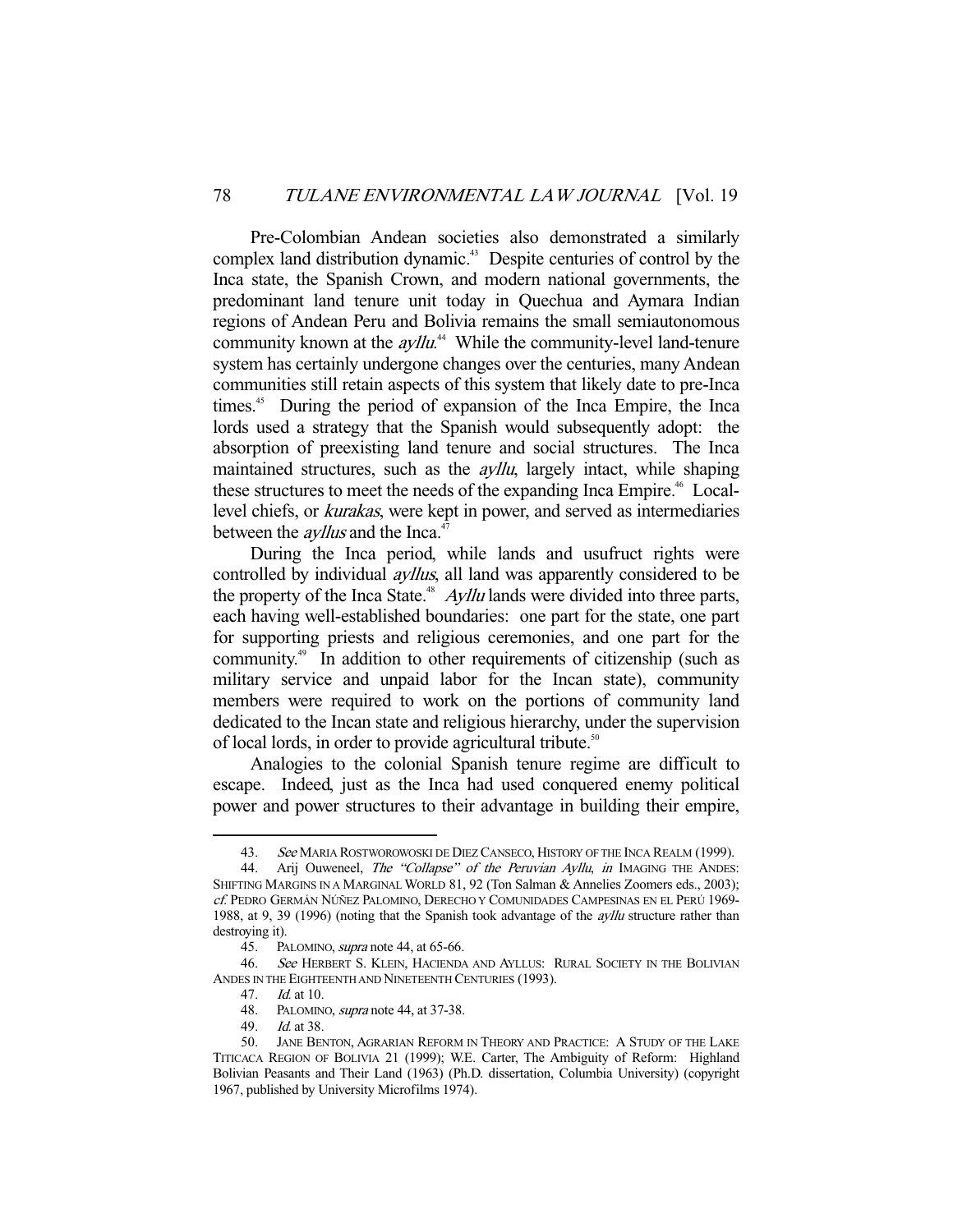Pre-Colombian Andean societies also demonstrated a similarly complex land distribution dynamic.43 Despite centuries of control by the Inca state, the Spanish Crown, and modern national governments, the predominant land tenure unit today in Quechua and Aymara Indian regions of Andean Peru and Bolivia remains the small semiautonomous community known at the  $a$ yllu.<sup>44</sup> While the community-level land-tenure system has certainly undergone changes over the centuries, many Andean communities still retain aspects of this system that likely date to pre-Inca times.<sup>45</sup> During the period of expansion of the Inca Empire, the Inca lords used a strategy that the Spanish would subsequently adopt: the absorption of preexisting land tenure and social structures. The Inca maintained structures, such as the *ayllu*, largely intact, while shaping these structures to meet the needs of the expanding Inca Empire.<sup>46</sup> Locallevel chiefs, or kurakas, were kept in power, and served as intermediaries between the *ayllus* and the Inca.<sup>47</sup>

 During the Inca period, while lands and usufruct rights were controlled by individual ayllus, all land was apparently considered to be the property of the Inca State.<sup>48</sup> Ayllu lands were divided into three parts, each having well-established boundaries: one part for the state, one part for supporting priests and religious ceremonies, and one part for the community.<sup>49</sup> In addition to other requirements of citizenship (such as military service and unpaid labor for the Incan state), community members were required to work on the portions of community land dedicated to the Incan state and religious hierarchy, under the supervision of local lords, in order to provide agricultural tribute.<sup>50</sup>

 Analogies to the colonial Spanish tenure regime are difficult to escape. Indeed, just as the Inca had used conquered enemy political power and power structures to their advantage in building their empire,

<sup>43.</sup> See MARIA ROSTWOROWOSKI DE DIEZ CANSECO, HISTORY OF THE INCA REALM (1999).

<sup>44.</sup> Arij Ouweneel, The "Collapse" of the Peruvian Ayllu, in IMAGING THE ANDES: SHIFTING MARGINS IN A MARGINAL WORLD 81, 92 (Ton Salman & Annelies Zoomers eds., 2003); cf. PEDRO GERMÁN NÚÑEZ PALOMINO, DERECHO Y COMUNIDADES CAMPESINAS EN EL PERÚ 1969- 1988, at 9, 39 (1996) (noting that the Spanish took advantage of the *ayllu* structure rather than destroying it).

<sup>45.</sup> PALOMINO, *supra* note 44, at 65-66.<br>46. See HERBERT S. KLEIN, HACIENDA

See HERBERT S. KLEIN, HACIENDA AND AYLLUS: RURAL SOCIETY IN THE BOLIVIAN ANDES IN THE EIGHTEENTH AND NINETEENTH CENTURIES (1993).

 <sup>47.</sup> Id. at 10.

<sup>48.</sup> PALOMINO, *supra* note 44, at 37-38.

 <sup>49.</sup> Id. at 38.

 <sup>50.</sup> JANE BENTON, AGRARIAN REFORM IN THEORY AND PRACTICE: A STUDY OF THE LAKE TITICACA REGION OF BOLIVIA 21 (1999); W.E. Carter, The Ambiguity of Reform: Highland Bolivian Peasants and Their Land (1963) (Ph.D. dissertation, Columbia University) (copyright 1967, published by University Microfilms 1974).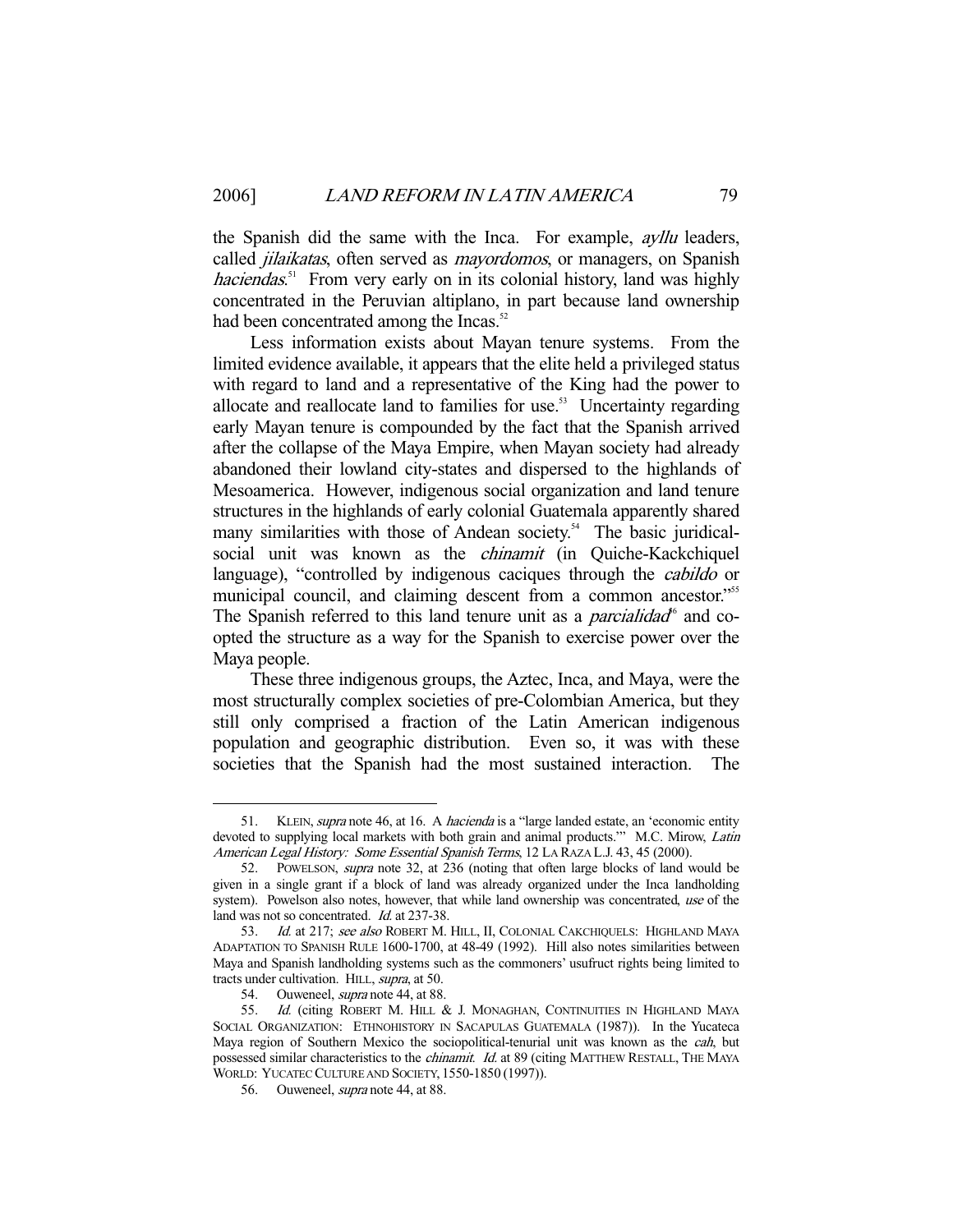the Spanish did the same with the Inca. For example, *ayllu* leaders, called *jilaikatas*, often served as *mayordomos*, or managers, on Spanish haciendas.<sup>51</sup> From very early on in its colonial history, land was highly concentrated in the Peruvian altiplano, in part because land ownership had been concentrated among the Incas.<sup>52</sup>

 Less information exists about Mayan tenure systems. From the limited evidence available, it appears that the elite held a privileged status with regard to land and a representative of the King had the power to allocate and reallocate land to families for use.<sup>53</sup> Uncertainty regarding early Mayan tenure is compounded by the fact that the Spanish arrived after the collapse of the Maya Empire, when Mayan society had already abandoned their lowland city-states and dispersed to the highlands of Mesoamerica. However, indigenous social organization and land tenure structures in the highlands of early colonial Guatemala apparently shared many similarities with those of Andean society.<sup>54</sup> The basic juridicalsocial unit was known as the *chinamit* (in Quiche-Kackchiquel language), "controlled by indigenous caciques through the *cabildo* or municipal council, and claiming descent from a common ancestor."<sup>555</sup> The Spanish referred to this land tenure unit as a *parcialidad*<sup>6</sup> and coopted the structure as a way for the Spanish to exercise power over the Maya people.

 These three indigenous groups, the Aztec, Inca, and Maya, were the most structurally complex societies of pre-Colombian America, but they still only comprised a fraction of the Latin American indigenous population and geographic distribution. Even so, it was with these societies that the Spanish had the most sustained interaction. The

<sup>51.</sup> KLEIN, *supra* note 46, at 16. A *hacienda* is a "large landed estate, an 'economic entity devoted to supplying local markets with both grain and animal products." M.C. Mirow, Latin American Legal History: Some Essential Spanish Terms, 12 LA RAZA L.J. 43, 45 (2000).

 <sup>52.</sup> POWELSON, supra note 32, at 236 (noting that often large blocks of land would be given in a single grant if a block of land was already organized under the Inca landholding system). Powelson also notes, however, that while land ownership was concentrated, use of the land was not so concentrated. Id. at 237-38.

<sup>53.</sup> Id. at 217; see also ROBERT M. HILL, II, COLONIAL CAKCHIQUELS: HIGHLAND MAYA ADAPTATION TO SPANISH RULE 1600-1700, at 48-49 (1992). Hill also notes similarities between Maya and Spanish landholding systems such as the commoners' usufruct rights being limited to tracts under cultivation. HILL, supra, at 50.

<sup>54.</sup> Ouweneel, *supra* note 44, at 88.

<sup>55.</sup> Id. (citing ROBERT M. HILL & J. MONAGHAN, CONTINUITIES IN HIGHLAND MAYA SOCIAL ORGANIZATION: ETHNOHISTORY IN SACAPULAS GUATEMALA (1987)). In the Yucateca Maya region of Southern Mexico the sociopolitical-tenurial unit was known as the cah, but possessed similar characteristics to the *chinamit. Id.* at 89 (citing MATTHEW RESTALL, THE MAYA WORLD: YUCATEC CULTURE AND SOCIETY, 1550-1850 (1997)).

 <sup>56.</sup> Ouweneel, supra note 44, at 88.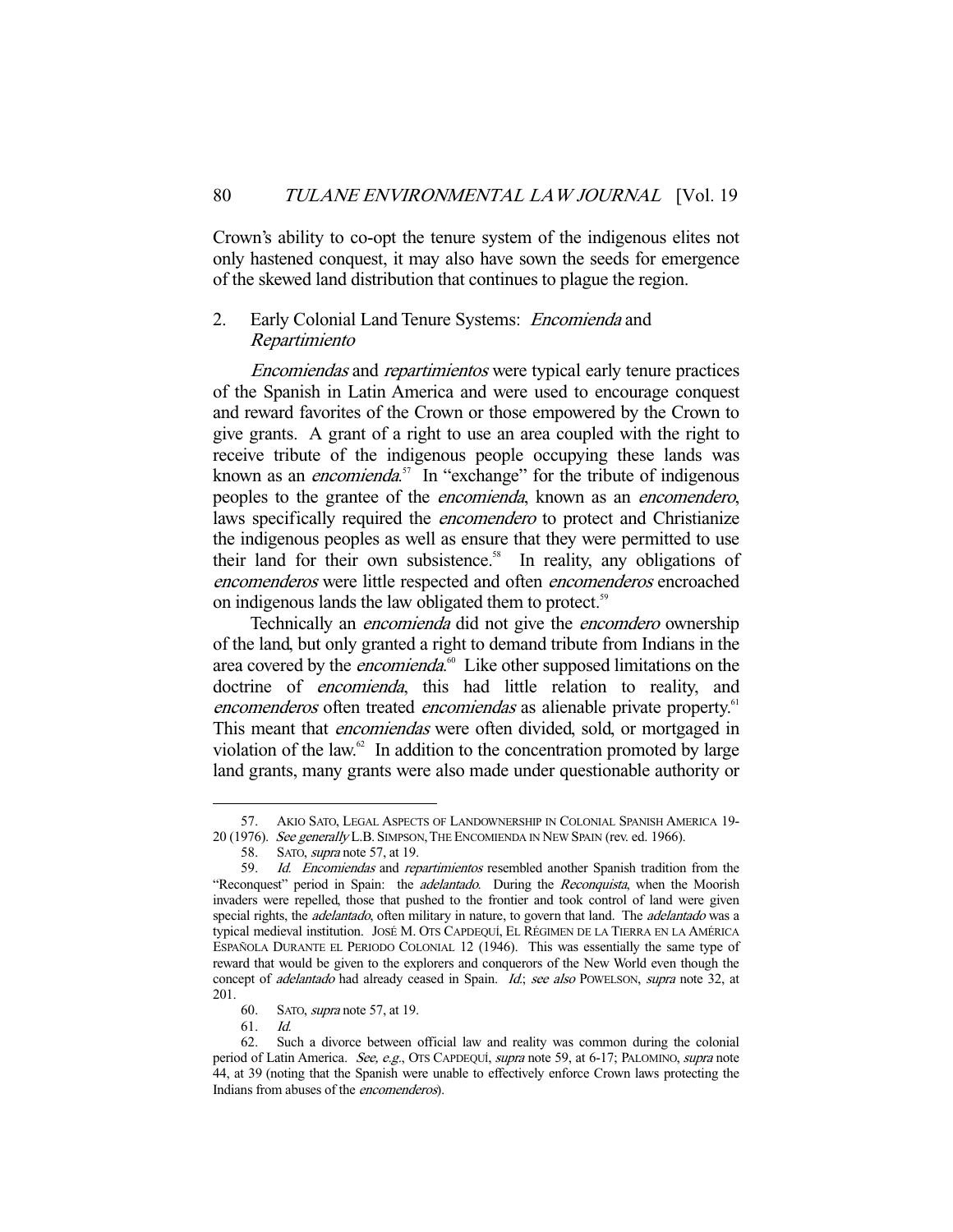Crown's ability to co-opt the tenure system of the indigenous elites not only hastened conquest, it may also have sown the seeds for emergence of the skewed land distribution that continues to plague the region.

## 2. Early Colonial Land Tenure Systems: Encomienda and Repartimiento

Encomiendas and repartimientos were typical early tenure practices of the Spanish in Latin America and were used to encourage conquest and reward favorites of the Crown or those empowered by the Crown to give grants. A grant of a right to use an area coupled with the right to receive tribute of the indigenous people occupying these lands was known as an *encomienda*.<sup>57</sup> In "exchange" for the tribute of indigenous peoples to the grantee of the encomienda, known as an encomendero, laws specifically required the *encomendero* to protect and Christianize the indigenous peoples as well as ensure that they were permitted to use their land for their own subsistence.<sup>58</sup> In reality, any obligations of encomenderos were little respected and often encomenderos encroached on indigenous lands the law obligated them to protect.<sup>59</sup>

Technically an *encomienda* did not give the *encomdero* ownership of the land, but only granted a right to demand tribute from Indians in the area covered by the *encomienda*.<sup>60</sup> Like other supposed limitations on the doctrine of *encomienda*, this had little relation to reality, and encomenderos often treated *encomiendas* as alienable private property.<sup>61</sup> This meant that *encomiendas* were often divided, sold, or mortgaged in violation of the law. $62$  In addition to the concentration promoted by large land grants, many grants were also made under questionable authority or

 <sup>57.</sup> AKIO SATO, LEGAL ASPECTS OF LANDOWNERSHIP IN COLONIAL SPANISH AMERICA 19- 20 (1976). See generally L.B. SIMPSON, THE ENCOMIENDA IN NEW SPAIN (rev. ed. 1966).

<sup>58.</sup> SATO, *supra* note 57, at 19.<br>59. *Id. Encomiendas* and *ret* 

Id. Encomiendas and repartimientos resembled another Spanish tradition from the "Reconquest" period in Spain: the *adelantado*. During the *Reconquista*, when the Moorish invaders were repelled, those that pushed to the frontier and took control of land were given special rights, the *adelantado*, often military in nature, to govern that land. The *adelantado* was a typical medieval institution. JOSÉ M. OTS CAPDEQUÍ, EL RÉGIMEN DE LA TIERRA EN LA AMÉRICA ESPAÑOLA DURANTE EL PERIODO COLONIAL 12 (1946). This was essentially the same type of reward that would be given to the explorers and conquerors of the New World even though the concept of *adelantado* had already ceased in Spain. *Id.; see also* POWELSON, *supra* note 32, at 201.

 <sup>60.</sup> SATO, supra note 57, at 19.

 <sup>61.</sup> Id.

 <sup>62.</sup> Such a divorce between official law and reality was common during the colonial period of Latin America. See, e.g., OTS CAPDEQUÍ, supra note 59, at 6-17; PALOMINO, supra note 44, at 39 (noting that the Spanish were unable to effectively enforce Crown laws protecting the Indians from abuses of the encomenderos).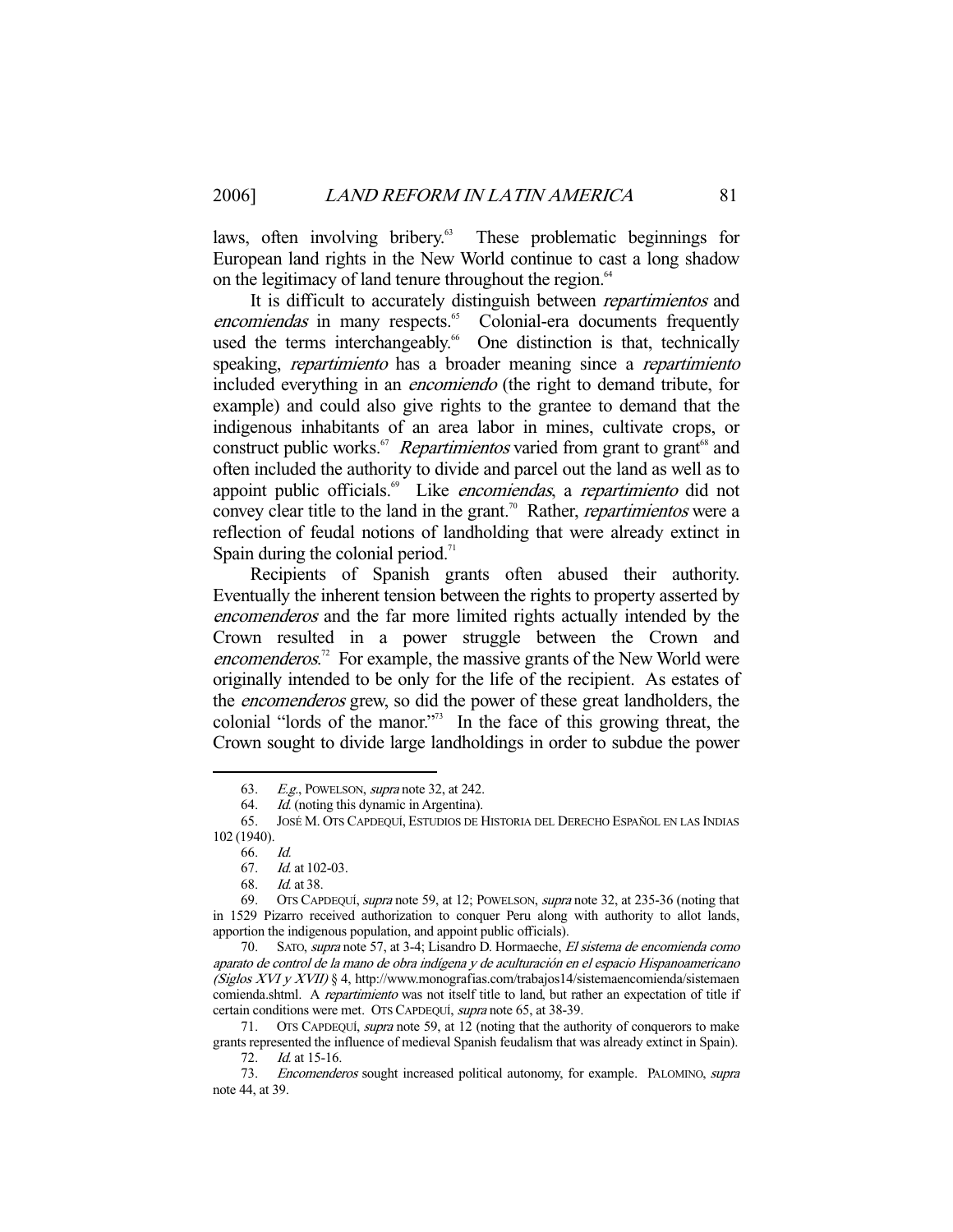laws, often involving bribery.<sup>63</sup> These problematic beginnings for European land rights in the New World continue to cast a long shadow on the legitimacy of land tenure throughout the region.<sup>64</sup>

 It is difficult to accurately distinguish between repartimientos and encomiendas in many respects.<sup>65</sup> Colonial-era documents frequently used the terms interchangeably.<sup>66</sup> One distinction is that, technically speaking, *repartimiento* has a broader meaning since a *repartimiento* included everything in an encomiendo (the right to demand tribute, for example) and could also give rights to the grantee to demand that the indigenous inhabitants of an area labor in mines, cultivate crops, or construct public works.<sup>67</sup> Repartimientos varied from grant to grant<sup>68</sup> and often included the authority to divide and parcel out the land as well as to appoint public officials.<sup>69</sup> Like *encomiendas*, a *repartimiento* did not convey clear title to the land in the grant.<sup>70</sup> Rather, *repartimientos* were a reflection of feudal notions of landholding that were already extinct in Spain during the colonial period.<sup>71</sup>

 Recipients of Spanish grants often abused their authority. Eventually the inherent tension between the rights to property asserted by encomenderos and the far more limited rights actually intended by the Crown resulted in a power struggle between the Crown and encomenderos.<sup>72</sup> For example, the massive grants of the New World were originally intended to be only for the life of the recipient. As estates of the encomenderos grew, so did the power of these great landholders, the colonial "lords of the manor."73 In the face of this growing threat, the Crown sought to divide large landholdings in order to subdue the power

 <sup>63.</sup> E.g., POWELSON, supra note 32, at 242.

 <sup>64.</sup> Id. (noting this dynamic in Argentina).

 <sup>65.</sup> JOSÉ M. OTS CAPDEQUÍ, ESTUDIOS DE HISTORIA DEL DERECHO ESPAÑOL EN LAS INDIAS 102 (1940).

 <sup>66.</sup> Id.

<sup>67.</sup> *Id.* at 102-03.<br>68. *Id.* at 38.

*Id.* at 38.

<sup>69.</sup> OTS CAPDEQUÍ, *supra* note 59, at 12; POWELSON, *supra* note 32, at 235-36 (noting that in 1529 Pizarro received authorization to conquer Peru along with authority to allot lands, apportion the indigenous population, and appoint public officials).

 <sup>70.</sup> SATO, supra note 57, at 3-4; Lisandro D. Hormaeche, El sistema de encomienda como aparato de control de la mano de obra indígena y de aculturación en el espacio Hispanoamericano (Siglos XVI y XVII) § 4, http://www.monografias.com/trabajos14/sistemaencomienda/sistemaen comienda.shtml. A *repartimiento* was not itself title to land, but rather an expectation of title if certain conditions were met. OTS CAPDEQUÍ, supra note 65, at 38-39.

<sup>71.</sup> OTS CAPDEQUÍ, *supra* note 59, at 12 (noting that the authority of conquerors to make grants represented the influence of medieval Spanish feudalism that was already extinct in Spain).

 <sup>72.</sup> Id. at 15-16.

 <sup>73.</sup> Encomenderos sought increased political autonomy, for example. PALOMINO, supra note 44, at 39.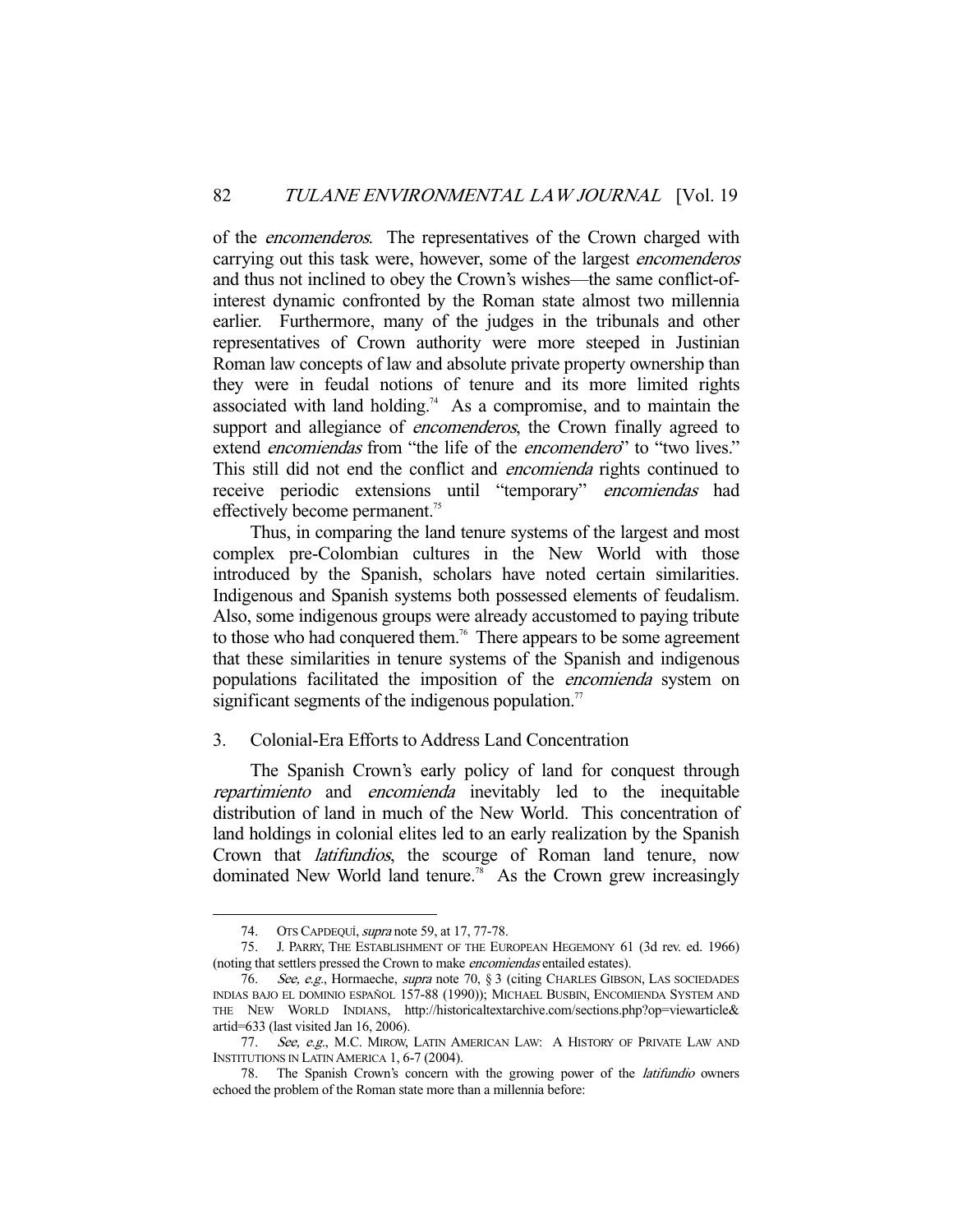of the encomenderos. The representatives of the Crown charged with carrying out this task were, however, some of the largest encomenderos and thus not inclined to obey the Crown's wishes—the same conflict-ofinterest dynamic confronted by the Roman state almost two millennia earlier. Furthermore, many of the judges in the tribunals and other representatives of Crown authority were more steeped in Justinian Roman law concepts of law and absolute private property ownership than they were in feudal notions of tenure and its more limited rights associated with land holding.<sup>74</sup> As a compromise, and to maintain the support and allegiance of *encomenderos*, the Crown finally agreed to extend *encomiendas* from "the life of the *encomendero*" to "two lives." This still did not end the conflict and *encomienda* rights continued to receive periodic extensions until "temporary" encomiendas had effectively become permanent.<sup>75</sup>

 Thus, in comparing the land tenure systems of the largest and most complex pre-Colombian cultures in the New World with those introduced by the Spanish, scholars have noted certain similarities. Indigenous and Spanish systems both possessed elements of feudalism. Also, some indigenous groups were already accustomed to paying tribute to those who had conquered them.<sup>76</sup> There appears to be some agreement that these similarities in tenure systems of the Spanish and indigenous populations facilitated the imposition of the *encomienda* system on significant segments of the indigenous population. $\mathbf{r}$ 

#### 3. Colonial-Era Efforts to Address Land Concentration

 The Spanish Crown's early policy of land for conquest through repartimiento and encomienda inevitably led to the inequitable distribution of land in much of the New World. This concentration of land holdings in colonial elites led to an early realization by the Spanish Crown that latifundios, the scourge of Roman land tenure, now dominated New World land tenure.<sup>78</sup> As the Crown grew increasingly

<sup>74.</sup> OTS CAPDEQUÍ, *supra* note 59, at 17, 77-78.

 <sup>75.</sup> J. PARRY, THE ESTABLISHMENT OF THE EUROPEAN HEGEMONY 61 (3d rev. ed. 1966) (noting that settlers pressed the Crown to make encomiendas entailed estates).

 <sup>76.</sup> See, e.g., Hormaeche, supra note 70, § 3 (citing CHARLES GIBSON, LAS SOCIEDADES INDIAS BAJO EL DOMINIO ESPAÑOL 157-88 (1990)); MICHAEL BUSBIN, ENCOMIENDA SYSTEM AND THE NEW WORLD INDIANS, http://historicaltextarchive.com/sections.php?op=viewarticle& artid=633 (last visited Jan 16, 2006).

<sup>77.</sup> See, e.g., M.C. MIROW, LATIN AMERICAN LAW: A HISTORY OF PRIVATE LAW AND INSTITUTIONS IN LATIN AMERICA 1, 6-7 (2004).

 <sup>78.</sup> The Spanish Crown's concern with the growing power of the latifundio owners echoed the problem of the Roman state more than a millennia before: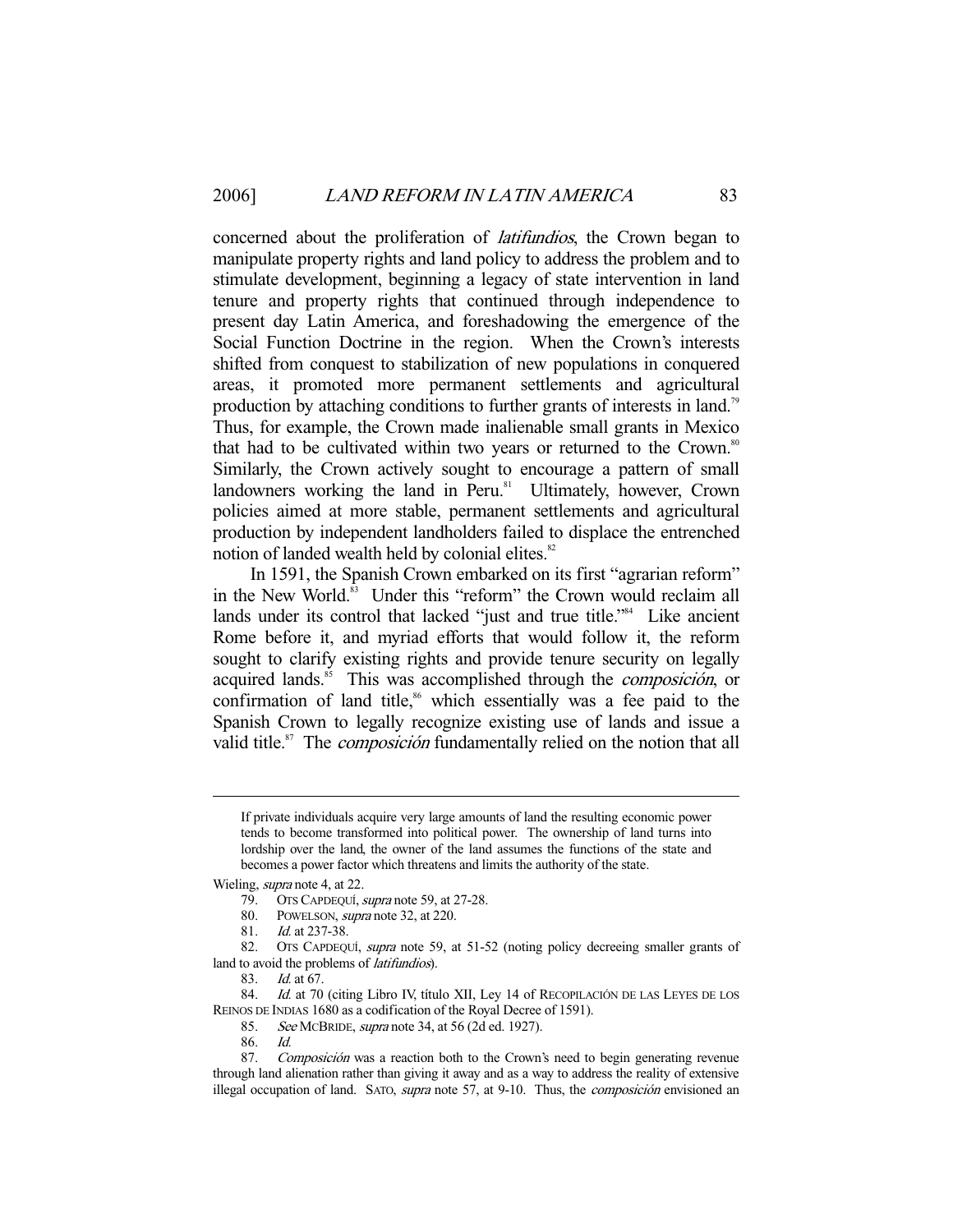concerned about the proliferation of latifundios, the Crown began to manipulate property rights and land policy to address the problem and to stimulate development, beginning a legacy of state intervention in land tenure and property rights that continued through independence to present day Latin America, and foreshadowing the emergence of the Social Function Doctrine in the region. When the Crown's interests shifted from conquest to stabilization of new populations in conquered areas, it promoted more permanent settlements and agricultural production by attaching conditions to further grants of interests in land.<sup>79</sup> Thus, for example, the Crown made inalienable small grants in Mexico that had to be cultivated within two years or returned to the Crown.<sup>80</sup> Similarly, the Crown actively sought to encourage a pattern of small landowners working the land in Peru.<sup>81</sup> Ultimately, however, Crown policies aimed at more stable, permanent settlements and agricultural production by independent landholders failed to displace the entrenched notion of landed wealth held by colonial elites.<sup>82</sup>

 In 1591, the Spanish Crown embarked on its first "agrarian reform" in the New World.<sup>83</sup> Under this "reform" the Crown would reclaim all lands under its control that lacked "just and true title."<sup>84</sup> Like ancient Rome before it, and myriad efforts that would follow it, the reform sought to clarify existing rights and provide tenure security on legally acquired lands.<sup>85</sup> This was accomplished through the *composición*, or confirmation of land title, $\frac{8}{3}$  which essentially was a fee paid to the Spanish Crown to legally recognize existing use of lands and issue a valid title.<sup>87</sup> The *composición* fundamentally relied on the notion that all

- 85. See MCBRIDE, *supra* note 34, at 56 (2d ed. 1927).
- 86. Id.

If private individuals acquire very large amounts of land the resulting economic power tends to become transformed into political power. The ownership of land turns into lordship over the land, the owner of the land assumes the functions of the state and becomes a power factor which threatens and limits the authority of the state.

Wieling, *supra* note 4, at 22.

<sup>79.</sup> OTS CAPDEQUÍ, *supra* note 59, at 27-28.

 <sup>80.</sup> POWELSON, supra note 32, at 220.

 <sup>81.</sup> Id. at 237-38.

 <sup>82.</sup> OTS CAPDEQUÍ, supra note 59, at 51-52 (noting policy decreeing smaller grants of land to avoid the problems of *latifundios*).

 <sup>83.</sup> Id. at 67.

<sup>84.</sup> Id. at 70 (citing Libro IV, título XII, Ley 14 of RECOPILACIÓN DE LAS LEYES DE LOS REINOS DE INDIAS 1680 as a codification of the Royal Decree of 1591).

 <sup>87.</sup> Composición was a reaction both to the Crown's need to begin generating revenue through land alienation rather than giving it away and as a way to address the reality of extensive illegal occupation of land. SATO, *supra* note  $57$ , at  $9-10$ . Thus, the *composición* envisioned an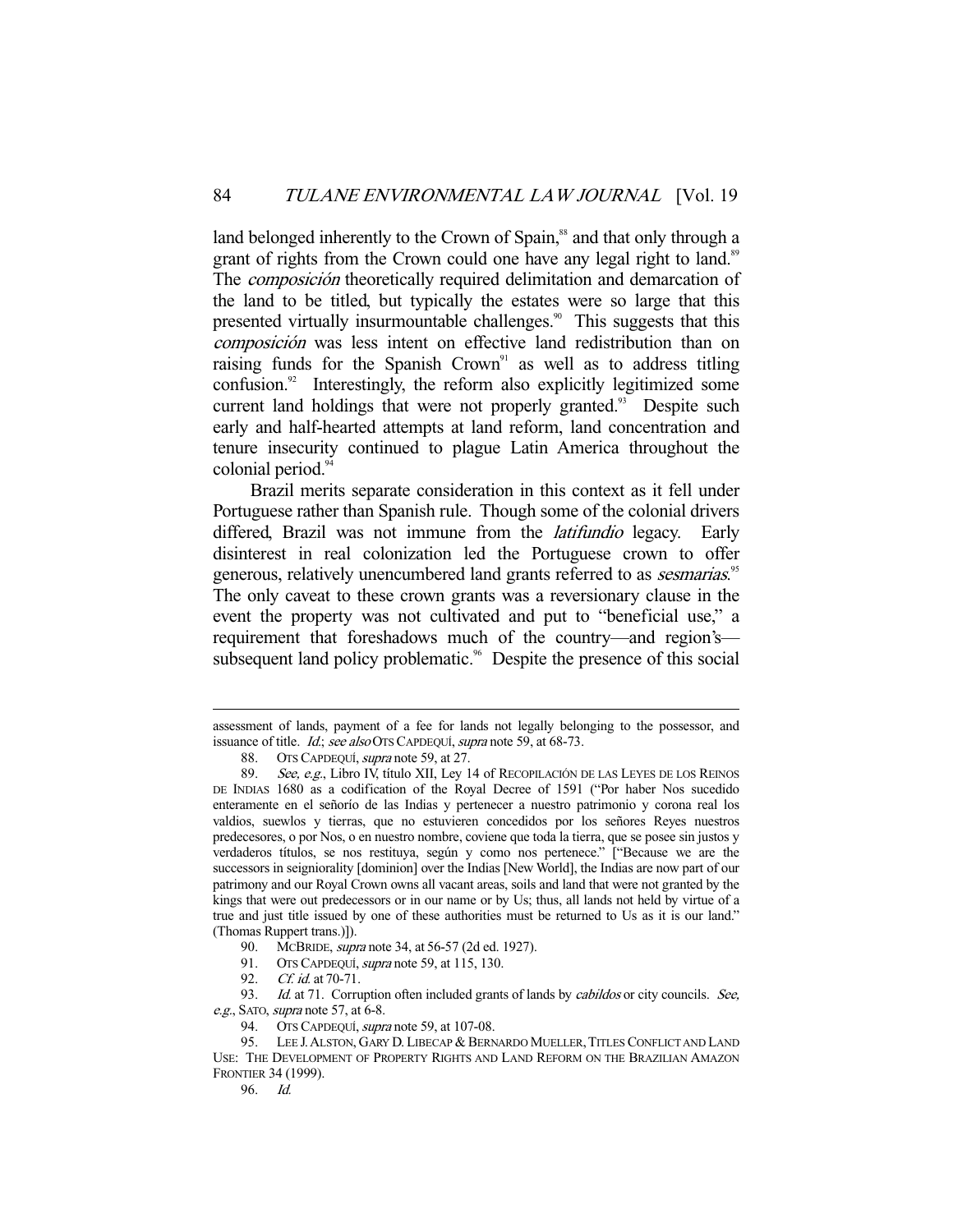land belonged inherently to the Crown of Spain,<sup>88</sup> and that only through a grant of rights from the Crown could one have any legal right to land.<sup>89</sup> The composición theoretically required delimitation and demarcation of the land to be titled, but typically the estates were so large that this presented virtually insurmountable challenges.<sup>90</sup> This suggests that this composición was less intent on effective land redistribution than on raising funds for the Spanish Crown<sup>91</sup> as well as to address titling confusion.<sup>92</sup> Interestingly, the reform also explicitly legitimized some current land holdings that were not properly granted.<sup>93</sup> Despite such early and half-hearted attempts at land reform, land concentration and tenure insecurity continued to plague Latin America throughout the colonial period.<sup>94</sup>

 Brazil merits separate consideration in this context as it fell under Portuguese rather than Spanish rule. Though some of the colonial drivers differed, Brazil was not immune from the *latifundio* legacy. Early disinterest in real colonization led the Portuguese crown to offer generous, relatively unencumbered land grants referred to as *sesmarias*.<sup>95</sup> The only caveat to these crown grants was a reversionary clause in the event the property was not cultivated and put to "beneficial use," a requirement that foreshadows much of the country—and region's subsequent land policy problematic.<sup>96</sup> Despite the presence of this social

96. Id.

assessment of lands, payment of a fee for lands not legally belonging to the possessor, and issuance of title. *Id.; see also* OTS CAPDEQUÍ, *supra* note 59, at 68-73.

<sup>88.</sup> OTS CAPDEQUÍ, *supra* note 59, at 27.

<sup>89.</sup> See, e.g., Libro IV, título XII, Ley 14 of RECOPILACIÓN DE LAS LEYES DE LOS REINOS DE INDIAS 1680 as a codification of the Royal Decree of 1591 ("Por haber Nos sucedido enteramente en el señorío de las Indias y pertenecer a nuestro patrimonio y corona real los valdios, suewlos y tierras, que no estuvieren concedidos por los señores Reyes nuestros predecesores, o por Nos, o en nuestro nombre, coviene que toda la tierra, que se posee sin justos y verdaderos títulos, se nos restituya, según y como nos pertenece." ["Because we are the successors in seigniorality [dominion] over the Indias [New World], the Indias are now part of our patrimony and our Royal Crown owns all vacant areas, soils and land that were not granted by the kings that were out predecessors or in our name or by Us; thus, all lands not held by virtue of a true and just title issued by one of these authorities must be returned to Us as it is our land." (Thomas Ruppert trans.)]).

 <sup>90.</sup> MCBRIDE, supra note 34, at 56-57 (2d ed. 1927).

<sup>91.</sup> OTS CAPDEQUÍ, supra note 59, at 115, 130.

<sup>92.</sup> *Cf. id.* at 70-71.

<sup>93.</sup> Id. at 71. Corruption often included grants of lands by *cabildos* or city councils. See, e.g., SATO, supra note 57, at 6-8.

<sup>94.</sup> OTS CAPDEQUÍ, *supra* note 59, at 107-08.

 <sup>95.</sup> LEE J.ALSTON, GARY D. LIBECAP & BERNARDO MUELLER,TITLES CONFLICT AND LAND USE: THE DEVELOPMENT OF PROPERTY RIGHTS AND LAND REFORM ON THE BRAZILIAN AMAZON FRONTIER 34 (1999).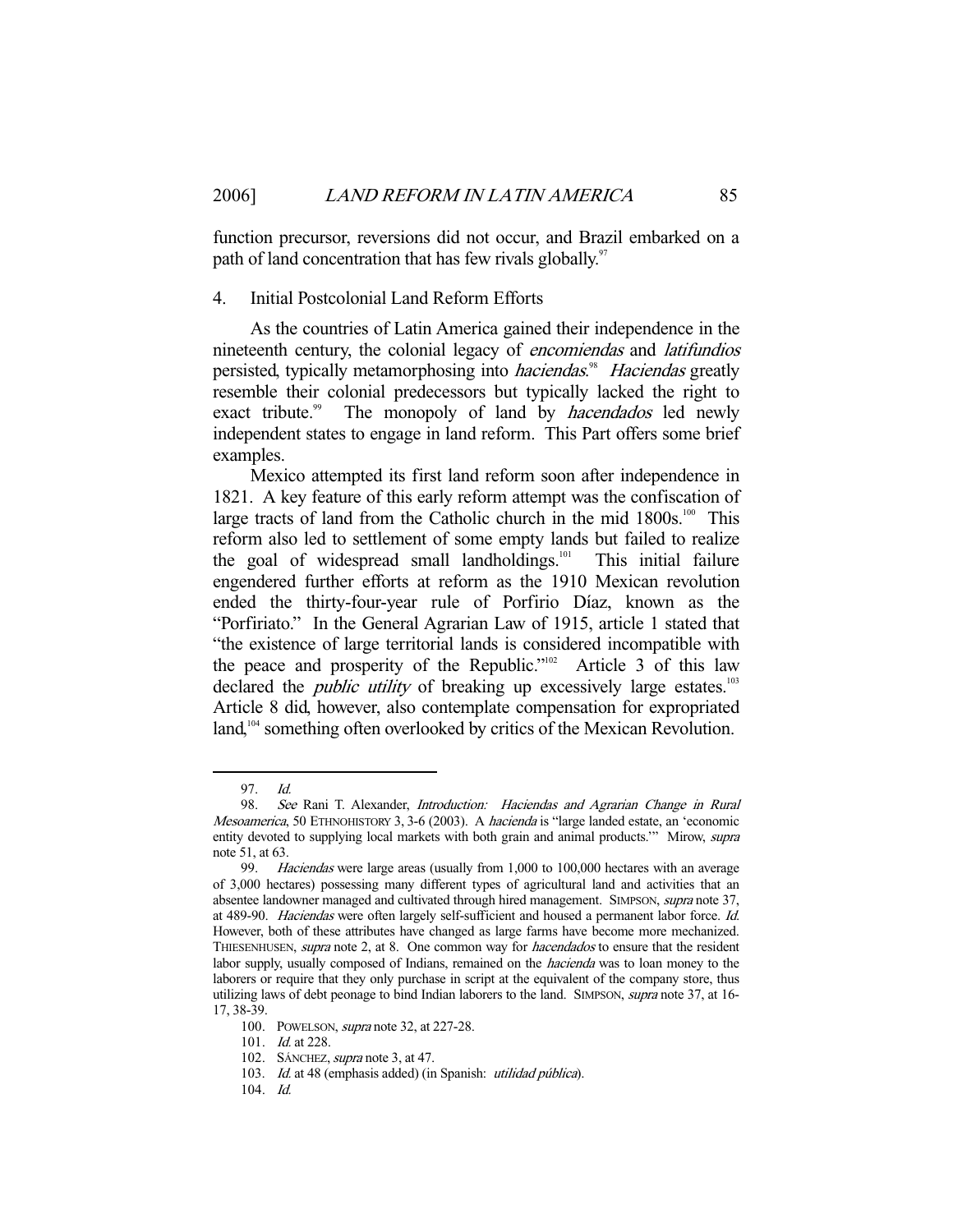function precursor, reversions did not occur, and Brazil embarked on a path of land concentration that has few rivals globally.<sup>97</sup>

#### 4. Initial Postcolonial Land Reform Efforts

 As the countries of Latin America gained their independence in the nineteenth century, the colonial legacy of encomiendas and latifundios persisted, typically metamorphosing into *haciendas*.<sup>98</sup> Haciendas greatly resemble their colonial predecessors but typically lacked the right to exact tribute.<sup>99</sup> The monopoly of land by *hacendados* led newly independent states to engage in land reform. This Part offers some brief examples.

 Mexico attempted its first land reform soon after independence in 1821. A key feature of this early reform attempt was the confiscation of large tracts of land from the Catholic church in the mid  $1800s$ <sup>100</sup> This reform also led to settlement of some empty lands but failed to realize the goal of widespread small landholdings. $101$  This initial failure engendered further efforts at reform as the 1910 Mexican revolution ended the thirty-four-year rule of Porfirio Díaz, known as the "Porfiriato." In the General Agrarian Law of 1915, article 1 stated that "the existence of large territorial lands is considered incompatible with the peace and prosperity of the Republic."<sup>102</sup> Article 3 of this law declared the *public utility* of breaking up excessively large estates.<sup>103</sup> Article 8 did, however, also contemplate compensation for expropriated land,<sup>104</sup> something often overlooked by critics of the Mexican Revolution.

 <sup>97.</sup> Id.

<sup>98.</sup> See Rani T. Alexander, Introduction: Haciendas and Agrarian Change in Rural Mesoamerica, 50 ETHNOHISTORY 3, 3-6 (2003). A hacienda is "large landed estate, an 'economic entity devoted to supplying local markets with both grain and animal products." Mirow, supra note 51, at 63.

<sup>99.</sup> Haciendas were large areas (usually from 1,000 to 100,000 hectares with an average of 3,000 hectares) possessing many different types of agricultural land and activities that an absentee landowner managed and cultivated through hired management. SIMPSON, *supra* note 37, at 489-90. Haciendas were often largely self-sufficient and housed a permanent labor force. Id. However, both of these attributes have changed as large farms have become more mechanized. THIESENHUSEN, supra note 2, at 8. One common way for *hacendados* to ensure that the resident labor supply, usually composed of Indians, remained on the *hacienda* was to loan money to the laborers or require that they only purchase in script at the equivalent of the company store, thus utilizing laws of debt peonage to bind Indian laborers to the land. SIMPSON, supra note 37, at 16- 17, 38-39.

 <sup>100.</sup> POWELSON, supra note 32, at 227-28.

<sup>101.</sup> *Id.* at 228.

<sup>102.</sup> SÁNCHEZ, supra note 3, at 47.

<sup>103.</sup> Id. at 48 (emphasis added) (in Spanish: utilidad pública).

 <sup>104.</sup> Id.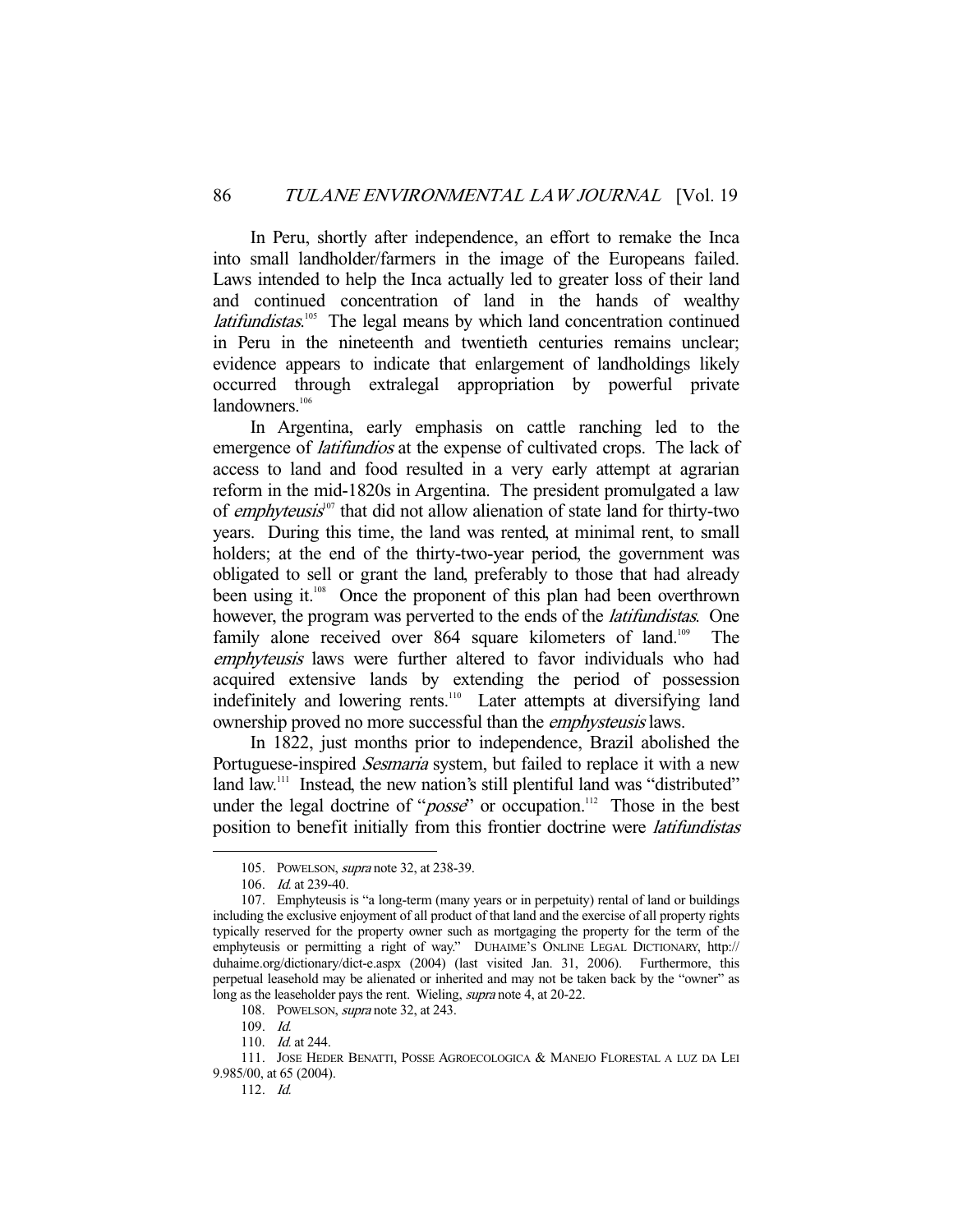In Peru, shortly after independence, an effort to remake the Inca into small landholder/farmers in the image of the Europeans failed. Laws intended to help the Inca actually led to greater loss of their land and continued concentration of land in the hands of wealthy latifundistas.<sup>105</sup> The legal means by which land concentration continued in Peru in the nineteenth and twentieth centuries remains unclear; evidence appears to indicate that enlargement of landholdings likely occurred through extralegal appropriation by powerful private landowners.<sup>106</sup>

 In Argentina, early emphasis on cattle ranching led to the emergence of *latifundios* at the expense of cultivated crops. The lack of access to land and food resulted in a very early attempt at agrarian reform in the mid-1820s in Argentina. The president promulgated a law of *emphyteusis*<sup>107</sup> that did not allow alienation of state land for thirty-two years. During this time, the land was rented, at minimal rent, to small holders; at the end of the thirty-two-year period, the government was obligated to sell or grant the land, preferably to those that had already been using it.<sup>108</sup> Once the proponent of this plan had been overthrown however, the program was perverted to the ends of the *latifundistas*. One family alone received over 864 square kilometers of land.<sup>109</sup> The emphyteusis laws were further altered to favor individuals who had acquired extensive lands by extending the period of possession indefinitely and lowering rents.<sup>110</sup> Later attempts at diversifying land ownership proved no more successful than the emphysteusis laws.

 In 1822, just months prior to independence, Brazil abolished the Portuguese-inspired *Sesmaria* system, but failed to replace it with a new land law.<sup>111</sup> Instead, the new nation's still plentiful land was "distributed" under the legal doctrine of " $poss\vec{e}$ " or occupation.<sup>112</sup> Those in the best position to benefit initially from this frontier doctrine were latifundistas

<sup>105.</sup> POWELSON, *supra* note 32, at 238-39.

 <sup>106.</sup> Id. at 239-40.

 <sup>107.</sup> Emphyteusis is "a long-term (many years or in perpetuity) rental of land or buildings including the exclusive enjoyment of all product of that land and the exercise of all property rights typically reserved for the property owner such as mortgaging the property for the term of the emphyteusis or permitting a right of way." DUHAIME'S ONLINE LEGAL DICTIONARY, http:// duhaime.org/dictionary/dict-e.aspx (2004) (last visited Jan. 31, 2006). Furthermore, this perpetual leasehold may be alienated or inherited and may not be taken back by the "owner" as long as the leaseholder pays the rent. Wieling, supra note 4, at 20-22.

<sup>108.</sup> POWELSON, supra note 32, at 243.

 <sup>109.</sup> Id.

<sup>110.</sup> *Id.* at 244.

 <sup>111.</sup> JOSE HEDER BENATTI, POSSE AGROECOLOGICA & MANEJO FLORESTAL A LUZ DA LEI 9.985/00, at 65 (2004).

 <sup>112.</sup> Id.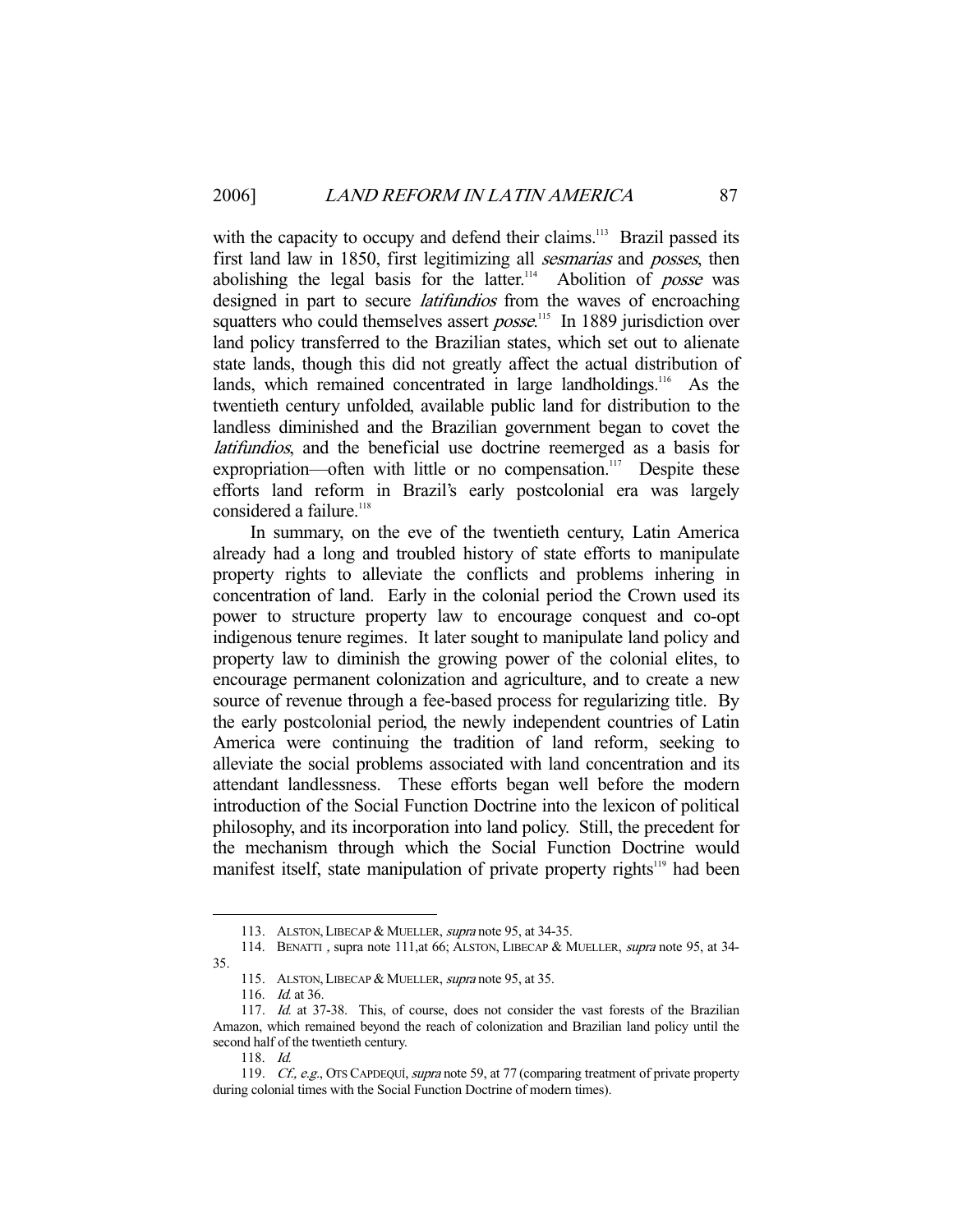with the capacity to occupy and defend their claims.<sup>113</sup> Brazil passed its first land law in 1850, first legitimizing all sesmarias and posses, then abolishing the legal basis for the latter.<sup>114</sup> Abolition of *posse* was designed in part to secure *latifundios* from the waves of encroaching squatters who could themselves assert *posse*.<sup>115</sup> In 1889 jurisdiction over land policy transferred to the Brazilian states, which set out to alienate state lands, though this did not greatly affect the actual distribution of lands, which remained concentrated in large landholdings.<sup>116</sup> As the twentieth century unfolded, available public land for distribution to the landless diminished and the Brazilian government began to covet the latifundios, and the beneficial use doctrine reemerged as a basis for expropriation—often with little or no compensation.<sup>117</sup> Despite these efforts land reform in Brazil's early postcolonial era was largely considered a failure. $118$ 

 In summary, on the eve of the twentieth century, Latin America already had a long and troubled history of state efforts to manipulate property rights to alleviate the conflicts and problems inhering in concentration of land. Early in the colonial period the Crown used its power to structure property law to encourage conquest and co-opt indigenous tenure regimes. It later sought to manipulate land policy and property law to diminish the growing power of the colonial elites, to encourage permanent colonization and agriculture, and to create a new source of revenue through a fee-based process for regularizing title. By the early postcolonial period, the newly independent countries of Latin America were continuing the tradition of land reform, seeking to alleviate the social problems associated with land concentration and its attendant landlessness. These efforts began well before the modern introduction of the Social Function Doctrine into the lexicon of political philosophy, and its incorporation into land policy. Still, the precedent for the mechanism through which the Social Function Doctrine would manifest itself, state manipulation of private property rights<sup>119</sup> had been

<sup>113.</sup> ALSTON, LIBECAP & MUELLER, *supra* note 95, at 34-35.

<sup>114.</sup> BENATTI, supra note 111, at 66; ALSTON, LIBECAP & MUELLER, supra note 95, at 34-35.

<sup>115.</sup> ALSTON, LIBECAP & MUELLER, supra note 95, at 35.

 <sup>116.</sup> Id. at 36.

 <sup>117.</sup> Id. at 37-38. This, of course, does not consider the vast forests of the Brazilian Amazon, which remained beyond the reach of colonization and Brazilian land policy until the second half of the twentieth century.

 <sup>118.</sup> Id.

<sup>119.</sup> Cf., e.g., OTS CAPDEQUÍ, supra note 59, at 77 (comparing treatment of private property during colonial times with the Social Function Doctrine of modern times).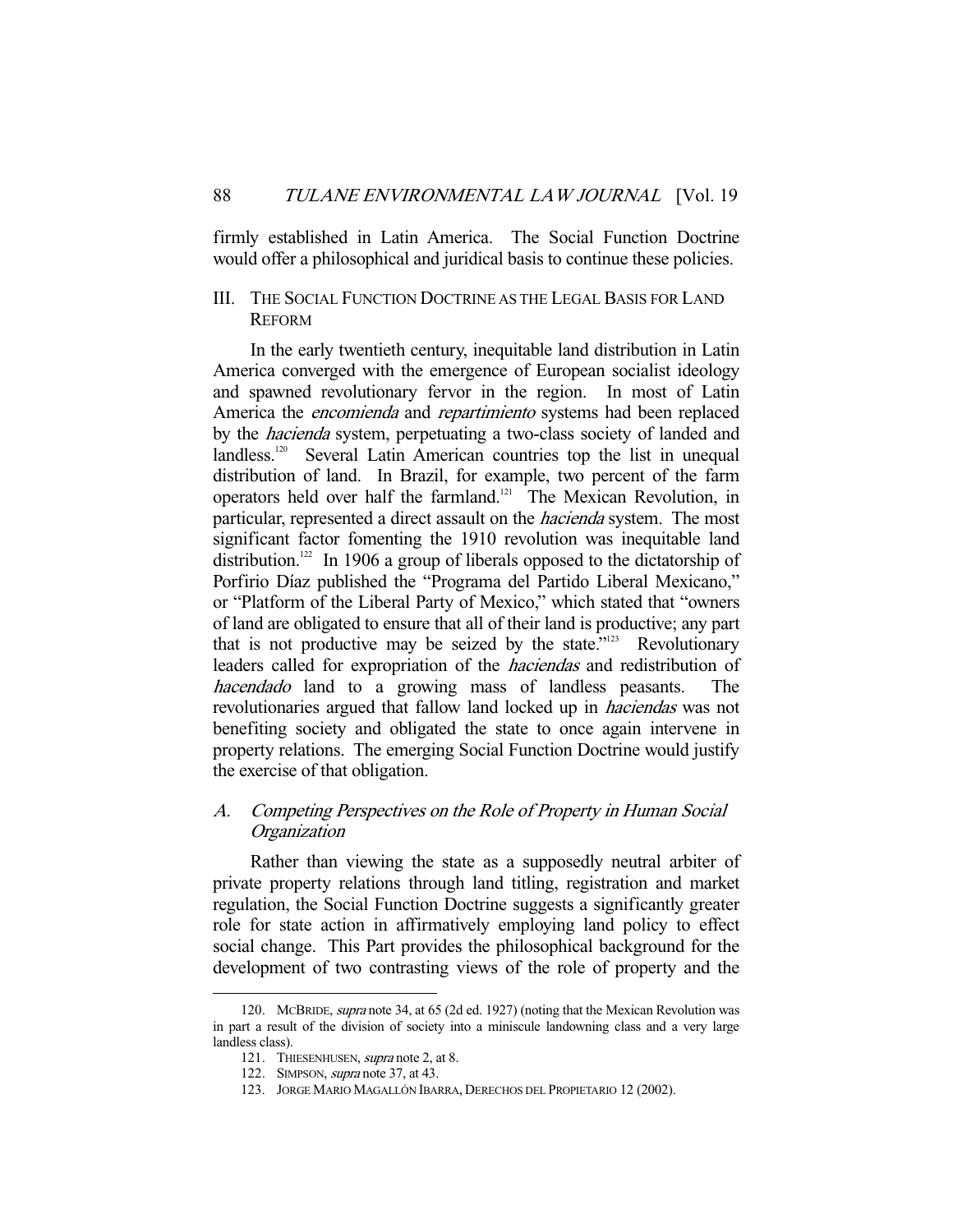firmly established in Latin America. The Social Function Doctrine would offer a philosophical and juridical basis to continue these policies.

## III. THE SOCIAL FUNCTION DOCTRINE AS THE LEGAL BASIS FOR LAND **REFORM**

 In the early twentieth century, inequitable land distribution in Latin America converged with the emergence of European socialist ideology and spawned revolutionary fervor in the region. In most of Latin America the encomienda and repartimiento systems had been replaced by the hacienda system, perpetuating a two-class society of landed and landless.<sup>120</sup> Several Latin American countries top the list in unequal distribution of land. In Brazil, for example, two percent of the farm operators held over half the farmland.121 The Mexican Revolution, in particular, represented a direct assault on the *hacienda* system. The most significant factor fomenting the 1910 revolution was inequitable land distribution.<sup>122</sup> In 1906 a group of liberals opposed to the dictatorship of Porfirio Díaz published the "Programa del Partido Liberal Mexicano," or "Platform of the Liberal Party of Mexico," which stated that "owners of land are obligated to ensure that all of their land is productive; any part that is not productive may be seized by the state." $123$  Revolutionary leaders called for expropriation of the haciendas and redistribution of hacendado land to a growing mass of landless peasants. The revolutionaries argued that fallow land locked up in haciendas was not benefiting society and obligated the state to once again intervene in property relations. The emerging Social Function Doctrine would justify the exercise of that obligation.

## A. Competing Perspectives on the Role of Property in Human Social **Organization**

 Rather than viewing the state as a supposedly neutral arbiter of private property relations through land titling, registration and market regulation, the Social Function Doctrine suggests a significantly greater role for state action in affirmatively employing land policy to effect social change. This Part provides the philosophical background for the development of two contrasting views of the role of property and the

 <sup>120.</sup> MCBRIDE, supra note 34, at 65 (2d ed. 1927) (noting that the Mexican Revolution was in part a result of the division of society into a miniscule landowning class and a very large landless class).

 <sup>121.</sup> THIESENHUSEN, supra note 2, at 8.

 <sup>122.</sup> SIMPSON, supra note 37, at 43.

 <sup>123.</sup> JORGE MARIO MAGALLÓN IBARRA, DERECHOS DEL PROPIETARIO 12 (2002).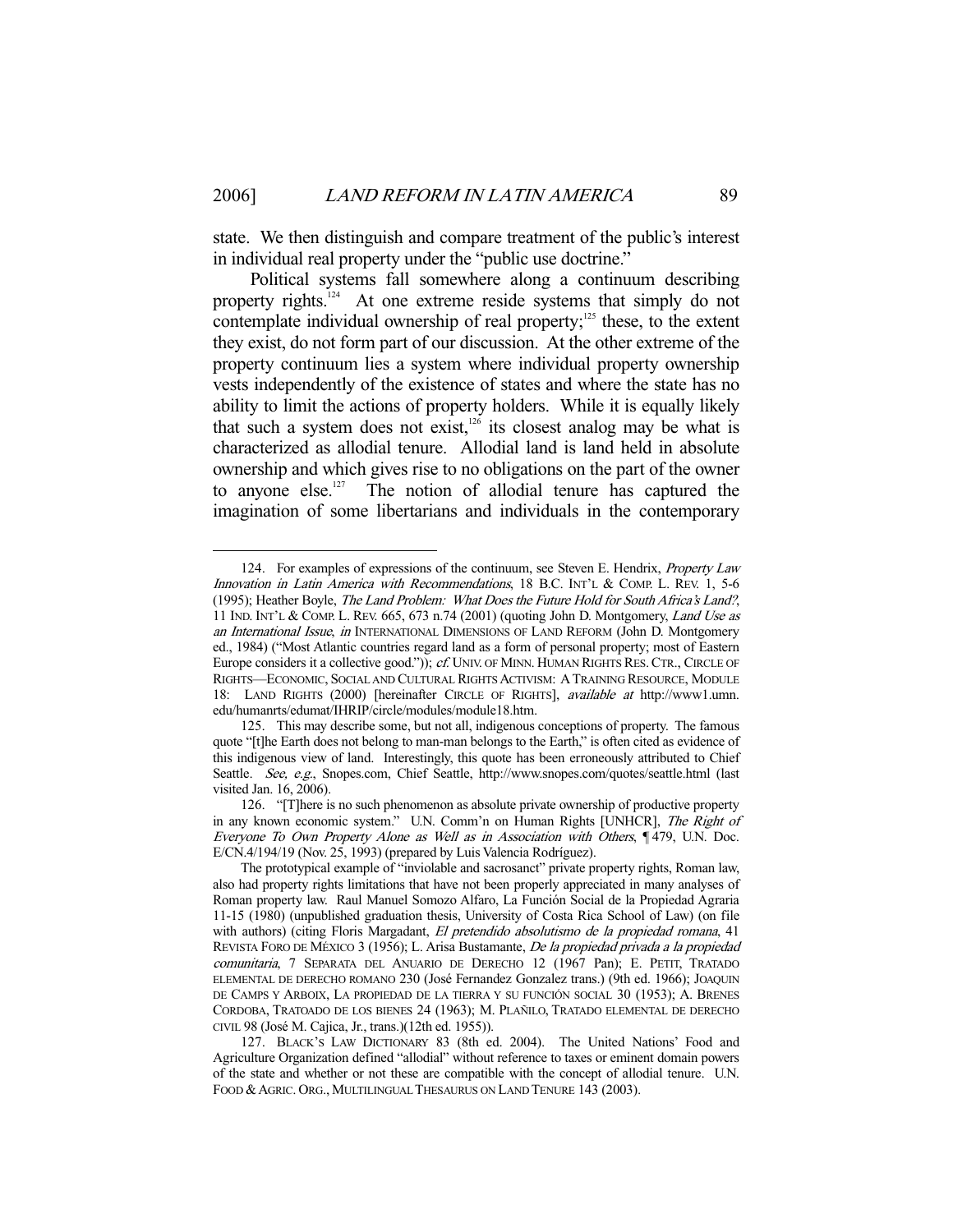state. We then distinguish and compare treatment of the public's interest in individual real property under the "public use doctrine."

 Political systems fall somewhere along a continuum describing property rights.<sup>124</sup> At one extreme reside systems that simply do not contemplate individual ownership of real property; $125$  these, to the extent they exist, do not form part of our discussion. At the other extreme of the property continuum lies a system where individual property ownership vests independently of the existence of states and where the state has no ability to limit the actions of property holders. While it is equally likely that such a system does not exist,<sup>126</sup> its closest analog may be what is characterized as allodial tenure. Allodial land is land held in absolute ownership and which gives rise to no obligations on the part of the owner to anyone else.<sup>127</sup> The notion of allodial tenure has captured the imagination of some libertarians and individuals in the contemporary

<sup>124.</sup> For examples of expressions of the continuum, see Steven E. Hendrix, Property Law Innovation in Latin America with Recommendations, 18 B.C. INT'L & COMP. L. REV. 1, 5-6 (1995); Heather Boyle, The Land Problem: What Does the Future Hold for South Africa's Land?, 11 IND. INT'L & COMP. L. REV. 665, 673 n.74 (2001) (quoting John D. Montgomery, Land Use as an International Issue, in INTERNATIONAL DIMENSIONS OF LAND REFORM (John D. Montgomery ed., 1984) ("Most Atlantic countries regard land as a form of personal property; most of Eastern Europe considers it a collective good.")); cf. UNIV. OF MINN. HUMAN RIGHTS RES. CTR., CIRCLE OF RIGHTS—ECONOMIC, SOCIAL AND CULTURAL RIGHTS ACTIVISM: ATRAINING RESOURCE, MODULE 18: LAND RIGHTS (2000) [hereinafter CIRCLE OF RIGHTS], available at http://www1.umn. edu/humanrts/edumat/IHRIP/circle/modules/module18.htm.

 <sup>125.</sup> This may describe some, but not all, indigenous conceptions of property. The famous quote "[t]he Earth does not belong to man-man belongs to the Earth," is often cited as evidence of this indigenous view of land. Interestingly, this quote has been erroneously attributed to Chief Seattle. See, e.g., Snopes.com, Chief Seattle, http://www.snopes.com/quotes/seattle.html (last visited Jan. 16, 2006).

 <sup>126. &</sup>quot;[T]here is no such phenomenon as absolute private ownership of productive property in any known economic system." U.N. Comm'n on Human Rights [UNHCR], The Right of Everyone To Own Property Alone as Well as in Association with Others, ¶ 479, U.N. Doc. E/CN.4/194/19 (Nov. 25, 1993) (prepared by Luis Valencia Rodríguez).

The prototypical example of "inviolable and sacrosanct" private property rights, Roman law, also had property rights limitations that have not been properly appreciated in many analyses of Roman property law. Raul Manuel Somozo Alfaro, La Función Social de la Propiedad Agraria 11-15 (1980) (unpublished graduation thesis, University of Costa Rica School of Law) (on file with authors) (citing Floris Margadant, El pretendido absolutismo de la propiedad romana, 41 REVISTA FORO DE MÉXICO 3 (1956); L. Arisa Bustamante, De la propiedad privada a la propiedad comunitaria, 7 SEPARATA DEL ANUARIO DE DERECHO 12 (1967 Pan); E. PETIT, TRATADO ELEMENTAL DE DERECHO ROMANO 230 (José Fernandez Gonzalez trans.) (9th ed. 1966); JOAQUIN DE CAMPS Y ARBOIX, LA PROPIEDAD DE LA TIERRA Y SU FUNCIÓN SOCIAL 30 (1953); A. BRENES CORDOBA, TRATOADO DE LOS BIENES 24 (1963); M. PLAÑILO, TRATADO ELEMENTAL DE DERECHO CIVIL 98 (José M. Cajica, Jr., trans.)(12th ed. 1955)).

 <sup>127.</sup> BLACK'S LAW DICTIONARY 83 (8th ed. 2004). The United Nations' Food and Agriculture Organization defined "allodial" without reference to taxes or eminent domain powers of the state and whether or not these are compatible with the concept of allodial tenure. U.N. FOOD & AGRIC. ORG., MULTILINGUAL THESAURUS ON LAND TENURE 143 (2003).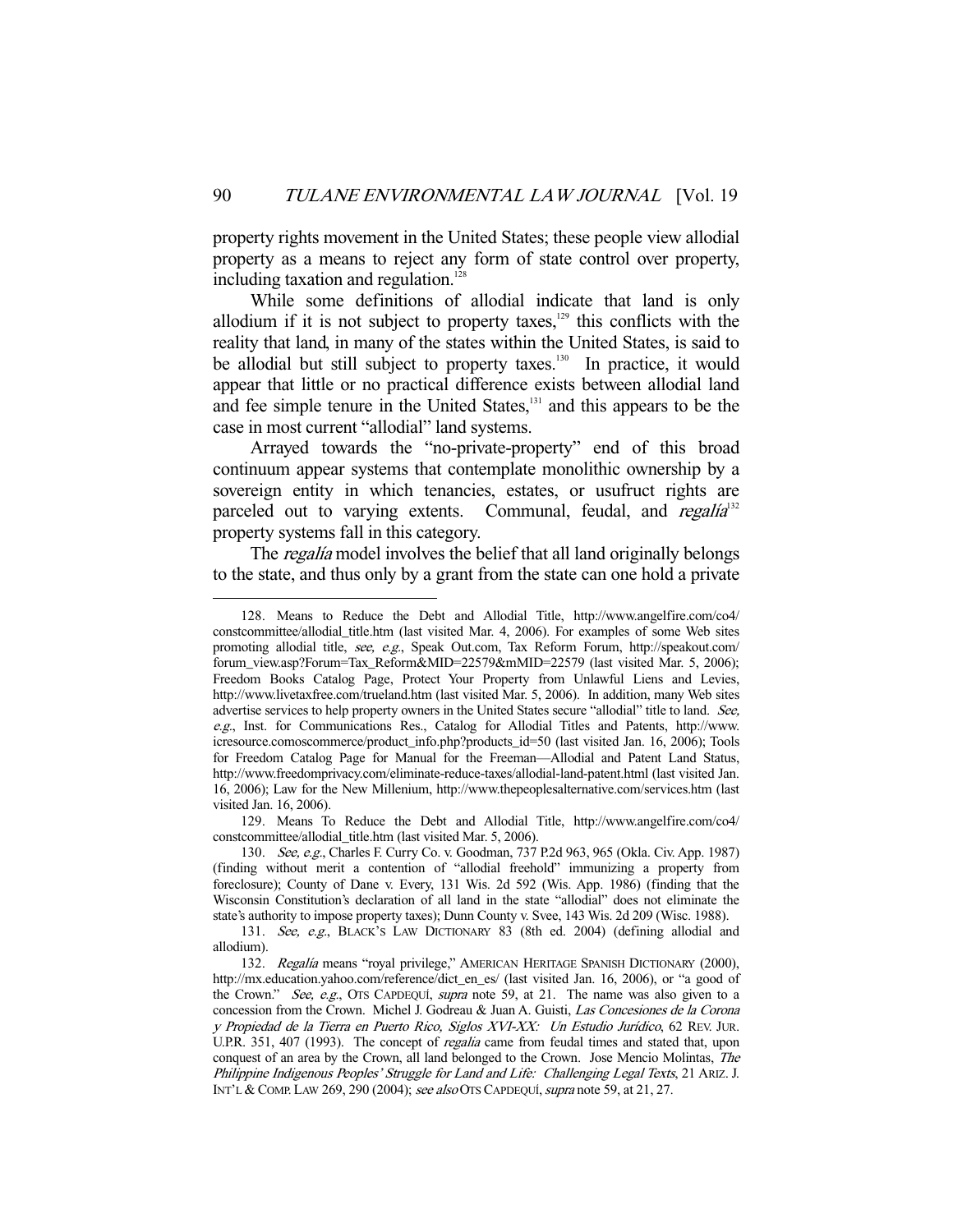property rights movement in the United States; these people view allodial property as a means to reject any form of state control over property, including taxation and regulation.<sup>128</sup>

 While some definitions of allodial indicate that land is only allodium if it is not subject to property taxes, $129$  this conflicts with the reality that land, in many of the states within the United States, is said to be allodial but still subject to property taxes.<sup>130</sup> In practice, it would appear that little or no practical difference exists between allodial land and fee simple tenure in the United States,<sup>131</sup> and this appears to be the case in most current "allodial" land systems.

 Arrayed towards the "no-private-property" end of this broad continuum appear systems that contemplate monolithic ownership by a sovereign entity in which tenancies, estates, or usufruct rights are parceled out to varying extents. Communal, feudal, and regalia<sup>132</sup> property systems fall in this category.

The *regalía* model involves the belief that all land originally belongs to the state, and thus only by a grant from the state can one hold a private

-

 129. Means To Reduce the Debt and Allodial Title, http://www.angelfire.com/co4/ constcommittee/allodial\_title.htm (last visited Mar. 5, 2006).

 <sup>128.</sup> Means to Reduce the Debt and Allodial Title, http://www.angelfire.com/co4/ constcommittee/allodial\_title.htm (last visited Mar. 4, 2006). For examples of some Web sites promoting allodial title, see, e.g., Speak Out.com, Tax Reform Forum, http://speakout.com/ forum\_view.asp?Forum=Tax\_Reform&MID=22579&mMID=22579 (last visited Mar. 5, 2006); Freedom Books Catalog Page, Protect Your Property from Unlawful Liens and Levies, http://www.livetaxfree.com/trueland.htm (last visited Mar. 5, 2006). In addition, many Web sites advertise services to help property owners in the United States secure "allodial" title to land. See, e.g., Inst. for Communications Res., Catalog for Allodial Titles and Patents, http://www. icresource.comoscommerce/product\_info.php?products\_id=50 (last visited Jan. 16, 2006); Tools for Freedom Catalog Page for Manual for the Freeman—Allodial and Patent Land Status, http://www.freedomprivacy.com/eliminate-reduce-taxes/allodial-land-patent.html (last visited Jan. 16, 2006); Law for the New Millenium, http://www.thepeoplesalternative.com/services.htm (last visited Jan. 16, 2006).

 <sup>130.</sup> See, e.g., Charles F. Curry Co. v. Goodman, 737 P.2d 963, 965 (Okla. Civ. App. 1987) (finding without merit a contention of "allodial freehold" immunizing a property from foreclosure); County of Dane v. Every, 131 Wis. 2d 592 (Wis. App. 1986) (finding that the Wisconsin Constitution's declaration of all land in the state "allodial" does not eliminate the state's authority to impose property taxes); Dunn County v. Svee, 143 Wis. 2d 209 (Wisc. 1988).

<sup>131.</sup> See, e.g., BLACK's LAW DICTIONARY 83 (8th ed. 2004) (defining allodial and allodium).

 <sup>132.</sup> Regalía means "royal privilege," AMERICAN HERITAGE SPANISH DICTIONARY (2000), http://mx.education.yahoo.com/reference/dict\_en\_es/ (last visited Jan. 16, 2006), or "a good of the Crown." See, e.g., OTS CAPDEQUÍ, supra note 59, at 21. The name was also given to a concession from the Crown. Michel J. Godreau & Juan A. Guisti, Las Concesiones de la Corona y Propiedad de la Tierra en Puerto Rico, Siglos XVI-XX: Un Estudio Jurídico, 62 REV. JUR. U.P.R. 351, 407 (1993). The concept of regalia came from feudal times and stated that, upon conquest of an area by the Crown, all land belonged to the Crown. Jose Mencio Molintas, The Philippine Indigenous Peoples' Struggle for Land and Life: Challenging Legal Texts, 21 ARIZ. J. INT'L & COMP. LAW 269, 290 (2004); see also OTS CAPDEQUÍ, supra note 59, at 21, 27.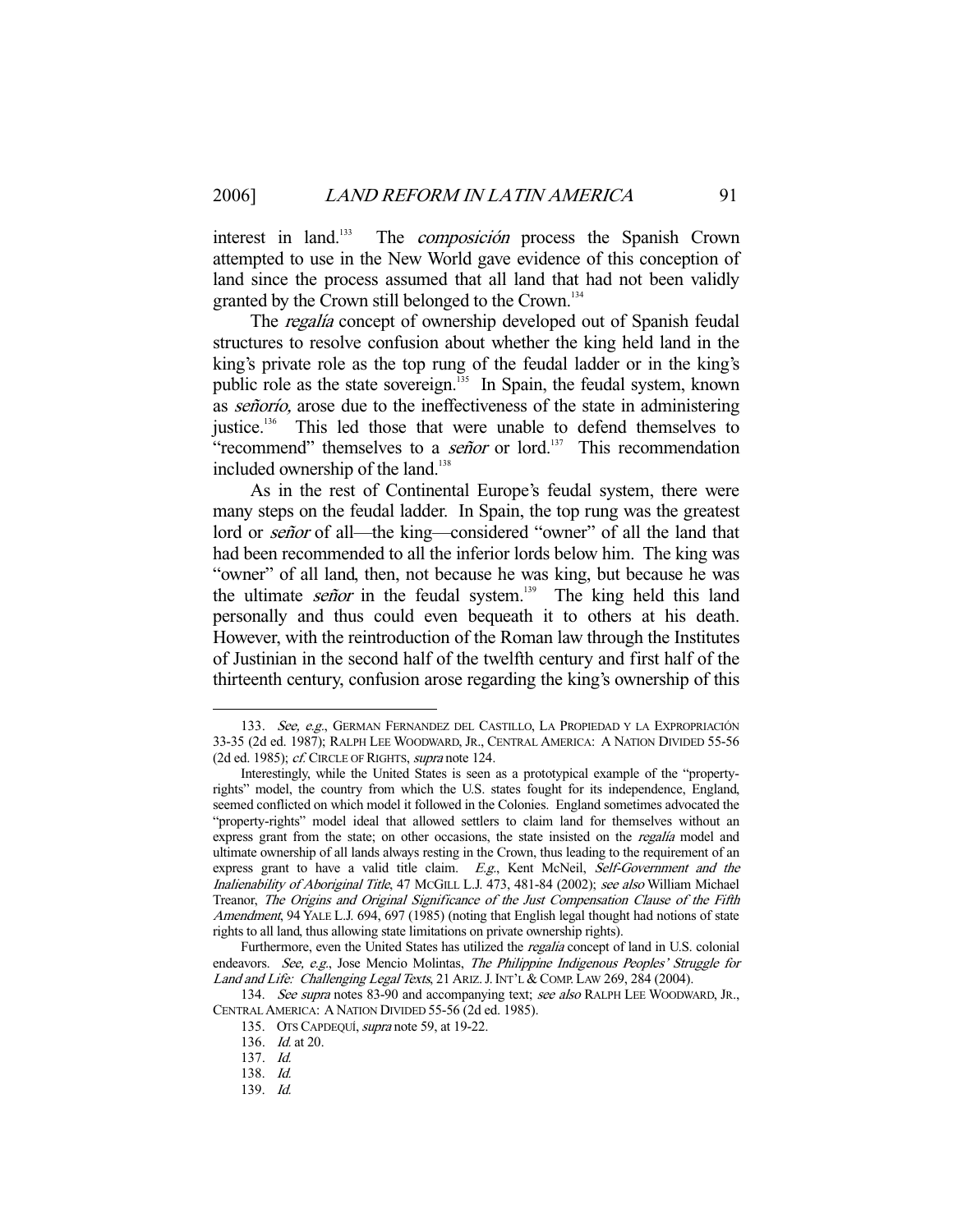interest in land.<sup>133</sup> The *composición* process the Spanish Crown attempted to use in the New World gave evidence of this conception of land since the process assumed that all land that had not been validly granted by the Crown still belonged to the Crown.<sup>134</sup>

The *regalía* concept of ownership developed out of Spanish feudal structures to resolve confusion about whether the king held land in the king's private role as the top rung of the feudal ladder or in the king's public role as the state sovereign. $135$  In Spain, the feudal system, known as señorío, arose due to the ineffectiveness of the state in administering justice.<sup>136</sup> This led those that were unable to defend themselves to "recommend" themselves to a *señor* or lord.<sup>137</sup> This recommendation included ownership of the land.<sup>138</sup>

 As in the rest of Continental Europe's feudal system, there were many steps on the feudal ladder. In Spain, the top rung was the greatest lord or *señor* of all—the king—considered "owner" of all the land that had been recommended to all the inferior lords below him. The king was "owner" of all land, then, not because he was king, but because he was the ultimate  $señor$  in the feudal system.<sup>139</sup> The king held this land personally and thus could even bequeath it to others at his death. However, with the reintroduction of the Roman law through the Institutes of Justinian in the second half of the twelfth century and first half of the thirteenth century, confusion arose regarding the king's ownership of this

<sup>133.</sup> See, e.g., GERMAN FERNANDEZ DEL CASTILLO, LA PROPIEDAD Y LA EXPROPRIACIÓN 33-35 (2d ed. 1987); RALPH LEE WOODWARD, JR., CENTRAL AMERICA: A NATION DIVIDED 55-56 (2d ed. 1985); cf. CIRCLE OF RIGHTS, supra note 124.

Interestingly, while the United States is seen as a prototypical example of the "propertyrights" model, the country from which the U.S. states fought for its independence, England, seemed conflicted on which model it followed in the Colonies. England sometimes advocated the "property-rights" model ideal that allowed settlers to claim land for themselves without an express grant from the state; on other occasions, the state insisted on the *regalía* model and ultimate ownership of all lands always resting in the Crown, thus leading to the requirement of an express grant to have a valid title claim. E.g., Kent McNeil, Self-Government and the Inalienability of Aboriginal Title, 47 MCGILL L.J. 473, 481-84 (2002); see also William Michael Treanor, The Origins and Original Significance of the Just Compensation Clause of the Fifth Amendment, 94 YALE L.J. 694, 697 (1985) (noting that English legal thought had notions of state rights to all land, thus allowing state limitations on private ownership rights).

Furthermore, even the United States has utilized the *regalia* concept of land in U.S. colonial endeavors. See, e.g., Jose Mencio Molintas, The Philippine Indigenous Peoples' Struggle for Land and Life: Challenging Legal Texts, 21 ARIZ. J. INT'L & COMP. LAW 269, 284 (2004).

<sup>134.</sup> See supra notes 83-90 and accompanying text; see also RALPH LEE WOODWARD, JR., CENTRAL AMERICA: A NATION DIVIDED 55-56 (2d ed. 1985).

<sup>135.</sup> OTS CAPDEQUÍ, supra note 59, at 19-22.

 <sup>136.</sup> Id. at 20.

 <sup>137.</sup> Id.

 <sup>138.</sup> Id.

 <sup>139.</sup> Id.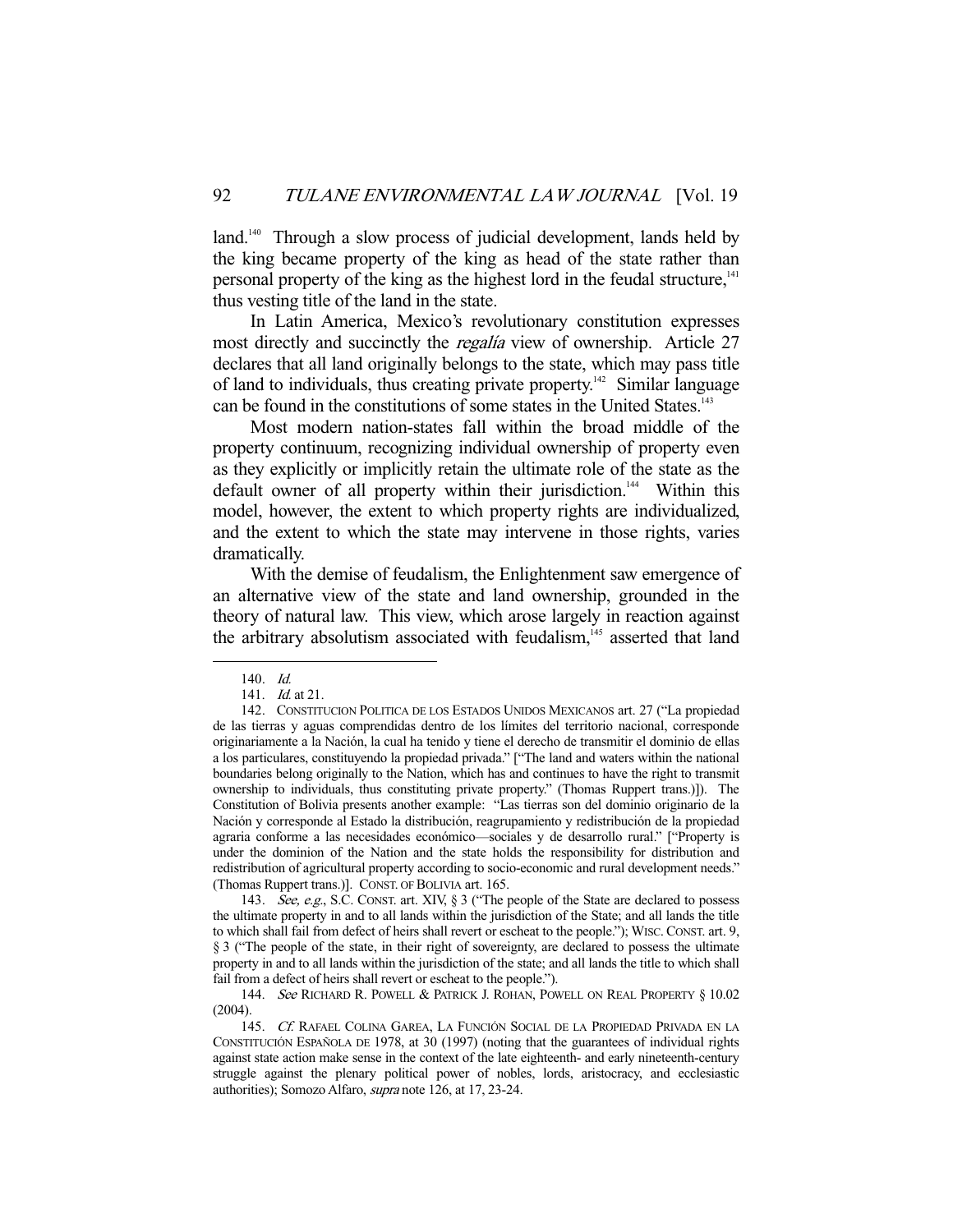land.<sup>140</sup> Through a slow process of judicial development, lands held by the king became property of the king as head of the state rather than personal property of the king as the highest lord in the feudal structure,<sup>141</sup> thus vesting title of the land in the state.

 In Latin America, Mexico's revolutionary constitution expresses most directly and succinctly the regalía view of ownership. Article 27 declares that all land originally belongs to the state, which may pass title of land to individuals, thus creating private property.<sup> $142$ </sup> Similar language can be found in the constitutions of some states in the United States.<sup>143</sup>

 Most modern nation-states fall within the broad middle of the property continuum, recognizing individual ownership of property even as they explicitly or implicitly retain the ultimate role of the state as the default owner of all property within their jurisdiction.<sup>144</sup> Within this model, however, the extent to which property rights are individualized, and the extent to which the state may intervene in those rights, varies dramatically.

 With the demise of feudalism, the Enlightenment saw emergence of an alternative view of the state and land ownership, grounded in the theory of natural law. This view, which arose largely in reaction against the arbitrary absolutism associated with feudalism,<sup>145</sup> asserted that land

 <sup>140.</sup> Id.

<sup>141.</sup> *Id.* at 21.

 <sup>142.</sup> CONSTITUCION POLITICA DE LOS ESTADOS UNIDOS MEXICANOS art. 27 ("La propiedad de las tierras y aguas comprendidas dentro de los límites del territorio nacional, corresponde originariamente a la Nación, la cual ha tenido y tiene el derecho de transmitir el dominio de ellas a los particulares, constituyendo la propiedad privada." ["The land and waters within the national boundaries belong originally to the Nation, which has and continues to have the right to transmit ownership to individuals, thus constituting private property." (Thomas Ruppert trans.)]). The Constitution of Bolivia presents another example: "Las tierras son del dominio originario de la Nación y corresponde al Estado la distribución, reagrupamiento y redistribución de la propiedad agraria conforme a las necesidades económico—sociales y de desarrollo rural." ["Property is under the dominion of the Nation and the state holds the responsibility for distribution and redistribution of agricultural property according to socio-economic and rural development needs." (Thomas Ruppert trans.)]. CONST. OF BOLIVIA art. 165.

<sup>143.</sup> See, e.g., S.C. CONST. art. XIV, § 3 ("The people of the State are declared to possess the ultimate property in and to all lands within the jurisdiction of the State; and all lands the title to which shall fail from defect of heirs shall revert or escheat to the people."); WISC.CONST. art. 9, § 3 ("The people of the state, in their right of sovereignty, are declared to possess the ultimate property in and to all lands within the jurisdiction of the state; and all lands the title to which shall fail from a defect of heirs shall revert or escheat to the people.").

<sup>144.</sup> See RICHARD R. POWELL & PATRICK J. ROHAN, POWELL ON REAL PROPERTY § 10.02 (2004).

 <sup>145.</sup> Cf. RAFAEL COLINA GAREA, LA FUNCIÓN SOCIAL DE LA PROPIEDAD PRIVADA EN LA CONSTITUCIÓN ESPAÑOLA DE 1978, at 30 (1997) (noting that the guarantees of individual rights against state action make sense in the context of the late eighteenth- and early nineteenth-century struggle against the plenary political power of nobles, lords, aristocracy, and ecclesiastic authorities); Somozo Alfaro, supra note 126, at 17, 23-24.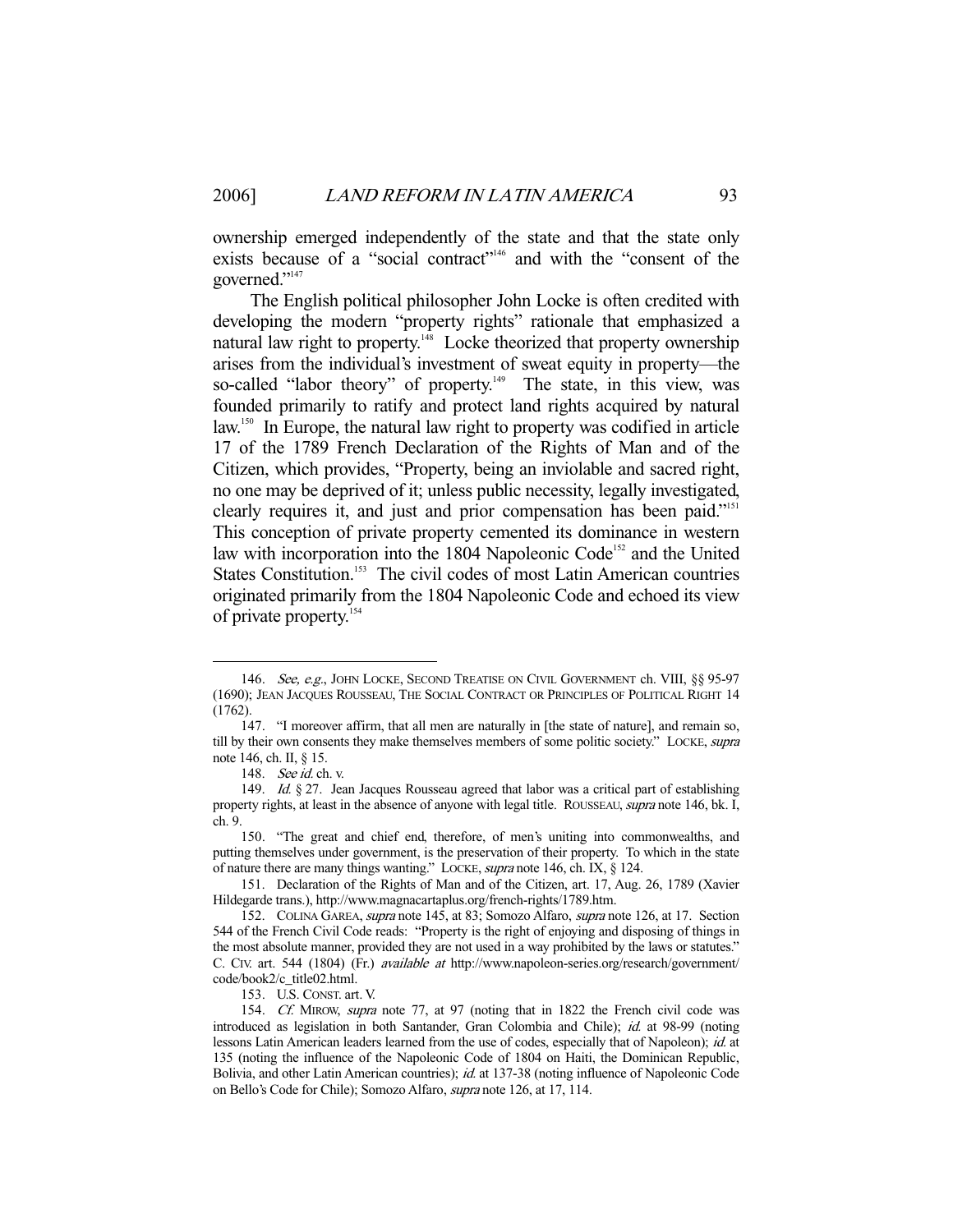ownership emerged independently of the state and that the state only exists because of a "social contract"146 and with the "consent of the governed."147

 The English political philosopher John Locke is often credited with developing the modern "property rights" rationale that emphasized a natural law right to property.<sup>148</sup> Locke theorized that property ownership arises from the individual's investment of sweat equity in property—the so-called "labor theory" of property.<sup>149</sup> The state, in this view, was founded primarily to ratify and protect land rights acquired by natural law.150 In Europe, the natural law right to property was codified in article 17 of the 1789 French Declaration of the Rights of Man and of the Citizen, which provides, "Property, being an inviolable and sacred right, no one may be deprived of it; unless public necessity, legally investigated, clearly requires it, and just and prior compensation has been paid."<sup>151</sup> This conception of private property cemented its dominance in western law with incorporation into the 1804 Napoleonic Code<sup>152</sup> and the United States Constitution.<sup>153</sup> The civil codes of most Latin American countries originated primarily from the 1804 Napoleonic Code and echoed its view of private property.<sup>154</sup>

<sup>146.</sup> See, e.g., JOHN LOCKE, SECOND TREATISE ON CIVIL GOVERNMENT ch. VIII, §§ 95-97 (1690); JEAN JACQUES ROUSSEAU, THE SOCIAL CONTRACT OR PRINCIPLES OF POLITICAL RIGHT 14 (1762).

 <sup>147. &</sup>quot;I moreover affirm, that all men are naturally in [the state of nature], and remain so, till by their own consents they make themselves members of some politic society." LOCKE, supra note 146, ch. II, § 15.

 <sup>148.</sup> See id. ch. v.

<sup>149.</sup> Id. § 27. Jean Jacques Rousseau agreed that labor was a critical part of establishing property rights, at least in the absence of anyone with legal title. ROUSSEAU, supra note 146, bk. I, ch. 9.

 <sup>150. &</sup>quot;The great and chief end, therefore, of men's uniting into commonwealths, and putting themselves under government, is the preservation of their property. To which in the state of nature there are many things wanting." LOCKE, supra note 146, ch. IX, § 124.

 <sup>151.</sup> Declaration of the Rights of Man and of the Citizen, art. 17, Aug. 26, 1789 (Xavier Hildegarde trans.), http://www.magnacartaplus.org/french-rights/1789.htm.

<sup>152.</sup> COLINA GAREA, *supra* note 145, at 83; Somozo Alfaro, *supra* note 126, at 17. Section 544 of the French Civil Code reads: "Property is the right of enjoying and disposing of things in the most absolute manner, provided they are not used in a way prohibited by the laws or statutes." C. CIV. art. 544 (1804) (Fr.) available at http://www.napoleon-series.org/research/government/ code/book2/c\_title02.html.

 <sup>153.</sup> U.S. CONST. art. V.

 <sup>154.</sup> Cf. MIROW, supra note 77, at 97 (noting that in 1822 the French civil code was introduced as legislation in both Santander, Gran Colombia and Chile); id. at 98-99 (noting lessons Latin American leaders learned from the use of codes, especially that of Napoleon); id. at 135 (noting the influence of the Napoleonic Code of 1804 on Haiti, the Dominican Republic, Bolivia, and other Latin American countries); id. at 137-38 (noting influence of Napoleonic Code on Bello's Code for Chile); Somozo Alfaro, supra note 126, at 17, 114.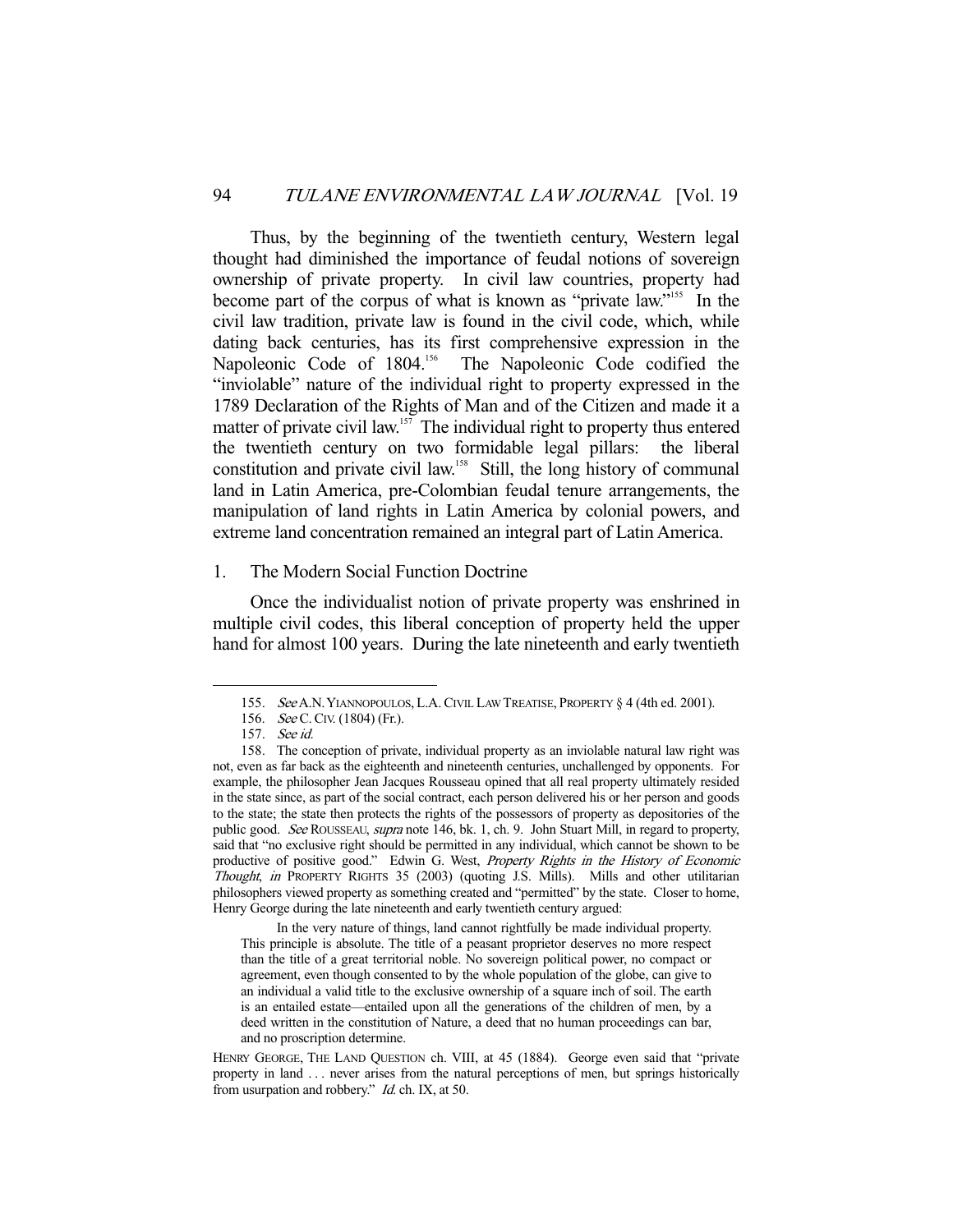Thus, by the beginning of the twentieth century, Western legal thought had diminished the importance of feudal notions of sovereign ownership of private property. In civil law countries, property had become part of the corpus of what is known as "private law."155 In the civil law tradition, private law is found in the civil code, which, while dating back centuries, has its first comprehensive expression in the Napoleonic Code of 1804.<sup>156</sup> The Napoleonic Code codified the "inviolable" nature of the individual right to property expressed in the 1789 Declaration of the Rights of Man and of the Citizen and made it a matter of private civil law.<sup>157</sup> The individual right to property thus entered the twentieth century on two formidable legal pillars: the liberal constitution and private civil law.158 Still, the long history of communal land in Latin America, pre-Colombian feudal tenure arrangements, the manipulation of land rights in Latin America by colonial powers, and extreme land concentration remained an integral part of Latin America.

#### 1. The Modern Social Function Doctrine

 Once the individualist notion of private property was enshrined in multiple civil codes, this liberal conception of property held the upper hand for almost 100 years. During the late nineteenth and early twentieth

-

 In the very nature of things, land cannot rightfully be made individual property. This principle is absolute. The title of a peasant proprietor deserves no more respect than the title of a great territorial noble. No sovereign political power, no compact or agreement, even though consented to by the whole population of the globe, can give to an individual a valid title to the exclusive ownership of a square inch of soil. The earth is an entailed estate—entailed upon all the generations of the children of men, by a deed written in the constitution of Nature, a deed that no human proceedings can bar, and no proscription determine.

<sup>155.</sup> See A.N. YIANNOPOULOS, L.A. CIVIL LAW TREATISE, PROPERTY § 4 (4th ed. 2001).

<sup>156.</sup> *See* C. CIV. (1804) (Fr.).

 <sup>157.</sup> See id.

 <sup>158.</sup> The conception of private, individual property as an inviolable natural law right was not, even as far back as the eighteenth and nineteenth centuries, unchallenged by opponents. For example, the philosopher Jean Jacques Rousseau opined that all real property ultimately resided in the state since, as part of the social contract, each person delivered his or her person and goods to the state; the state then protects the rights of the possessors of property as depositories of the public good. See ROUSSEAU, supra note 146, bk. 1, ch. 9. John Stuart Mill, in regard to property, said that "no exclusive right should be permitted in any individual, which cannot be shown to be productive of positive good." Edwin G. West, Property Rights in the History of Economic Thought, in PROPERTY RIGHTS 35 (2003) (quoting J.S. Mills). Mills and other utilitarian philosophers viewed property as something created and "permitted" by the state. Closer to home, Henry George during the late nineteenth and early twentieth century argued:

HENRY GEORGE, THE LAND QUESTION ch. VIII, at 45 (1884). George even said that "private property in land . . . never arises from the natural perceptions of men, but springs historically from usurpation and robbery." *Id.* ch. IX, at 50.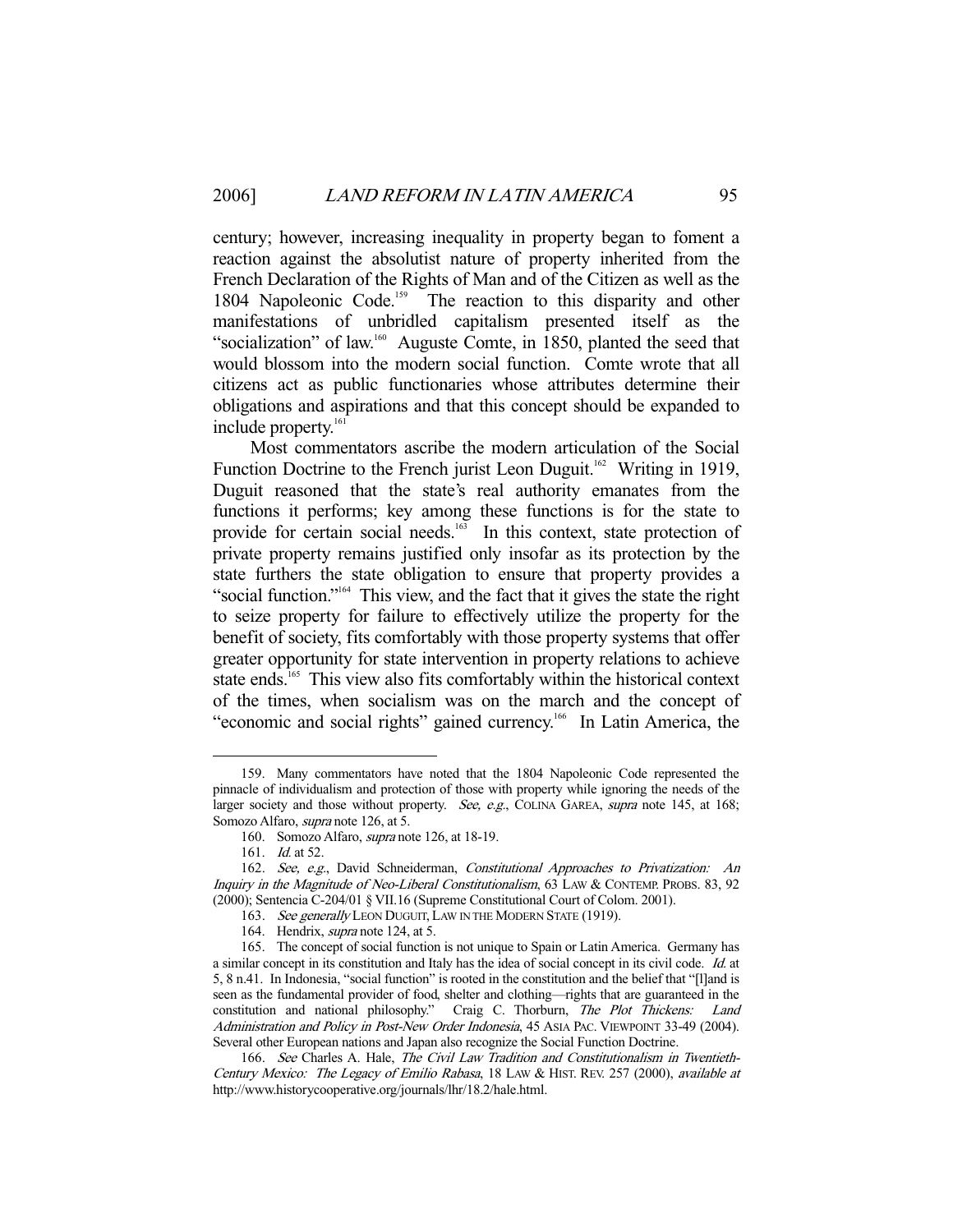century; however, increasing inequality in property began to foment a reaction against the absolutist nature of property inherited from the French Declaration of the Rights of Man and of the Citizen as well as the 1804 Napoleonic Code.<sup>159</sup> The reaction to this disparity and other manifestations of unbridled capitalism presented itself as the "socialization" of law.<sup>160</sup> Auguste Comte, in 1850, planted the seed that would blossom into the modern social function. Comte wrote that all citizens act as public functionaries whose attributes determine their obligations and aspirations and that this concept should be expanded to include property.<sup>161</sup>

 Most commentators ascribe the modern articulation of the Social Function Doctrine to the French jurist Leon Duguit.<sup>162</sup> Writing in 1919, Duguit reasoned that the state's real authority emanates from the functions it performs; key among these functions is for the state to provide for certain social needs.<sup>163</sup> In this context, state protection of private property remains justified only insofar as its protection by the state furthers the state obligation to ensure that property provides a "social function."164 This view, and the fact that it gives the state the right to seize property for failure to effectively utilize the property for the benefit of society, fits comfortably with those property systems that offer greater opportunity for state intervention in property relations to achieve state ends.<sup>165</sup> This view also fits comfortably within the historical context of the times, when socialism was on the march and the concept of "economic and social rights" gained currency.<sup>166</sup> In Latin America, the

 <sup>159.</sup> Many commentators have noted that the 1804 Napoleonic Code represented the pinnacle of individualism and protection of those with property while ignoring the needs of the larger society and those without property. See, e.g., COLINA GAREA, supra note 145, at 168; Somozo Alfaro, *supra* note 126, at 5.

 <sup>160.</sup> Somozo Alfaro, supra note 126, at 18-19.

<sup>161.</sup> *Id.* at 52.

 <sup>162.</sup> See, e.g., David Schneiderman, Constitutional Approaches to Privatization: An Inquiry in the Magnitude of Neo-Liberal Constitutionalism, 63 LAW & CONTEMP. PROBS. 83, 92 (2000); Sentencia C-204/01 § VII.16 (Supreme Constitutional Court of Colom. 2001).

<sup>163.</sup> See generally LEON DUGUIT, LAW IN THE MODERN STATE (1919).

<sup>164.</sup> Hendrix, *supra* note 124, at 5.

 <sup>165.</sup> The concept of social function is not unique to Spain or Latin America. Germany has a similar concept in its constitution and Italy has the idea of social concept in its civil code. Id. at 5, 8 n.41. In Indonesia, "social function" is rooted in the constitution and the belief that "[l]and is seen as the fundamental provider of food, shelter and clothing—rights that are guaranteed in the constitution and national philosophy." Craig C. Thorburn, The Plot Thickens: Land Administration and Policy in Post-New Order Indonesia, 45 ASIA PAC. VIEWPOINT 33-49 (2004). Several other European nations and Japan also recognize the Social Function Doctrine.

 <sup>166.</sup> See Charles A. Hale, The Civil Law Tradition and Constitutionalism in Twentieth-Century Mexico: The Legacy of Emilio Rabasa, 18 LAW & HIST. REV. 257 (2000), available at http://www.historycooperative.org/journals/lhr/18.2/hale.html.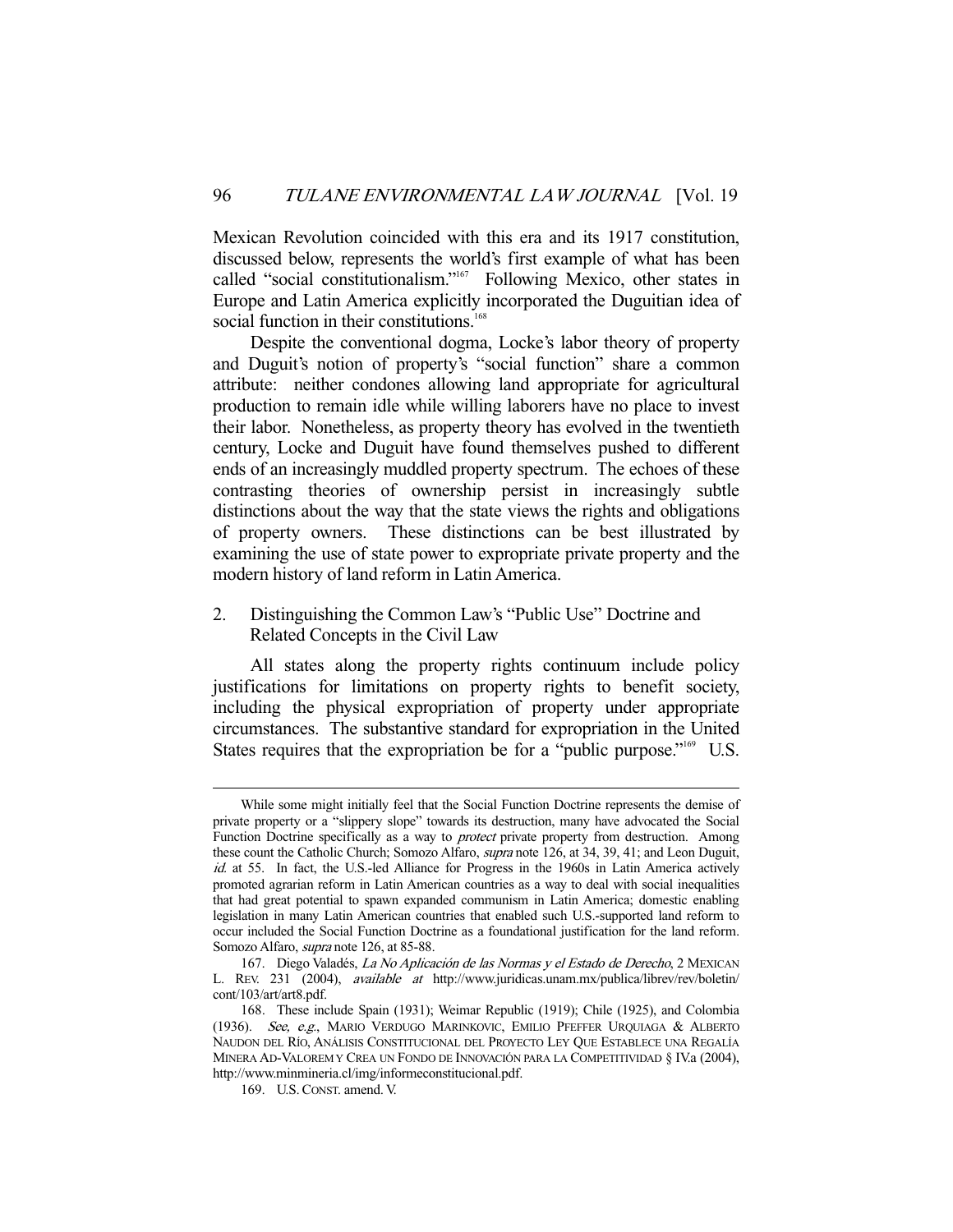Mexican Revolution coincided with this era and its 1917 constitution, discussed below, represents the world's first example of what has been called "social constitutionalism."<sup>167</sup> Following Mexico, other states in Europe and Latin America explicitly incorporated the Duguitian idea of social function in their constitutions.<sup>168</sup>

 Despite the conventional dogma, Locke's labor theory of property and Duguit's notion of property's "social function" share a common attribute: neither condones allowing land appropriate for agricultural production to remain idle while willing laborers have no place to invest their labor. Nonetheless, as property theory has evolved in the twentieth century, Locke and Duguit have found themselves pushed to different ends of an increasingly muddled property spectrum. The echoes of these contrasting theories of ownership persist in increasingly subtle distinctions about the way that the state views the rights and obligations of property owners. These distinctions can be best illustrated by examining the use of state power to expropriate private property and the modern history of land reform in Latin America.

### 2. Distinguishing the Common Law's "Public Use" Doctrine and Related Concepts in the Civil Law

 All states along the property rights continuum include policy justifications for limitations on property rights to benefit society, including the physical expropriation of property under appropriate circumstances. The substantive standard for expropriation in the United States requires that the expropriation be for a "public purpose."<sup>169</sup> U.S.

While some might initially feel that the Social Function Doctrine represents the demise of private property or a "slippery slope" towards its destruction, many have advocated the Social Function Doctrine specifically as a way to *protect* private property from destruction. Among these count the Catholic Church; Somozo Alfaro, *supra* note 126, at 34, 39, 41; and Leon Duguit, id. at 55. In fact, the U.S.-led Alliance for Progress in the 1960s in Latin America actively promoted agrarian reform in Latin American countries as a way to deal with social inequalities that had great potential to spawn expanded communism in Latin America; domestic enabling legislation in many Latin American countries that enabled such U.S.-supported land reform to occur included the Social Function Doctrine as a foundational justification for the land reform. Somozo Alfaro, supra note 126, at 85-88.

<sup>167.</sup> Diego Valadés, La No Aplicación de las Normas y el Estado de Derecho, 2 MEXICAN L. REV. 231 (2004), available at http://www.juridicas.unam.mx/publica/librev/rev/boletin/ cont/103/art/art8.pdf.

 <sup>168.</sup> These include Spain (1931); Weimar Republic (1919); Chile (1925), and Colombia (1936). See, e.g., MARIO VERDUGO MARINKOVIC, EMILIO PFEFFER URQUIAGA & ALBERTO NAUDON DEL RÍO, ANÁLISIS CONSTITUCIONAL DEL PROYECTO LEY QUE ESTABLECE UNA REGALÍA MINERA AD-VALOREM Y CREA UN FONDO DE INNOVACIÓN PARA LA COMPETITIVIDAD § IV.a (2004), http://www.minmineria.cl/img/informeconstitucional.pdf.

 <sup>169.</sup> U.S.CONST. amend. V.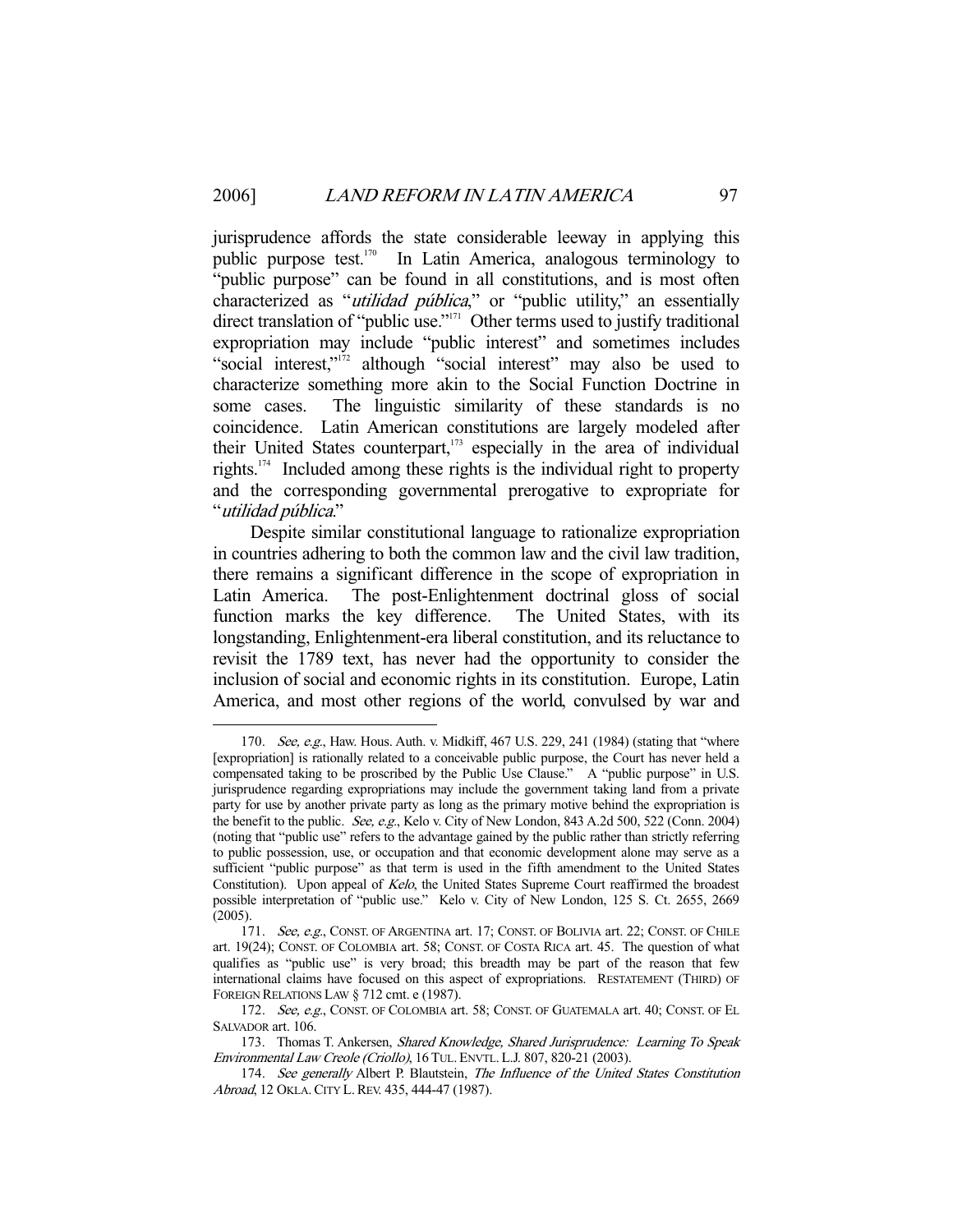jurisprudence affords the state considerable leeway in applying this public purpose test.<sup>170</sup> In Latin America, analogous terminology to "public purpose" can be found in all constitutions, and is most often characterized as "utilidad pública," or "public utility," an essentially direct translation of "public use."<sup>171</sup> Other terms used to justify traditional expropriation may include "public interest" and sometimes includes "social interest,"<sup>172</sup> although "social interest" may also be used to characterize something more akin to the Social Function Doctrine in some cases. The linguistic similarity of these standards is no coincidence. Latin American constitutions are largely modeled after their United States counterpart,<sup>173</sup> especially in the area of individual rights.174 Included among these rights is the individual right to property and the corresponding governmental prerogative to expropriate for "utilidad pública."

 Despite similar constitutional language to rationalize expropriation in countries adhering to both the common law and the civil law tradition, there remains a significant difference in the scope of expropriation in Latin America. The post-Enlightenment doctrinal gloss of social function marks the key difference. The United States, with its longstanding, Enlightenment-era liberal constitution, and its reluctance to revisit the 1789 text, has never had the opportunity to consider the inclusion of social and economic rights in its constitution. Europe, Latin America, and most other regions of the world, convulsed by war and

<sup>170.</sup> See, e.g., Haw. Hous. Auth. v. Midkiff, 467 U.S. 229, 241 (1984) (stating that "where [expropriation] is rationally related to a conceivable public purpose, the Court has never held a compensated taking to be proscribed by the Public Use Clause." A "public purpose" in U.S. jurisprudence regarding expropriations may include the government taking land from a private party for use by another private party as long as the primary motive behind the expropriation is the benefit to the public. See, e.g., Kelo v. City of New London, 843 A.2d 500, 522 (Conn. 2004) (noting that "public use" refers to the advantage gained by the public rather than strictly referring to public possession, use, or occupation and that economic development alone may serve as a sufficient "public purpose" as that term is used in the fifth amendment to the United States Constitution). Upon appeal of *Kelo*, the United States Supreme Court reaffirmed the broadest possible interpretation of "public use." Kelo v. City of New London, 125 S. Ct. 2655, 2669 (2005).

<sup>171.</sup> See, e.g., CONST. OF ARGENTINA art. 17; CONST. OF BOLIVIA art. 22; CONST. OF CHILE art. 19(24); CONST. OF COLOMBIA art. 58; CONST. OF COSTA RICA art. 45. The question of what qualifies as "public use" is very broad; this breadth may be part of the reason that few international claims have focused on this aspect of expropriations. RESTATEMENT (THIRD) OF FOREIGN RELATIONS LAW § 712 cmt. e (1987).

<sup>172.</sup> See, e.g., CONST. OF COLOMBIA art. 58; CONST. OF GUATEMALA art. 40; CONST. OF EL SALVADOR art. 106.

<sup>173.</sup> Thomas T. Ankersen, Shared Knowledge, Shared Jurisprudence: Learning To Speak Environmental Law Creole (Criollo), 16 TUL. ENVTL. L.J. 807, 820-21 (2003).

 <sup>174.</sup> See generally Albert P. Blautstein, The Influence of the United States Constitution Abroad, 12 OKLA. CITY L. REV. 435, 444-47 (1987).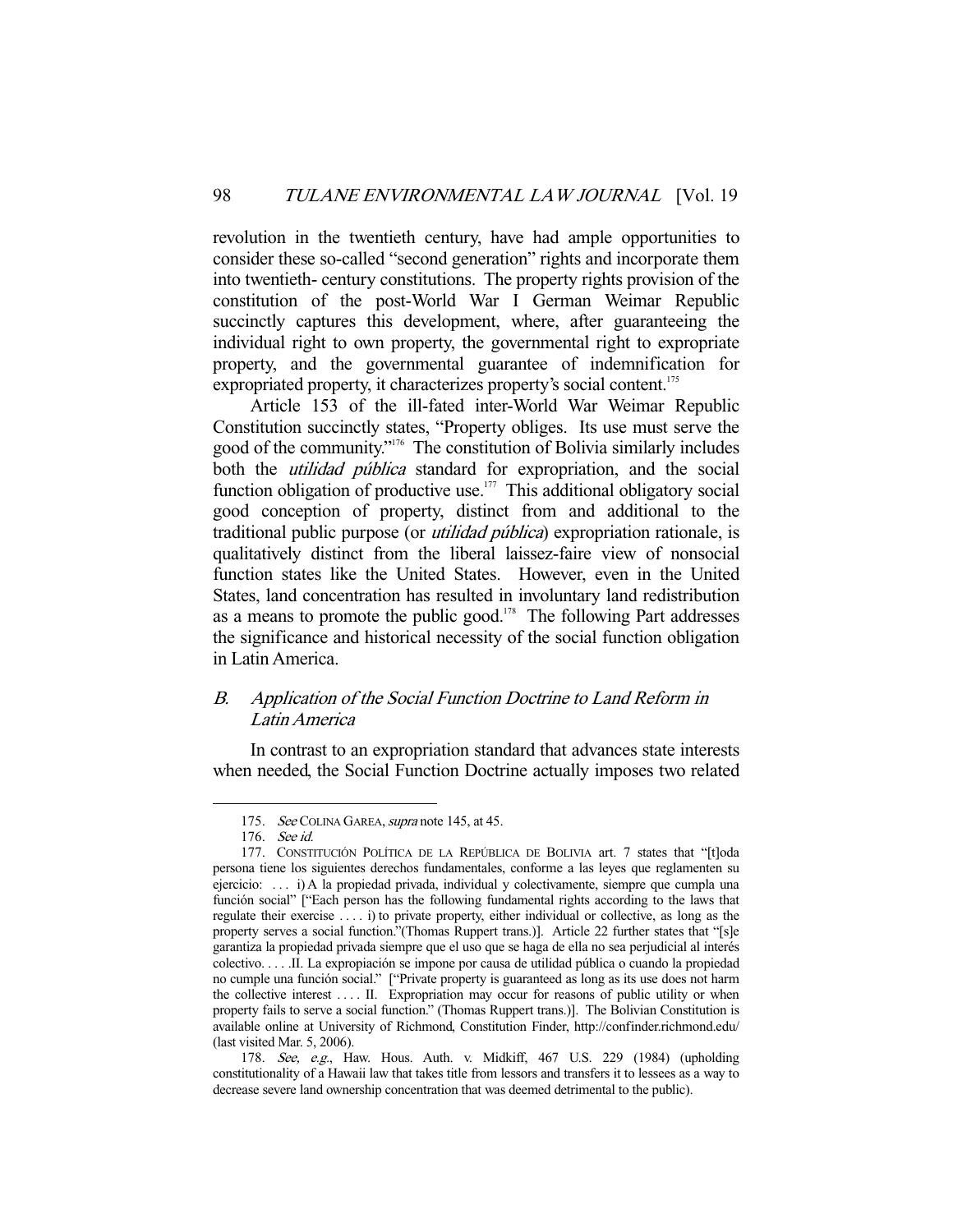revolution in the twentieth century, have had ample opportunities to consider these so-called "second generation" rights and incorporate them into twentieth- century constitutions. The property rights provision of the constitution of the post-World War I German Weimar Republic succinctly captures this development, where, after guaranteeing the individual right to own property, the governmental right to expropriate property, and the governmental guarantee of indemnification for expropriated property, it characterizes property's social content.<sup>175</sup>

 Article 153 of the ill-fated inter-World War Weimar Republic Constitution succinctly states, "Property obliges. Its use must serve the good of the community."176 The constitution of Bolivia similarly includes both the *utilidad pública* standard for expropriation, and the social function obligation of productive use.<sup>177</sup> This additional obligatory social good conception of property, distinct from and additional to the traditional public purpose (or *utilidad pública*) expropriation rationale, is qualitatively distinct from the liberal laissez-faire view of nonsocial function states like the United States. However, even in the United States, land concentration has resulted in involuntary land redistribution as a means to promote the public good.<sup>178</sup> The following Part addresses the significance and historical necessity of the social function obligation in Latin America.

## B. Application of the Social Function Doctrine to Land Reform in Latin America

 In contrast to an expropriation standard that advances state interests when needed, the Social Function Doctrine actually imposes two related

<sup>175.</sup> See COLINA GAREA, supra note 145, at 45.

 <sup>176.</sup> See id.

 <sup>177.</sup> CONSTITUCIÓN POLÍTICA DE LA REPÚBLICA DE BOLIVIA art. 7 states that "[t]oda persona tiene los siguientes derechos fundamentales, conforme a las leyes que reglamenten su ejercicio: . . . i) A la propiedad privada, individual y colectivamente, siempre que cumpla una función social" ["Each person has the following fundamental rights according to the laws that regulate their exercise . . . . i) to private property, either individual or collective, as long as the property serves a social function."(Thomas Ruppert trans.)]. Article 22 further states that "[s]e garantiza la propiedad privada siempre que el uso que se haga de ella no sea perjudicial al interés colectivo. . . . .II. La expropiación se impone por causa de utilidad pública o cuando la propiedad no cumple una función social." ["Private property is guaranteed as long as its use does not harm the collective interest .... II. Expropriation may occur for reasons of public utility or when property fails to serve a social function." (Thomas Ruppert trans.)]. The Bolivian Constitution is available online at University of Richmond, Constitution Finder, http://confinder.richmond.edu/ (last visited Mar. 5, 2006).

<sup>178.</sup> See, e.g., Haw. Hous. Auth. v. Midkiff, 467 U.S. 229 (1984) (upholding constitutionality of a Hawaii law that takes title from lessors and transfers it to lessees as a way to decrease severe land ownership concentration that was deemed detrimental to the public).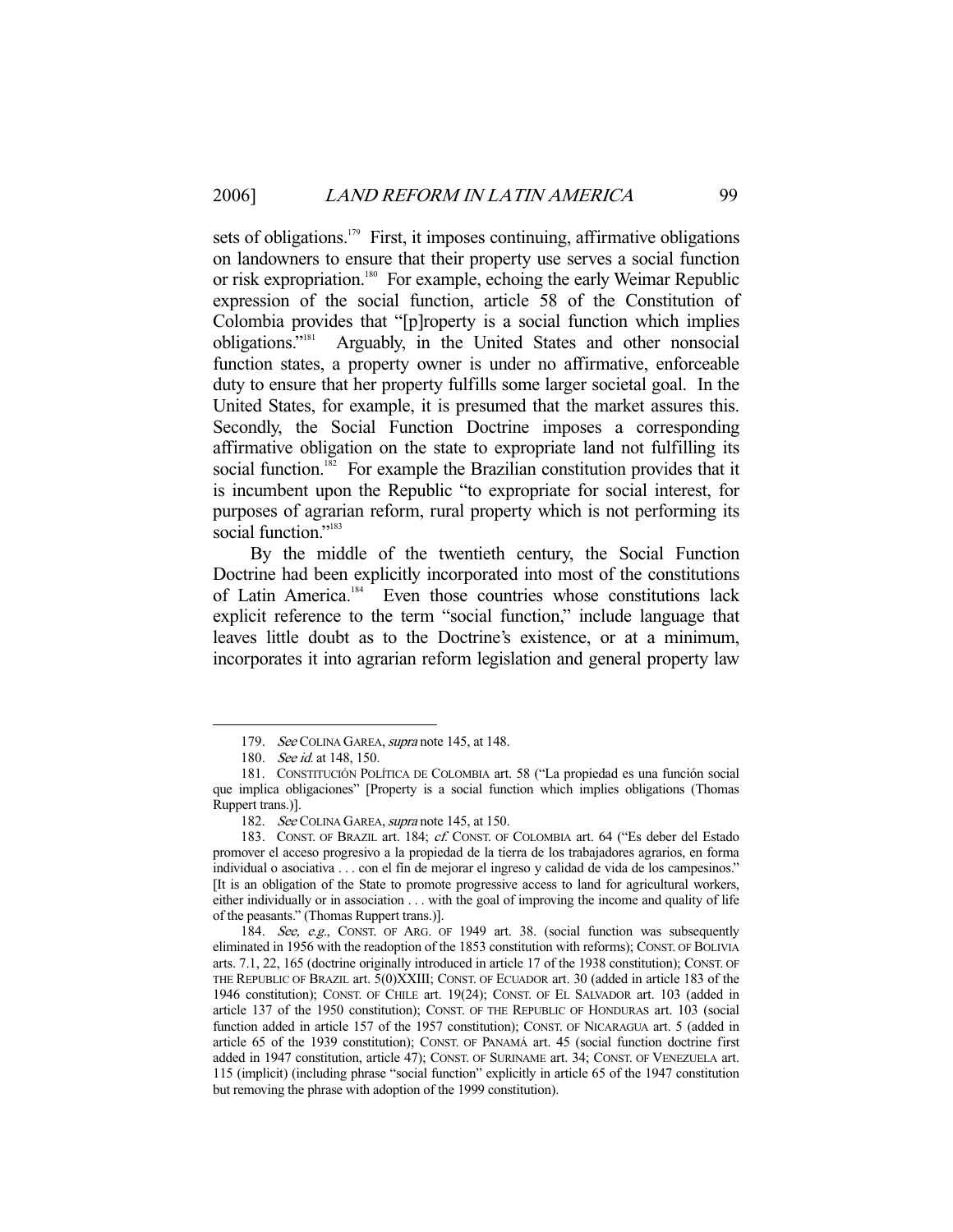sets of obligations.<sup>179</sup> First, it imposes continuing, affirmative obligations on landowners to ensure that their property use serves a social function or risk expropriation.<sup>180</sup> For example, echoing the early Weimar Republic expression of the social function, article 58 of the Constitution of Colombia provides that "[p]roperty is a social function which implies obligations."181 Arguably, in the United States and other nonsocial function states, a property owner is under no affirmative, enforceable duty to ensure that her property fulfills some larger societal goal. In the United States, for example, it is presumed that the market assures this. Secondly, the Social Function Doctrine imposes a corresponding affirmative obligation on the state to expropriate land not fulfilling its social function.<sup>182</sup> For example the Brazilian constitution provides that it is incumbent upon the Republic "to expropriate for social interest, for purposes of agrarian reform, rural property which is not performing its social function."<sup>183</sup>

 By the middle of the twentieth century, the Social Function Doctrine had been explicitly incorporated into most of the constitutions of Latin America.<sup>184</sup> Even those countries whose constitutions lack explicit reference to the term "social function," include language that leaves little doubt as to the Doctrine's existence, or at a minimum, incorporates it into agrarian reform legislation and general property law

<sup>179.</sup> See COLINA GAREA, supra note 145, at 148.

<sup>180.</sup> See id. at 148, 150.

 <sup>181.</sup> CONSTITUCIÓN POLÍTICA DE COLOMBIA art. 58 ("La propiedad es una función social que implica obligaciones" [Property is a social function which implies obligations (Thomas Ruppert trans.)].

<sup>182.</sup> See COLINA GAREA, supra note 145, at 150.

 <sup>183.</sup> CONST. OF BRAZIL art. 184; cf. CONST. OF COLOMBIA art. 64 ("Es deber del Estado promover el acceso progresivo a la propiedad de la tierra de los trabajadores agrarios, en forma individual o asociativa . . . con el fín de mejorar el ingreso y calidad de vida de los campesinos." [It is an obligation of the State to promote progressive access to land for agricultural workers, either individually or in association . . . with the goal of improving the income and quality of life of the peasants." (Thomas Ruppert trans.)].

<sup>184.</sup> See, e.g., CONST. OF ARG. OF 1949 art. 38. (social function was subsequently eliminated in 1956 with the readoption of the 1853 constitution with reforms); CONST. OF BOLIVIA arts. 7.1, 22, 165 (doctrine originally introduced in article 17 of the 1938 constitution); CONST. OF THE REPUBLIC OF BRAZIL art. 5(0)XXIII; CONST. OF ECUADOR art. 30 (added in article 183 of the 1946 constitution); CONST. OF CHILE art. 19(24); CONST. OF EL SALVADOR art. 103 (added in article 137 of the 1950 constitution); CONST. OF THE REPUBLIC OF HONDURAS art. 103 (social function added in article 157 of the 1957 constitution); CONST. OF NICARAGUA art. 5 (added in article 65 of the 1939 constitution); CONST. OF PANAMÁ art. 45 (social function doctrine first added in 1947 constitution, article 47); CONST. OF SURINAME art. 34; CONST. OF VENEZUELA art. 115 (implicit) (including phrase "social function" explicitly in article 65 of the 1947 constitution but removing the phrase with adoption of the 1999 constitution).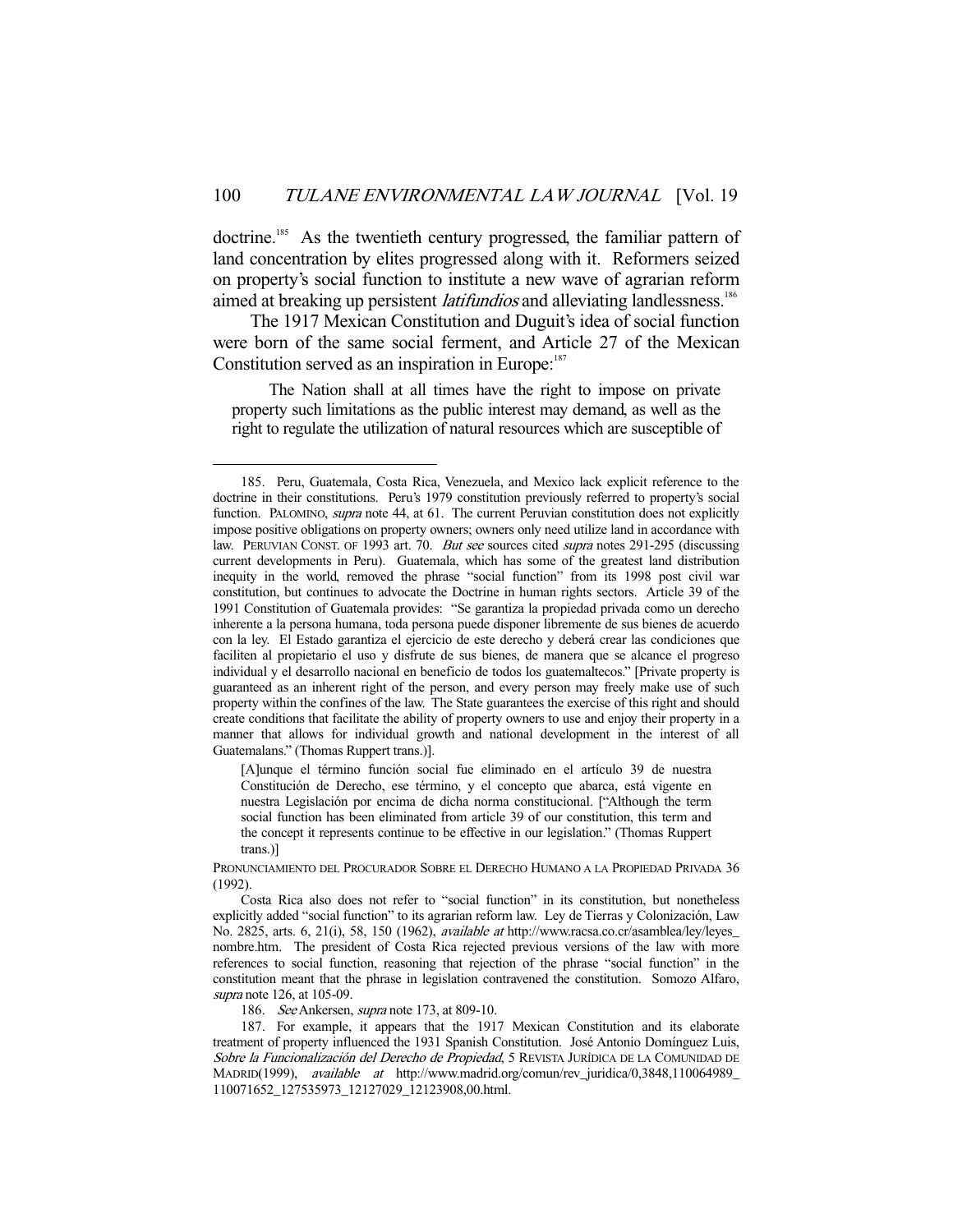doctrine.<sup>185</sup> As the twentieth century progressed, the familiar pattern of land concentration by elites progressed along with it. Reformers seized on property's social function to institute a new wave of agrarian reform aimed at breaking up persistent *latifundios* and alleviating landlessness.<sup>186</sup>

 The 1917 Mexican Constitution and Duguit's idea of social function were born of the same social ferment, and Article 27 of the Mexican Constitution served as an inspiration in Europe:<sup>187</sup>

 The Nation shall at all times have the right to impose on private property such limitations as the public interest may demand, as well as the right to regulate the utilization of natural resources which are susceptible of

[A]unque el término función social fue eliminado en el artículo 39 de nuestra Constitución de Derecho, ese término, y el concepto que abarca, está vigente en nuestra Legislación por encima de dicha norma constitucional. ["Although the term social function has been eliminated from article 39 of our constitution, this term and the concept it represents continue to be effective in our legislation." (Thomas Ruppert trans.)]

PRONUNCIAMIENTO DEL PROCURADOR SOBRE EL DERECHO HUMANO A LA PROPIEDAD PRIVADA 36 (1992).

 Costa Rica also does not refer to "social function" in its constitution, but nonetheless explicitly added "social function" to its agrarian reform law. Ley de Tierras y Colonización, Law No. 2825, arts. 6, 21(i), 58, 150 (1962), *available at* http://www.racsa.co.cr/asamblea/ley/leyes\_ nombre.htm. The president of Costa Rica rejected previous versions of the law with more references to social function, reasoning that rejection of the phrase "social function" in the constitution meant that the phrase in legislation contravened the constitution. Somozo Alfaro, supra note 126, at 105-09.

186. See Ankersen, supra note 173, at 809-10.

-

 187. For example, it appears that the 1917 Mexican Constitution and its elaborate treatment of property influenced the 1931 Spanish Constitution. José Antonio Domínguez Luis, Sobre la Funcionalización del Derecho de Propiedad, 5 REVISTA JURÍDICA DE LA COMUNIDAD DE MADRID(1999), available at http://www.madrid.org/comun/rev\_juridica/0,3848,110064989\_ 110071652\_127535973\_12127029\_12123908,00.html.

 <sup>185.</sup> Peru, Guatemala, Costa Rica, Venezuela, and Mexico lack explicit reference to the doctrine in their constitutions. Peru's 1979 constitution previously referred to property's social function. PALOMINO, *supra* note 44, at 61. The current Peruvian constitution does not explicitly impose positive obligations on property owners; owners only need utilize land in accordance with law. PERUVIAN CONST. OF 1993 art. 70. But see sources cited supra notes 291-295 (discussing current developments in Peru). Guatemala, which has some of the greatest land distribution inequity in the world, removed the phrase "social function" from its 1998 post civil war constitution, but continues to advocate the Doctrine in human rights sectors. Article 39 of the 1991 Constitution of Guatemala provides: "Se garantiza la propiedad privada como un derecho inherente a la persona humana, toda persona puede disponer libremente de sus bienes de acuerdo con la ley. El Estado garantiza el ejercicio de este derecho y deberá crear las condiciones que faciliten al propietario el uso y disfrute de sus bienes, de manera que se alcance el progreso individual y el desarrollo nacional en beneficio de todos los guatemaltecos." [Private property is guaranteed as an inherent right of the person, and every person may freely make use of such property within the confines of the law. The State guarantees the exercise of this right and should create conditions that facilitate the ability of property owners to use and enjoy their property in a manner that allows for individual growth and national development in the interest of all Guatemalans." (Thomas Ruppert trans.)].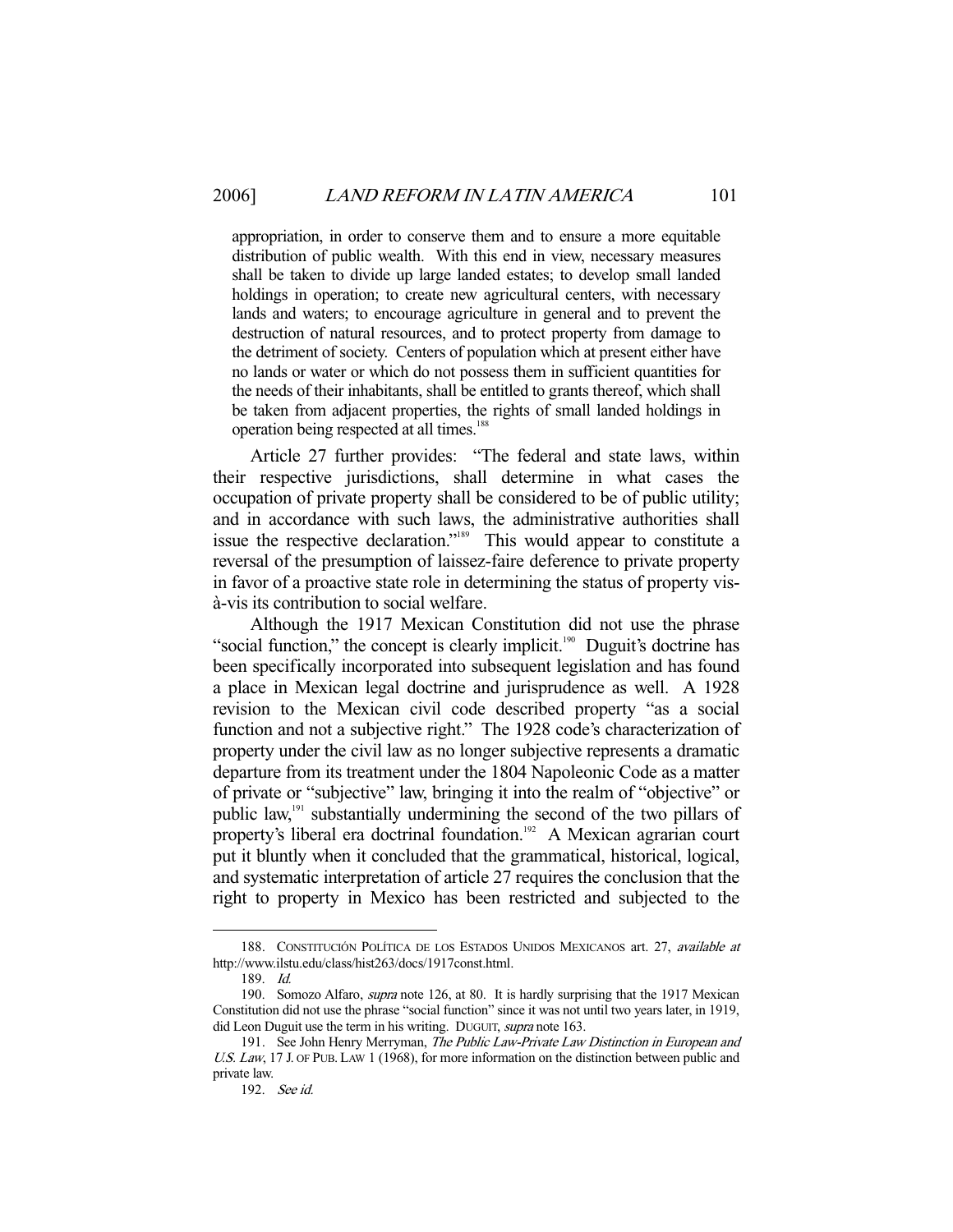appropriation, in order to conserve them and to ensure a more equitable distribution of public wealth. With this end in view, necessary measures shall be taken to divide up large landed estates; to develop small landed holdings in operation; to create new agricultural centers, with necessary lands and waters; to encourage agriculture in general and to prevent the destruction of natural resources, and to protect property from damage to the detriment of society. Centers of population which at present either have no lands or water or which do not possess them in sufficient quantities for the needs of their inhabitants, shall be entitled to grants thereof, which shall be taken from adjacent properties, the rights of small landed holdings in operation being respected at all times.<sup>188</sup>

 Article 27 further provides: "The federal and state laws, within their respective jurisdictions, shall determine in what cases the occupation of private property shall be considered to be of public utility; and in accordance with such laws, the administrative authorities shall issue the respective declaration."189 This would appear to constitute a reversal of the presumption of laissez-faire deference to private property in favor of a proactive state role in determining the status of property visà-vis its contribution to social welfare.

 Although the 1917 Mexican Constitution did not use the phrase "social function," the concept is clearly implicit.<sup>190</sup> Duguit's doctrine has been specifically incorporated into subsequent legislation and has found a place in Mexican legal doctrine and jurisprudence as well. A 1928 revision to the Mexican civil code described property "as a social function and not a subjective right." The 1928 code's characterization of property under the civil law as no longer subjective represents a dramatic departure from its treatment under the 1804 Napoleonic Code as a matter of private or "subjective" law, bringing it into the realm of "objective" or public law,<sup>191</sup> substantially undermining the second of the two pillars of property's liberal era doctrinal foundation.<sup>192</sup> A Mexican agrarian court put it bluntly when it concluded that the grammatical, historical, logical, and systematic interpretation of article 27 requires the conclusion that the right to property in Mexico has been restricted and subjected to the

 <sup>188.</sup> CONSTITUCIÓN POLÍTICA DE LOS ESTADOS UNIDOS MEXICANOS art. 27, available at http://www.ilstu.edu/class/hist263/docs/1917const.html.

 <sup>189.</sup> Id.

 <sup>190.</sup> Somozo Alfaro, supra note 126, at 80. It is hardly surprising that the 1917 Mexican Constitution did not use the phrase "social function" since it was not until two years later, in 1919, did Leon Duguit use the term in his writing. DUGUIT, supra note 163.

<sup>191.</sup> See John Henry Merryman, The Public Law-Private Law Distinction in European and U.S. Law, 17 J. OF PUB. LAW 1 (1968), for more information on the distinction between public and private law.

 <sup>192.</sup> See id.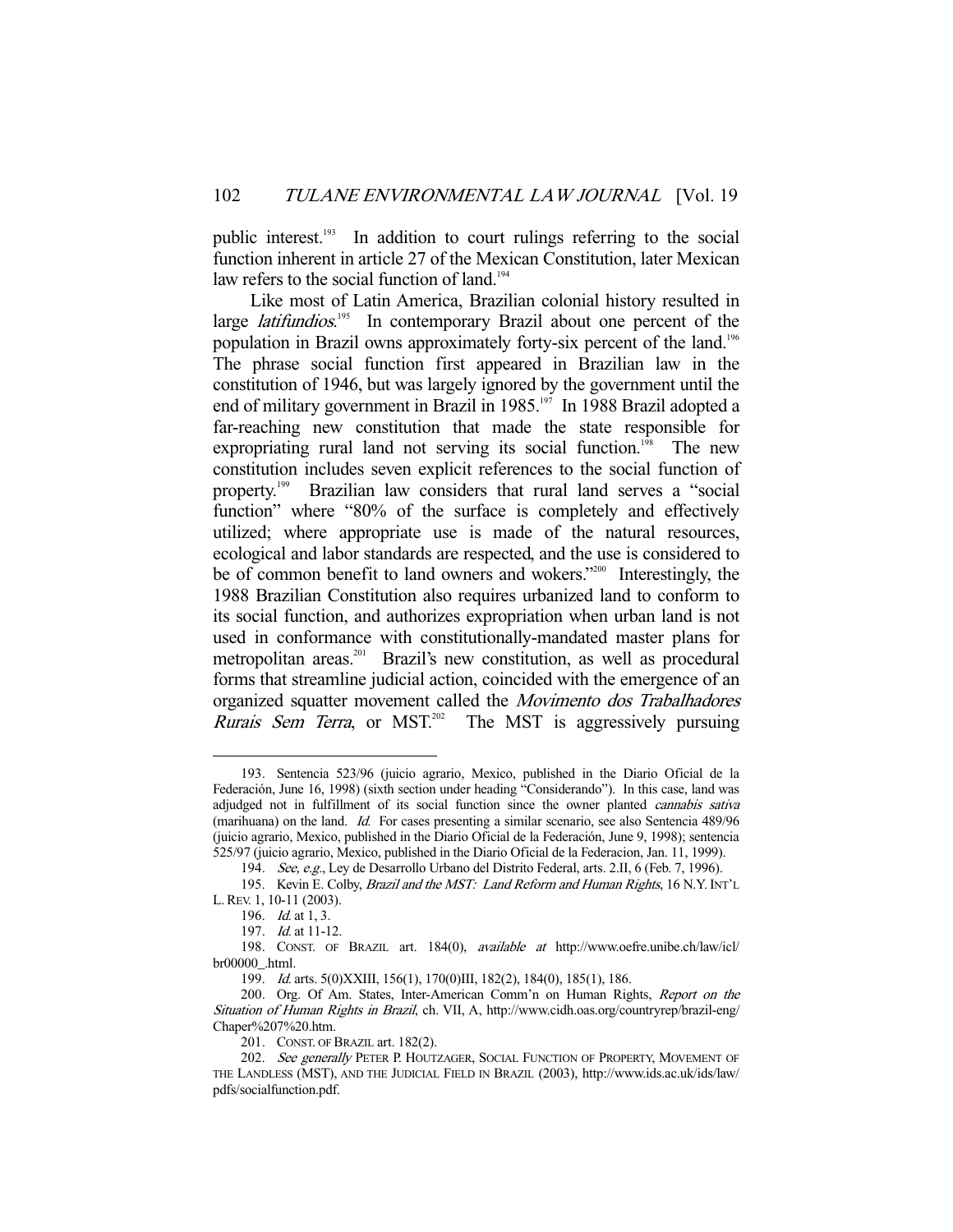public interest.193 In addition to court rulings referring to the social function inherent in article 27 of the Mexican Constitution, later Mexican law refers to the social function of land.<sup>194</sup>

 Like most of Latin America, Brazilian colonial history resulted in large *latifundios*.<sup>195</sup> In contemporary Brazil about one percent of the population in Brazil owns approximately forty-six percent of the land.196 The phrase social function first appeared in Brazilian law in the constitution of 1946, but was largely ignored by the government until the end of military government in Brazil in 1985.<sup>197</sup> In 1988 Brazil adopted a far-reaching new constitution that made the state responsible for expropriating rural land not serving its social function.<sup>198</sup> The new constitution includes seven explicit references to the social function of property.199 Brazilian law considers that rural land serves a "social function" where "80% of the surface is completely and effectively utilized; where appropriate use is made of the natural resources, ecological and labor standards are respected, and the use is considered to be of common benefit to land owners and wokers."<sup>200</sup> Interestingly, the 1988 Brazilian Constitution also requires urbanized land to conform to its social function, and authorizes expropriation when urban land is not used in conformance with constitutionally-mandated master plans for metropolitan areas.<sup>201</sup> Brazil's new constitution, as well as procedural forms that streamline judicial action, coincided with the emergence of an organized squatter movement called the Movimento dos Trabalhadores *Rurais Sem Terra*, or MST.<sup>202</sup> The MST is aggressively pursuing

 <sup>193.</sup> Sentencia 523/96 (juicio agrario, Mexico, published in the Diario Oficial de la Federación, June 16, 1998) (sixth section under heading "Considerando"). In this case, land was adjudged not in fulfillment of its social function since the owner planted *cannabis sativa* (marihuana) on the land. Id. For cases presenting a similar scenario, see also Sentencia 489/96 (juicio agrario, Mexico, published in the Diario Oficial de la Federación, June 9, 1998); sentencia 525/97 (juicio agrario, Mexico, published in the Diario Oficial de la Federacion, Jan. 11, 1999).

<sup>194.</sup> See, e.g., Ley de Desarrollo Urbano del Distrito Federal, arts. 2.II, 6 (Feb. 7, 1996).

<sup>195.</sup> Kevin E. Colby, Brazil and the MST: Land Reform and Human Rights, 16 N.Y. INT'L L.REV. 1, 10-11 (2003).

<sup>196.</sup> *Id.* at 1, 3.

 <sup>197.</sup> Id. at 11-12.

 <sup>198.</sup> CONST. OF BRAZIL art. 184(0), available at http://www.oefre.unibe.ch/law/icl/ br00000\_.html.

 <sup>199.</sup> Id. arts. 5(0)XXIII, 156(1), 170(0)III, 182(2), 184(0), 185(1), 186.

 <sup>200.</sup> Org. Of Am. States, Inter-American Comm'n on Human Rights, Report on the Situation of Human Rights in Brazil, ch. VII, A, http://www.cidh.oas.org/countryrep/brazil-eng/ Chaper%207%20.htm.

 <sup>201.</sup> CONST. OF BRAZIL art. 182(2).

<sup>202.</sup> See generally PETER P. HOUTZAGER, SOCIAL FUNCTION OF PROPERTY, MOVEMENT OF THE LANDLESS (MST), AND THE JUDICIAL FIELD IN BRAZIL (2003), http://www.ids.ac.uk/ids/law/ pdfs/socialfunction.pdf.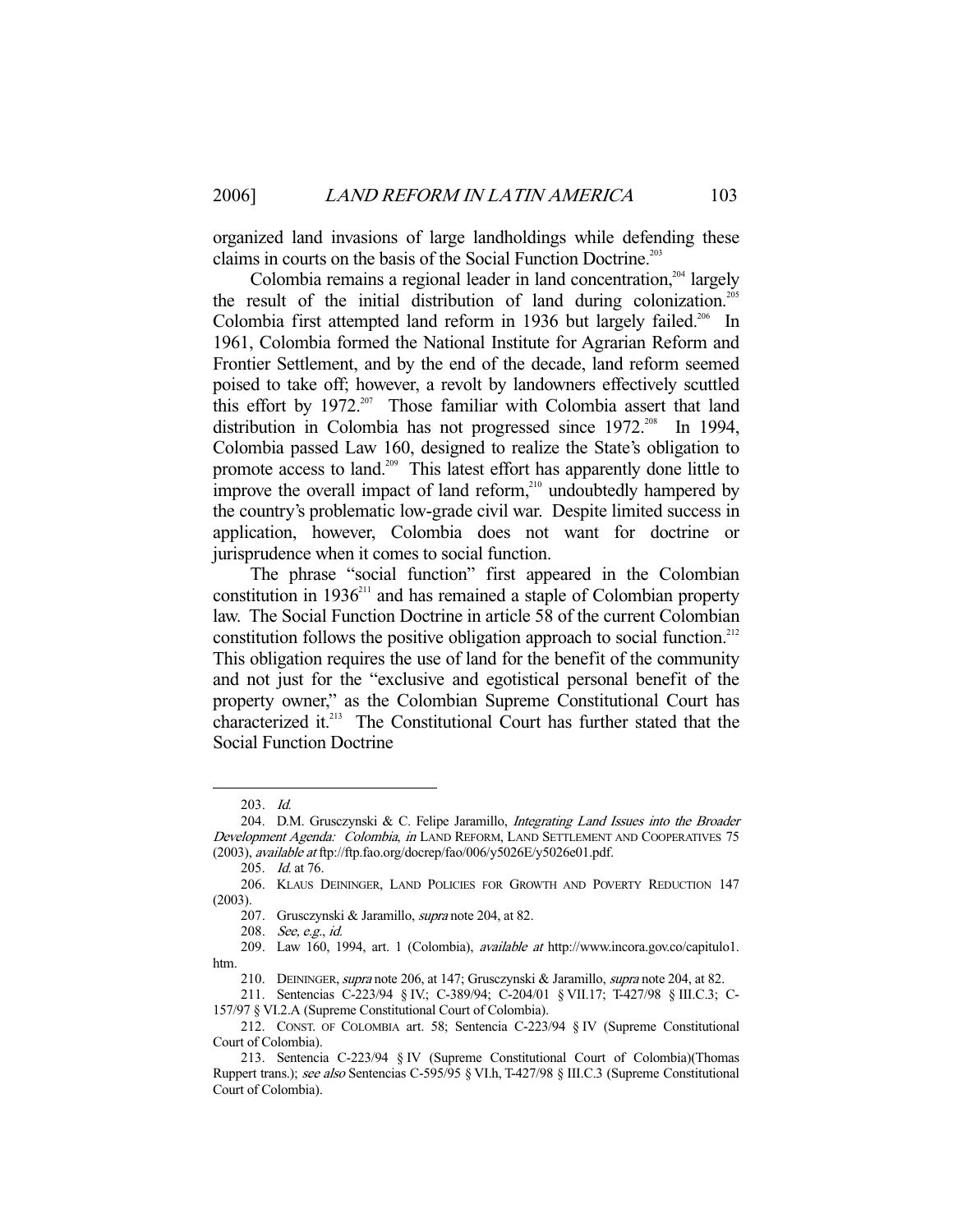organized land invasions of large landholdings while defending these claims in courts on the basis of the Social Function Doctrine.<sup>203</sup>

Colombia remains a regional leader in land concentration, $204$  largely the result of the initial distribution of land during colonization.<sup>205</sup> Colombia first attempted land reform in 1936 but largely failed.<sup>206</sup> In 1961, Colombia formed the National Institute for Agrarian Reform and Frontier Settlement, and by the end of the decade, land reform seemed poised to take off; however, a revolt by landowners effectively scuttled this effort by  $1972.^{207}$  Those familiar with Colombia assert that land distribution in Colombia has not progressed since 1972.<sup>208</sup> In 1994, Colombia passed Law 160, designed to realize the State's obligation to promote access to land.209 This latest effort has apparently done little to improve the overall impact of land reform, $210$  undoubtedly hampered by the country's problematic low-grade civil war. Despite limited success in application, however, Colombia does not want for doctrine or jurisprudence when it comes to social function.

 The phrase "social function" first appeared in the Colombian constitution in  $1936<sup>211</sup>$  and has remained a staple of Colombian property law. The Social Function Doctrine in article 58 of the current Colombian constitution follows the positive obligation approach to social function.<sup>212</sup> This obligation requires the use of land for the benefit of the community and not just for the "exclusive and egotistical personal benefit of the property owner," as the Colombian Supreme Constitutional Court has characterized it.<sup>213</sup> The Constitutional Court has further stated that the Social Function Doctrine

 <sup>203.</sup> Id.

<sup>204.</sup> D.M. Grusczynski & C. Felipe Jaramillo, Integrating Land Issues into the Broader Development Agenda: Colombia, in LAND REFORM, LAND SETTLEMENT AND COOPERATIVES 75 (2003), available at ftp://ftp.fao.org/docrep/fao/006/y5026E/y5026e01.pdf.

 <sup>205.</sup> Id. at 76.

 <sup>206.</sup> KLAUS DEININGER, LAND POLICIES FOR GROWTH AND POVERTY REDUCTION 147 (2003).

<sup>207.</sup> Grusczynski & Jaramillo, *supra* note 204, at 82.

 <sup>208.</sup> See, e.g., id.

 <sup>209.</sup> Law 160, 1994, art. 1 (Colombia), available at http://www.incora.gov.co/capitulo1. htm.

<sup>210.</sup> DEININGER, supra note 206, at 147; Grusczynski & Jaramillo, supra note 204, at 82.

 <sup>211.</sup> Sentencias C-223/94 § IV.; C-389/94; C-204/01 § VII.17; T-427/98 § III.C.3; C-157/97 § VI.2.A (Supreme Constitutional Court of Colombia).

 <sup>212.</sup> CONST. OF COLOMBIA art. 58; Sentencia C-223/94 § IV (Supreme Constitutional Court of Colombia).

 <sup>213.</sup> Sentencia C-223/94 § IV (Supreme Constitutional Court of Colombia)(Thomas Ruppert trans.); see also Sentencias C-595/95 § VI.h, T-427/98 § III.C.3 (Supreme Constitutional Court of Colombia).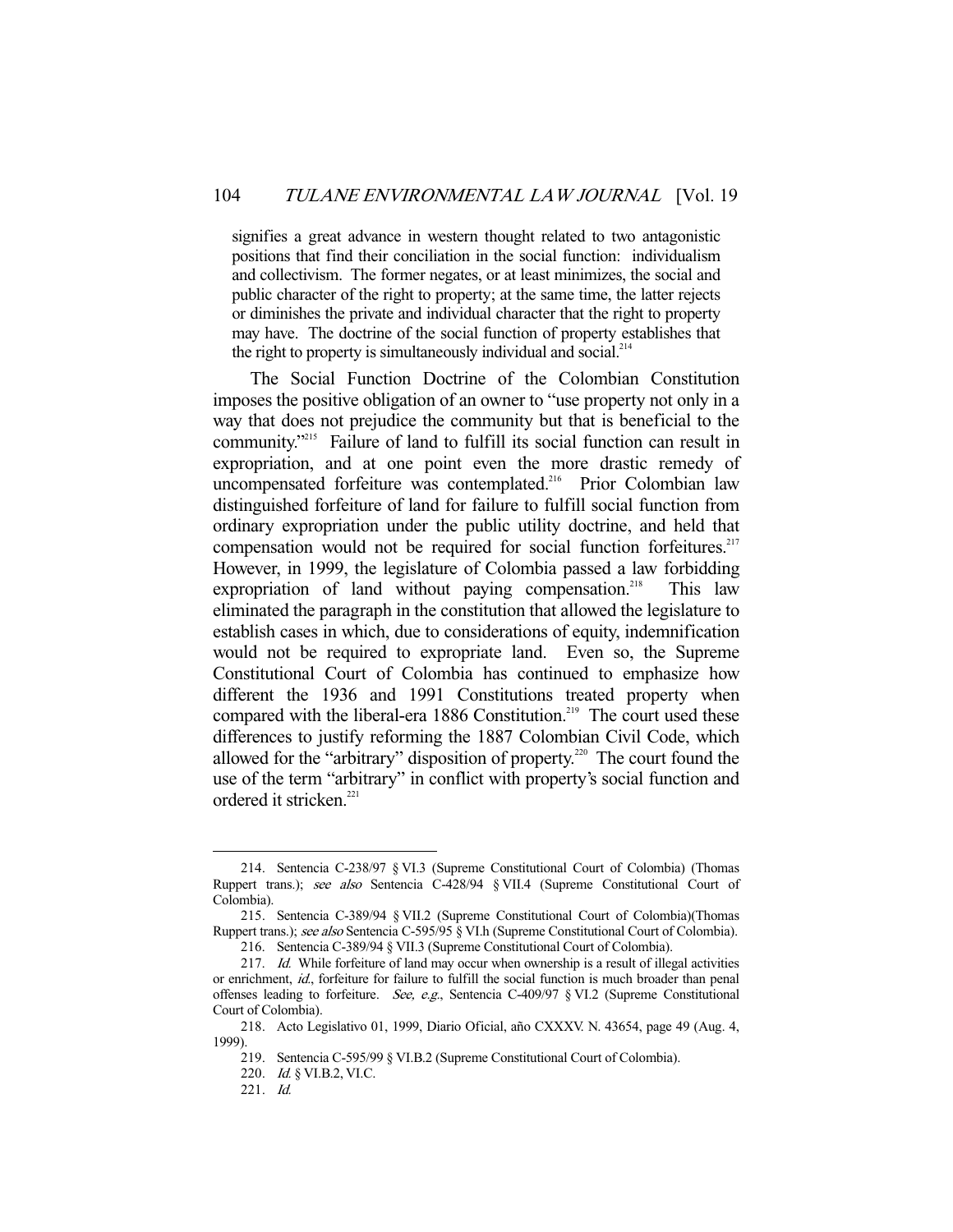signifies a great advance in western thought related to two antagonistic positions that find their conciliation in the social function: individualism and collectivism. The former negates, or at least minimizes, the social and public character of the right to property; at the same time, the latter rejects or diminishes the private and individual character that the right to property may have. The doctrine of the social function of property establishes that the right to property is simultaneously individual and social.<sup>214</sup>

 The Social Function Doctrine of the Colombian Constitution imposes the positive obligation of an owner to "use property not only in a way that does not prejudice the community but that is beneficial to the community."215 Failure of land to fulfill its social function can result in expropriation, and at one point even the more drastic remedy of uncompensated forfeiture was contemplated.<sup>216</sup> Prior Colombian law distinguished forfeiture of land for failure to fulfill social function from ordinary expropriation under the public utility doctrine, and held that compensation would not be required for social function forfeitures.<sup>217</sup> However, in 1999, the legislature of Colombia passed a law forbidding expropriation of land without paying compensation.<sup>218</sup> This law eliminated the paragraph in the constitution that allowed the legislature to establish cases in which, due to considerations of equity, indemnification would not be required to expropriate land. Even so, the Supreme Constitutional Court of Colombia has continued to emphasize how different the 1936 and 1991 Constitutions treated property when compared with the liberal-era 1886 Constitution.<sup>219</sup> The court used these differences to justify reforming the 1887 Colombian Civil Code, which allowed for the "arbitrary" disposition of property.<sup>220</sup> The court found the use of the term "arbitrary" in conflict with property's social function and ordered it stricken.<sup>221</sup>

 <sup>214.</sup> Sentencia C-238/97 § VI.3 (Supreme Constitutional Court of Colombia) (Thomas Ruppert trans.); see also Sentencia C-428/94 § VII.4 (Supreme Constitutional Court of Colombia).

 <sup>215.</sup> Sentencia C-389/94 § VII.2 (Supreme Constitutional Court of Colombia)(Thomas Ruppert trans.); see also Sentencia C-595/95 § VI.h (Supreme Constitutional Court of Colombia).

 <sup>216.</sup> Sentencia C-389/94 § VII.3 (Supreme Constitutional Court of Colombia).

<sup>217.</sup> Id. While forfeiture of land may occur when ownership is a result of illegal activities or enrichment, id., forfeiture for failure to fulfill the social function is much broader than penal offenses leading to forfeiture. See, e.g., Sentencia C-409/97 § VI.2 (Supreme Constitutional Court of Colombia).

 <sup>218.</sup> Acto Legislativo 01, 1999, Diario Oficial, año CXXXV. N. 43654, page 49 (Aug. 4, 1999).

 <sup>219.</sup> Sentencia C-595/99 § VI.B.2 (Supreme Constitutional Court of Colombia).

 <sup>220.</sup> Id. § VI.B.2, VI.C.

 <sup>221.</sup> Id.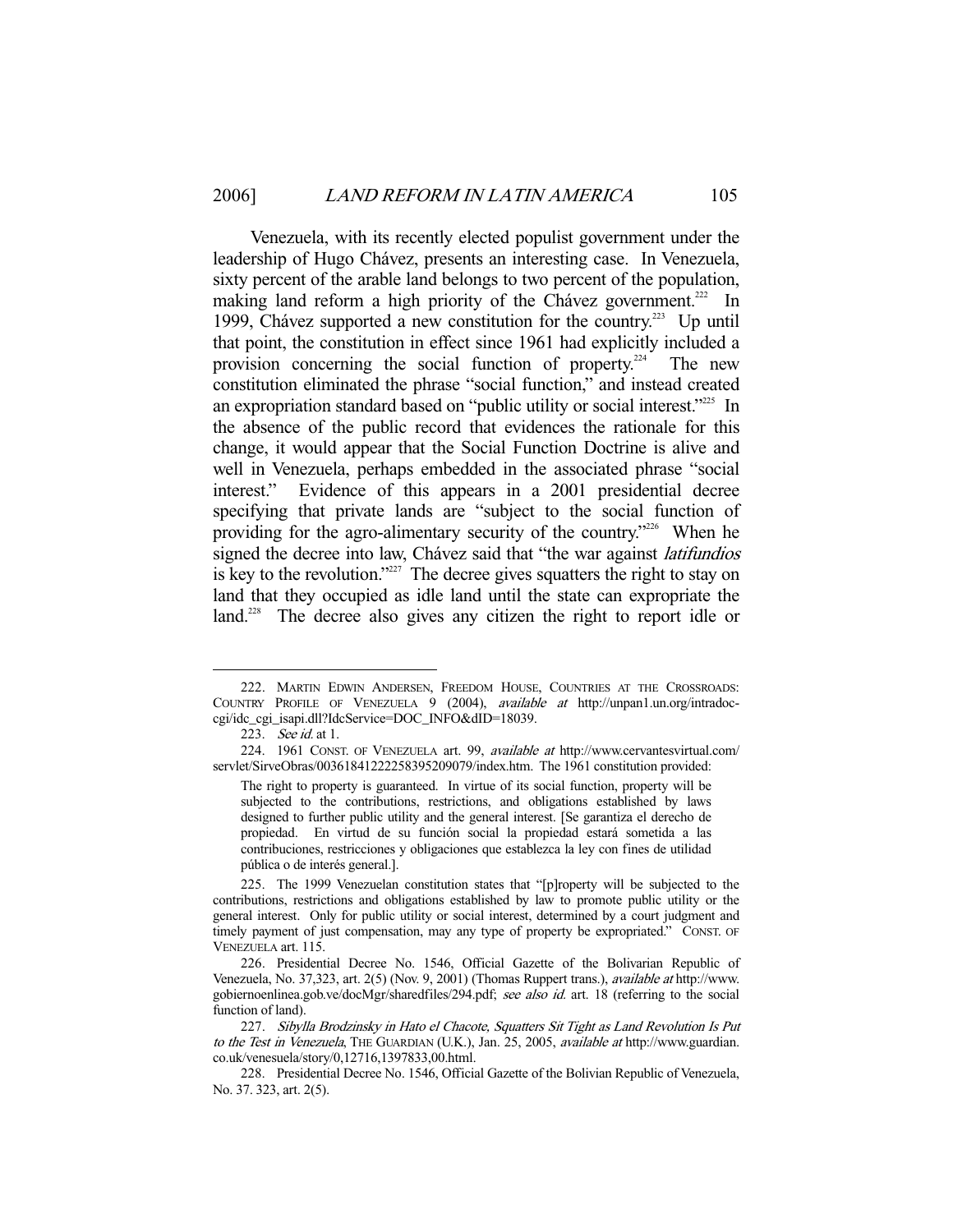Venezuela, with its recently elected populist government under the leadership of Hugo Chávez, presents an interesting case. In Venezuela, sixty percent of the arable land belongs to two percent of the population, making land reform a high priority of the Chávez government.<sup>222</sup> In 1999, Chávez supported a new constitution for the country.<sup>223</sup> Up until that point, the constitution in effect since 1961 had explicitly included a provision concerning the social function of property.<sup>224</sup> The new constitution eliminated the phrase "social function," and instead created an expropriation standard based on "public utility or social interest."<sup>225</sup> In the absence of the public record that evidences the rationale for this change, it would appear that the Social Function Doctrine is alive and well in Venezuela, perhaps embedded in the associated phrase "social interest." Evidence of this appears in a 2001 presidential decree specifying that private lands are "subject to the social function of providing for the agro-alimentary security of the country.<sup> $226$ </sup> When he signed the decree into law, Chávez said that "the war against *latifundios* is key to the revolution."<sup>227</sup> The decree gives squatters the right to stay on land that they occupied as idle land until the state can expropriate the land.<sup>228</sup> The decree also gives any citizen the right to report idle or

 <sup>222.</sup> MARTIN EDWIN ANDERSEN, FREEDOM HOUSE, COUNTRIES AT THE CROSSROADS: COUNTRY PROFILE OF VENEZUELA 9 (2004), available at http://unpan1.un.org/intradoccgi/idc\_cgi\_isapi.dll?IdcService=DOC\_INFO&dID=18039.

<sup>223.</sup> *See id.* at 1.

<sup>224. 1961</sup> CONST. OF VENEZUELA art. 99, *available at http://www.cervantesvirtual.com/* servlet/SirveObras/00361841222258395209079/index.htm. The 1961 constitution provided:

The right to property is guaranteed. In virtue of its social function, property will be subjected to the contributions, restrictions, and obligations established by laws designed to further public utility and the general interest. [Se garantiza el derecho de propiedad. En virtud de su función social la propiedad estará sometida a las contribuciones, restricciones y obligaciones que establezca la ley con fines de utilidad pública o de interés general.].

 <sup>225.</sup> The 1999 Venezuelan constitution states that "[p]roperty will be subjected to the contributions, restrictions and obligations established by law to promote public utility or the general interest. Only for public utility or social interest, determined by a court judgment and timely payment of just compensation, may any type of property be expropriated." CONST. OF VENEZUELA art. 115.

 <sup>226.</sup> Presidential Decree No. 1546, Official Gazette of the Bolivarian Republic of Venezuela, No. 37,323, art. 2(5) (Nov. 9, 2001) (Thomas Ruppert trans.), available at http://www. gobiernoenlinea.gob.ve/docMgr/sharedfiles/294.pdf; see also id. art. 18 (referring to the social function of land).

 <sup>227.</sup> Sibylla Brodzinsky in Hato el Chacote, Squatters Sit Tight as Land Revolution Is Put to the Test in Venezuela, THE GUARDIAN (U.K.), Jan. 25, 2005, available at http://www.guardian. co.uk/venesuela/story/0,12716,1397833,00.html.

 <sup>228.</sup> Presidential Decree No. 1546, Official Gazette of the Bolivian Republic of Venezuela, No. 37. 323, art. 2(5).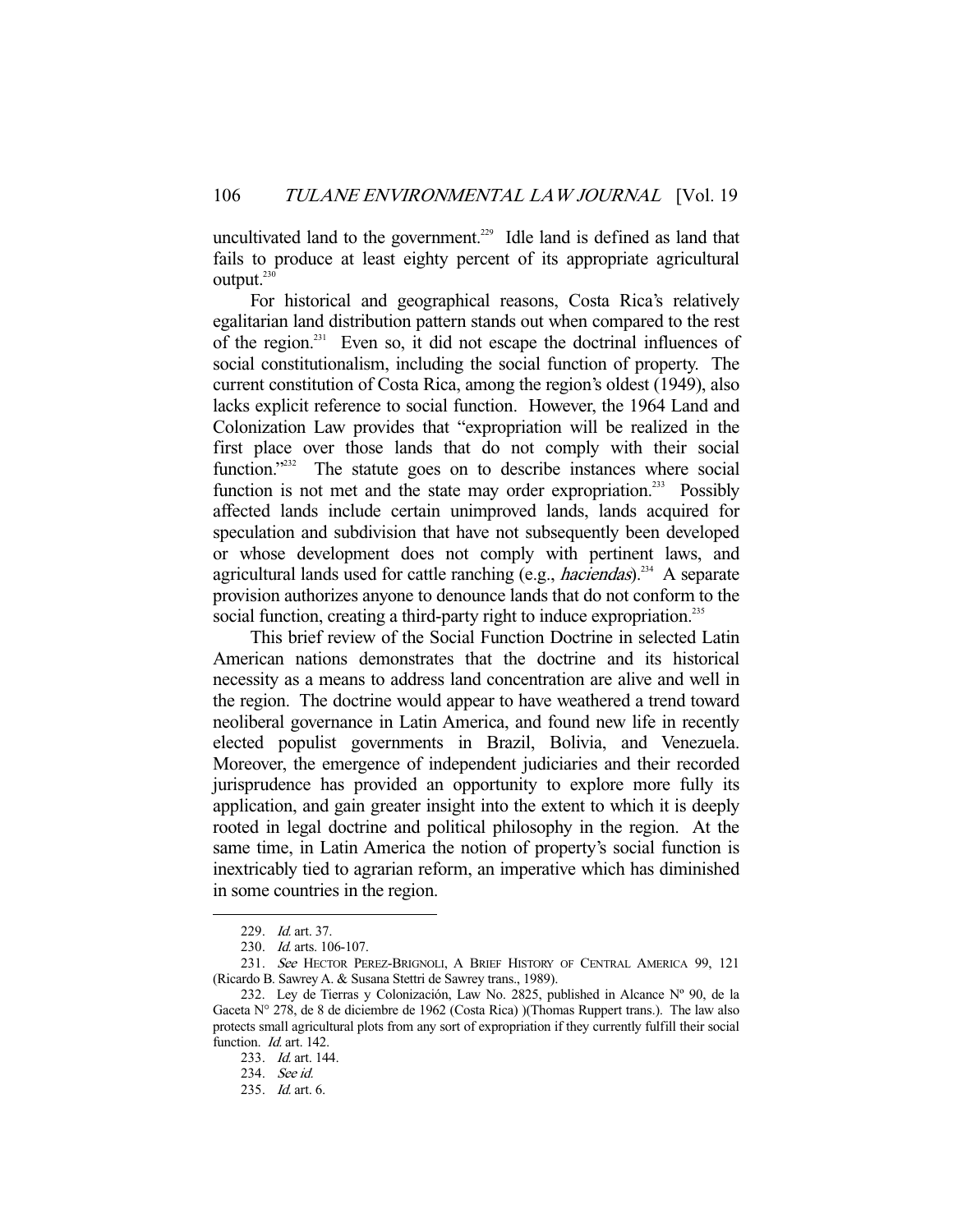uncultivated land to the government.<sup>229</sup> Idle land is defined as land that fails to produce at least eighty percent of its appropriate agricultural output.<sup>230</sup>

 For historical and geographical reasons, Costa Rica's relatively egalitarian land distribution pattern stands out when compared to the rest of the region.<sup>231</sup> Even so, it did not escape the doctrinal influences of social constitutionalism, including the social function of property. The current constitution of Costa Rica, among the region's oldest (1949), also lacks explicit reference to social function. However, the 1964 Land and Colonization Law provides that "expropriation will be realized in the first place over those lands that do not comply with their social function."<sup>232</sup> The statute goes on to describe instances where social function is not met and the state may order expropriation.<sup>233</sup> Possibly affected lands include certain unimproved lands, lands acquired for speculation and subdivision that have not subsequently been developed or whose development does not comply with pertinent laws, and agricultural lands used for cattle ranching (e.g., *haciendas*).<sup>234</sup> A separate provision authorizes anyone to denounce lands that do not conform to the social function, creating a third-party right to induce expropriation.<sup>235</sup>

 This brief review of the Social Function Doctrine in selected Latin American nations demonstrates that the doctrine and its historical necessity as a means to address land concentration are alive and well in the region. The doctrine would appear to have weathered a trend toward neoliberal governance in Latin America, and found new life in recently elected populist governments in Brazil, Bolivia, and Venezuela. Moreover, the emergence of independent judiciaries and their recorded jurisprudence has provided an opportunity to explore more fully its application, and gain greater insight into the extent to which it is deeply rooted in legal doctrine and political philosophy in the region. At the same time, in Latin America the notion of property's social function is inextricably tied to agrarian reform, an imperative which has diminished in some countries in the region.

 <sup>229.</sup> Id. art. 37.

 <sup>230.</sup> Id. arts. 106-107.

<sup>231.</sup> See HECTOR PEREZ-BRIGNOLI, A BRIEF HISTORY OF CENTRAL AMERICA 99, 121 (Ricardo B. Sawrey A. & Susana Stettri de Sawrey trans., 1989).

 <sup>232.</sup> Ley de Tierras y Colonización, Law No. 2825, published in Alcance Nº 90, de la Gaceta  $N^{\circ}$  278, de 8 de diciembre de 1962 (Costa Rica) )(Thomas Ruppert trans.). The law also protects small agricultural plots from any sort of expropriation if they currently fulfill their social function. *Id.* art. 142.

 <sup>233.</sup> Id. art. 144.

 <sup>234.</sup> See id.

 <sup>235.</sup> Id. art. 6.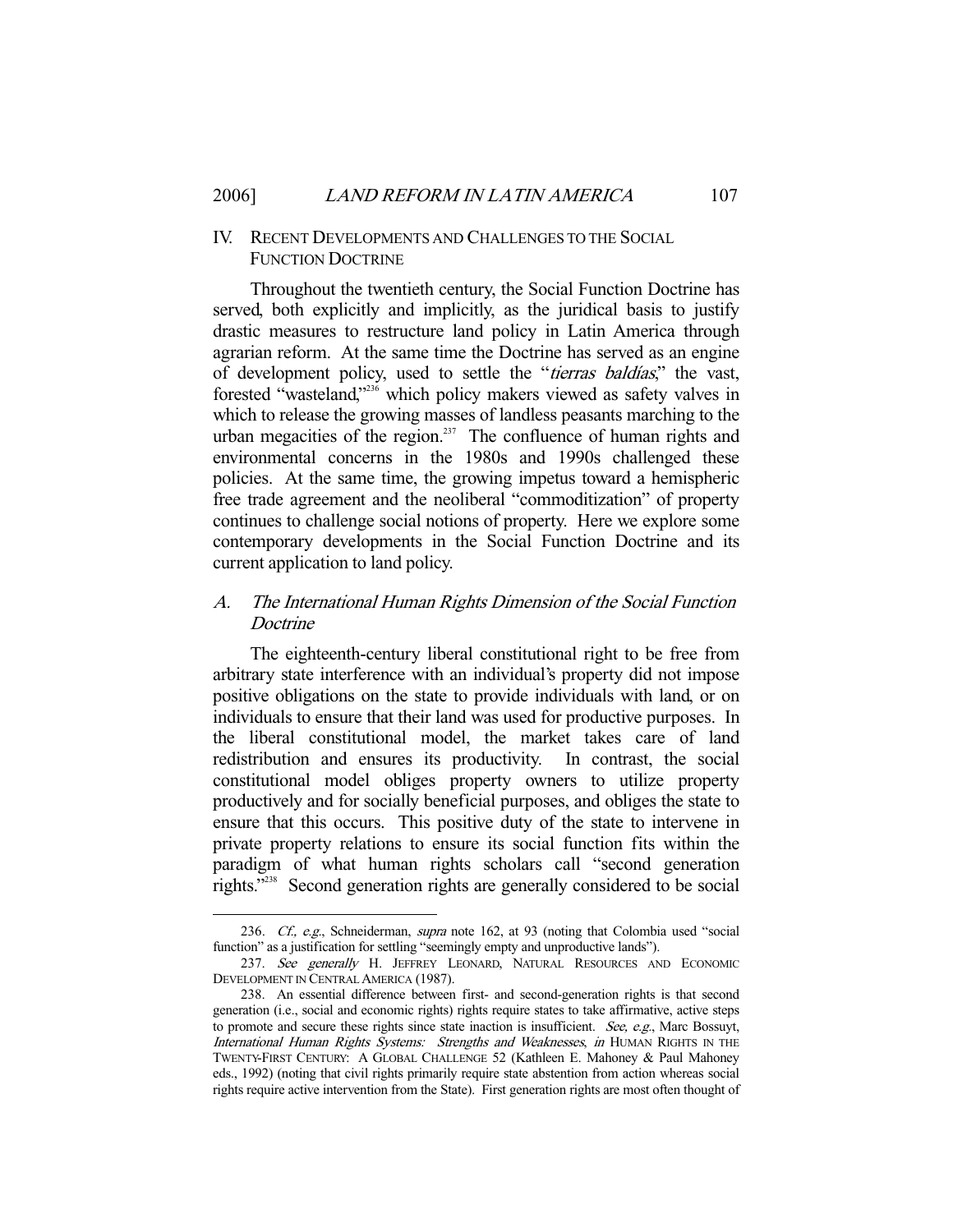#### IV. RECENT DEVELOPMENTS AND CHALLENGES TO THE SOCIAL FUNCTION DOCTRINE

 Throughout the twentieth century, the Social Function Doctrine has served, both explicitly and implicitly, as the juridical basis to justify drastic measures to restructure land policy in Latin America through agrarian reform. At the same time the Doctrine has served as an engine of development policy, used to settle the "tierras baldías," the vast, forested "wasteland,"236 which policy makers viewed as safety valves in which to release the growing masses of landless peasants marching to the urban megacities of the region.<sup>237</sup> The confluence of human rights and environmental concerns in the 1980s and 1990s challenged these policies. At the same time, the growing impetus toward a hemispheric free trade agreement and the neoliberal "commoditization" of property continues to challenge social notions of property. Here we explore some contemporary developments in the Social Function Doctrine and its current application to land policy.

## A. The International Human Rights Dimension of the Social Function **Doctrine**

 The eighteenth-century liberal constitutional right to be free from arbitrary state interference with an individual's property did not impose positive obligations on the state to provide individuals with land, or on individuals to ensure that their land was used for productive purposes. In the liberal constitutional model, the market takes care of land redistribution and ensures its productivity. In contrast, the social constitutional model obliges property owners to utilize property productively and for socially beneficial purposes, and obliges the state to ensure that this occurs. This positive duty of the state to intervene in private property relations to ensure its social function fits within the paradigm of what human rights scholars call "second generation rights."238 Second generation rights are generally considered to be social

<sup>236.</sup> Cf., e.g., Schneiderman, supra note 162, at 93 (noting that Colombia used "social function" as a justification for settling "seemingly empty and unproductive lands").

<sup>237.</sup> See generally H. JEFFREY LEONARD, NATURAL RESOURCES AND ECONOMIC DEVELOPMENT IN CENTRAL AMERICA (1987).

 <sup>238.</sup> An essential difference between first- and second-generation rights is that second generation (i.e., social and economic rights) rights require states to take affirmative, active steps to promote and secure these rights since state inaction is insufficient. See, e.g., Marc Bossuyt, International Human Rights Systems: Strengths and Weaknesses, in HUMAN RIGHTS IN THE TWENTY-FIRST CENTURY: A GLOBAL CHALLENGE 52 (Kathleen E. Mahoney & Paul Mahoney eds., 1992) (noting that civil rights primarily require state abstention from action whereas social rights require active intervention from the State). First generation rights are most often thought of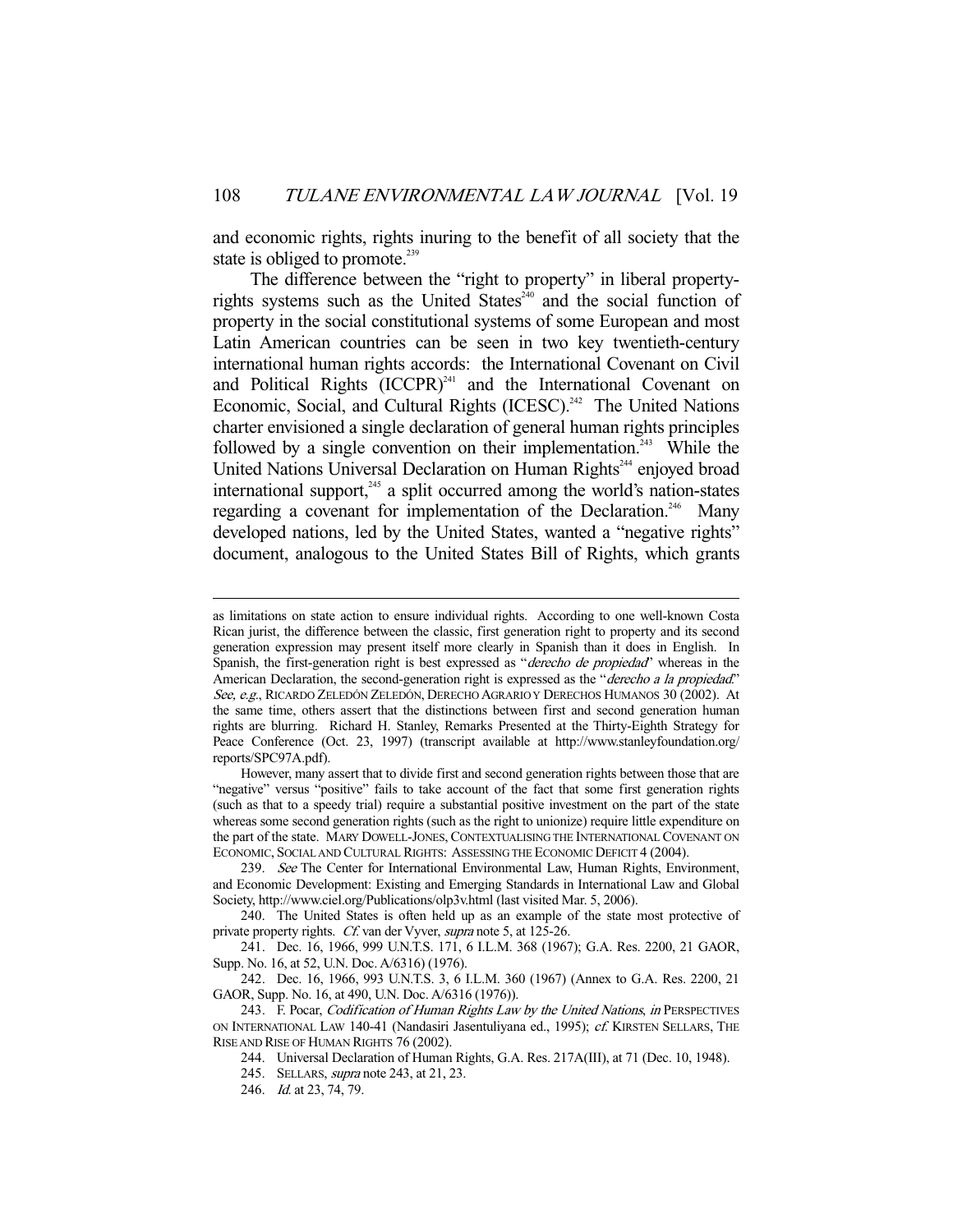and economic rights, rights inuring to the benefit of all society that the state is obliged to promote.<sup>239</sup>

 The difference between the "right to property" in liberal propertyrights systems such as the United States<sup> $240$ </sup> and the social function of property in the social constitutional systems of some European and most Latin American countries can be seen in two key twentieth-century international human rights accords: the International Covenant on Civil and Political Rights (ICCPR)<sup>241</sup> and the International Covenant on Economic, Social, and Cultural Rights (ICESC).<sup>242</sup> The United Nations charter envisioned a single declaration of general human rights principles followed by a single convention on their implementation.<sup>243</sup> While the United Nations Universal Declaration on Human Rights<sup>244</sup> enjoyed broad international support,<sup>245</sup> a split occurred among the world's nation-states regarding a covenant for implementation of the Declaration.<sup>246</sup> Many developed nations, led by the United States, wanted a "negative rights" document, analogous to the United States Bill of Rights, which grants

 However, many assert that to divide first and second generation rights between those that are "negative" versus "positive" fails to take account of the fact that some first generation rights (such as that to a speedy trial) require a substantial positive investment on the part of the state whereas some second generation rights (such as the right to unionize) require little expenditure on the part of the state. MARY DOWELL-JONES,CONTEXTUALISING THE INTERNATIONAL COVENANT ON ECONOMIC, SOCIAL AND CULTURAL RIGHTS: ASSESSING THE ECONOMIC DEFICIT 4 (2004).

 240. The United States is often held up as an example of the state most protective of private property rights. Cf. van der Vyver, supra note 5, at 125-26.

 241. Dec. 16, 1966, 999 U.N.T.S. 171, 6 I.L.M. 368 (1967); G.A. Res. 2200, 21 GAOR, Supp. No. 16, at 52, U.N. Doc. A/6316) (1976).

 242. Dec. 16, 1966, 993 U.N.T.S. 3, 6 I.L.M. 360 (1967) (Annex to G.A. Res. 2200, 21 GAOR, Supp. No. 16, at 490, U.N. Doc. A/6316 (1976)).

243. F. Pocar, Codification of Human Rights Law by the United Nations, in PERSPECTIVES ON INTERNATIONAL LAW 140-41 (Nandasiri Jasentuliyana ed., 1995); cf. KIRSTEN SELLARS, THE RISE AND RISE OF HUMAN RIGHTS 76 (2002).

244. Universal Declaration of Human Rights, G.A. Res. 217A(III), at 71 (Dec. 10, 1948).

245. SELLARS, *supra* note 243, at 21, 23.

246. Id. at 23, 74, 79.

as limitations on state action to ensure individual rights. According to one well-known Costa Rican jurist, the difference between the classic, first generation right to property and its second generation expression may present itself more clearly in Spanish than it does in English. In Spanish, the first-generation right is best expressed as "derecho de propiedad" whereas in the American Declaration, the second-generation right is expressed as the "*derecho a la propiedad*." See, e.g., RICARDO ZELEDÓN ZELEDÓN, DERECHO AGRARIO Y DERECHOS HUMANOS 30 (2002). At the same time, others assert that the distinctions between first and second generation human rights are blurring. Richard H. Stanley, Remarks Presented at the Thirty-Eighth Strategy for Peace Conference (Oct. 23, 1997) (transcript available at http://www.stanleyfoundation.org/ reports/SPC97A.pdf).

<sup>239.</sup> See The Center for International Environmental Law, Human Rights, Environment, and Economic Development: Existing and Emerging Standards in International Law and Global Society, http://www.ciel.org/Publications/olp3v.html (last visited Mar. 5, 2006).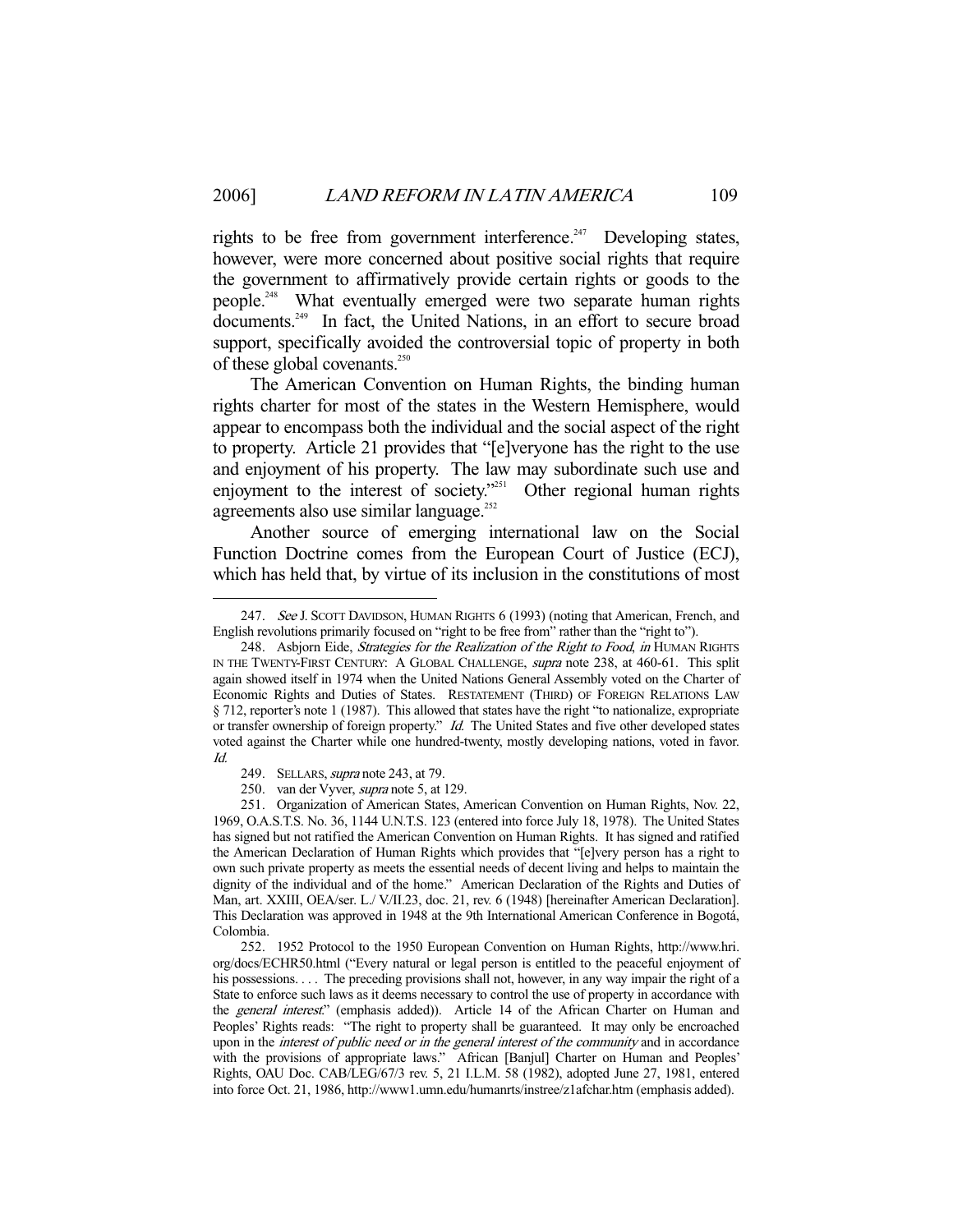rights to be free from government interference.<sup>247</sup> Developing states, however, were more concerned about positive social rights that require the government to affirmatively provide certain rights or goods to the people.<sup>248</sup> What eventually emerged were two separate human rights documents.249 In fact, the United Nations, in an effort to secure broad support, specifically avoided the controversial topic of property in both of these global covenants. $250$ 

 The American Convention on Human Rights, the binding human rights charter for most of the states in the Western Hemisphere, would appear to encompass both the individual and the social aspect of the right to property. Article 21 provides that "[e]veryone has the right to the use and enjoyment of his property. The law may subordinate such use and enjoyment to the interest of society."<sup>251</sup> Other regional human rights agreements also use similar language. $252$ 

 Another source of emerging international law on the Social Function Doctrine comes from the European Court of Justice (ECJ), which has held that, by virtue of its inclusion in the constitutions of most

-

250. van der Vyver, supra note 5, at 129.

 251. Organization of American States, American Convention on Human Rights, Nov. 22, 1969, O.A.S.T.S. No. 36, 1144 U.N.T.S. 123 (entered into force July 18, 1978). The United States has signed but not ratified the American Convention on Human Rights. It has signed and ratified the American Declaration of Human Rights which provides that "[e]very person has a right to own such private property as meets the essential needs of decent living and helps to maintain the dignity of the individual and of the home." American Declaration of the Rights and Duties of Man, art. XXIII, OEA/ser. L./ V./II.23, doc. 21, rev. 6 (1948) [hereinafter American Declaration]. This Declaration was approved in 1948 at the 9th International American Conference in Bogotá, Colombia.

 252. 1952 Protocol to the 1950 European Convention on Human Rights, http://www.hri. org/docs/ECHR50.html ("Every natural or legal person is entitled to the peaceful enjoyment of his possessions. . . . The preceding provisions shall not, however, in any way impair the right of a State to enforce such laws as it deems necessary to control the use of property in accordance with the general interest." (emphasis added)). Article 14 of the African Charter on Human and Peoples' Rights reads: "The right to property shall be guaranteed. It may only be encroached upon in the *interest of public need or in the general interest of the community* and in accordance with the provisions of appropriate laws." African [Banjul] Charter on Human and Peoples' Rights, OAU Doc. CAB/LEG/67/3 rev. 5, 21 I.L.M. 58 (1982), adopted June 27, 1981, entered into force Oct. 21, 1986, http://www1.umn.edu/humanrts/instree/z1afchar.htm (emphasis added).

<sup>247.</sup> See J. SCOTT DAVIDSON, HUMAN RIGHTS 6 (1993) (noting that American, French, and English revolutions primarily focused on "right to be free from" rather than the "right to").

<sup>248.</sup> Asbjorn Eide, Strategies for the Realization of the Right to Food, in HUMAN RIGHTS IN THE TWENTY-FIRST CENTURY: A GLOBAL CHALLENGE, *supra* note 238, at 460-61. This split again showed itself in 1974 when the United Nations General Assembly voted on the Charter of Economic Rights and Duties of States. RESTATEMENT (THIRD) OF FOREIGN RELATIONS LAW § 712, reporter's note 1 (1987). This allowed that states have the right "to nationalize, expropriate or transfer ownership of foreign property." Id. The United States and five other developed states voted against the Charter while one hundred-twenty, mostly developing nations, voted in favor. Id.

<sup>249.</sup> SELLARS, *supra* note 243, at 79.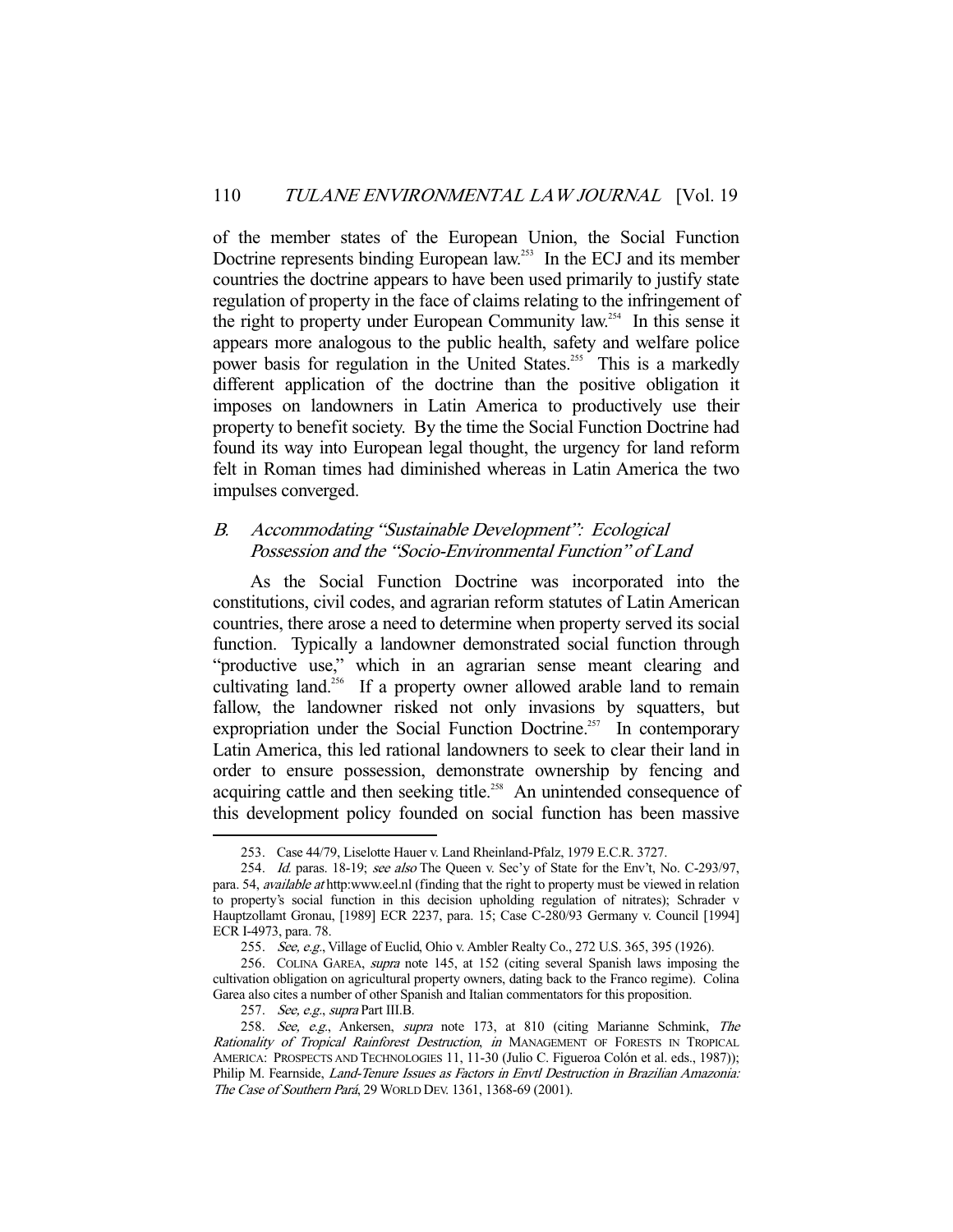of the member states of the European Union, the Social Function Doctrine represents binding European law.<sup>253</sup> In the ECJ and its member countries the doctrine appears to have been used primarily to justify state regulation of property in the face of claims relating to the infringement of the right to property under European Community law.254 In this sense it appears more analogous to the public health, safety and welfare police power basis for regulation in the United States.<sup>255</sup> This is a markedly different application of the doctrine than the positive obligation it imposes on landowners in Latin America to productively use their property to benefit society. By the time the Social Function Doctrine had found its way into European legal thought, the urgency for land reform felt in Roman times had diminished whereas in Latin America the two impulses converged.

## B. Accommodating "Sustainable Development": Ecological Possession and the "Socio-Environmental Function" of Land

 As the Social Function Doctrine was incorporated into the constitutions, civil codes, and agrarian reform statutes of Latin American countries, there arose a need to determine when property served its social function. Typically a landowner demonstrated social function through "productive use," which in an agrarian sense meant clearing and cultivating land.<sup>256</sup> If a property owner allowed arable land to remain fallow, the landowner risked not only invasions by squatters, but expropriation under the Social Function Doctrine.<sup>257</sup> In contemporary Latin America, this led rational landowners to seek to clear their land in order to ensure possession, demonstrate ownership by fencing and acquiring cattle and then seeking title.<sup>258</sup> An unintended consequence of this development policy founded on social function has been massive

 <sup>253.</sup> Case 44/79, Liselotte Hauer v. Land Rheinland-Pfalz, 1979 E.C.R. 3727.

 <sup>254.</sup> Id. paras. 18-19; see also The Queen v. Sec'y of State for the Env't, No. C-293/97, para. 54, available at http:www.eel.nl (finding that the right to property must be viewed in relation to property's social function in this decision upholding regulation of nitrates); Schrader v Hauptzollamt Gronau, [1989] ECR 2237, para. 15; Case C-280/93 Germany v. Council [1994] ECR I-4973, para. 78.

<sup>255.</sup> See, e.g., Village of Euclid, Ohio v. Ambler Realty Co., 272 U.S. 365, 395 (1926).

 <sup>256.</sup> COLINA GAREA, supra note 145, at 152 (citing several Spanish laws imposing the cultivation obligation on agricultural property owners, dating back to the Franco regime). Colina Garea also cites a number of other Spanish and Italian commentators for this proposition.

 <sup>257.</sup> See, e.g., supra Part III.B.

<sup>258.</sup> See, e.g., Ankersen, supra note 173, at 810 (citing Marianne Schmink, The Rationality of Tropical Rainforest Destruction, in MANAGEMENT OF FORESTS IN TROPICAL AMERICA: PROSPECTS AND TECHNOLOGIES 11, 11-30 (Julio C. Figueroa Colón et al. eds., 1987)); Philip M. Fearnside, Land-Tenure Issues as Factors in Envtl Destruction in Brazilian Amazonia: The Case of Southern Pará, 29 WORLD DEV. 1361, 1368-69 (2001).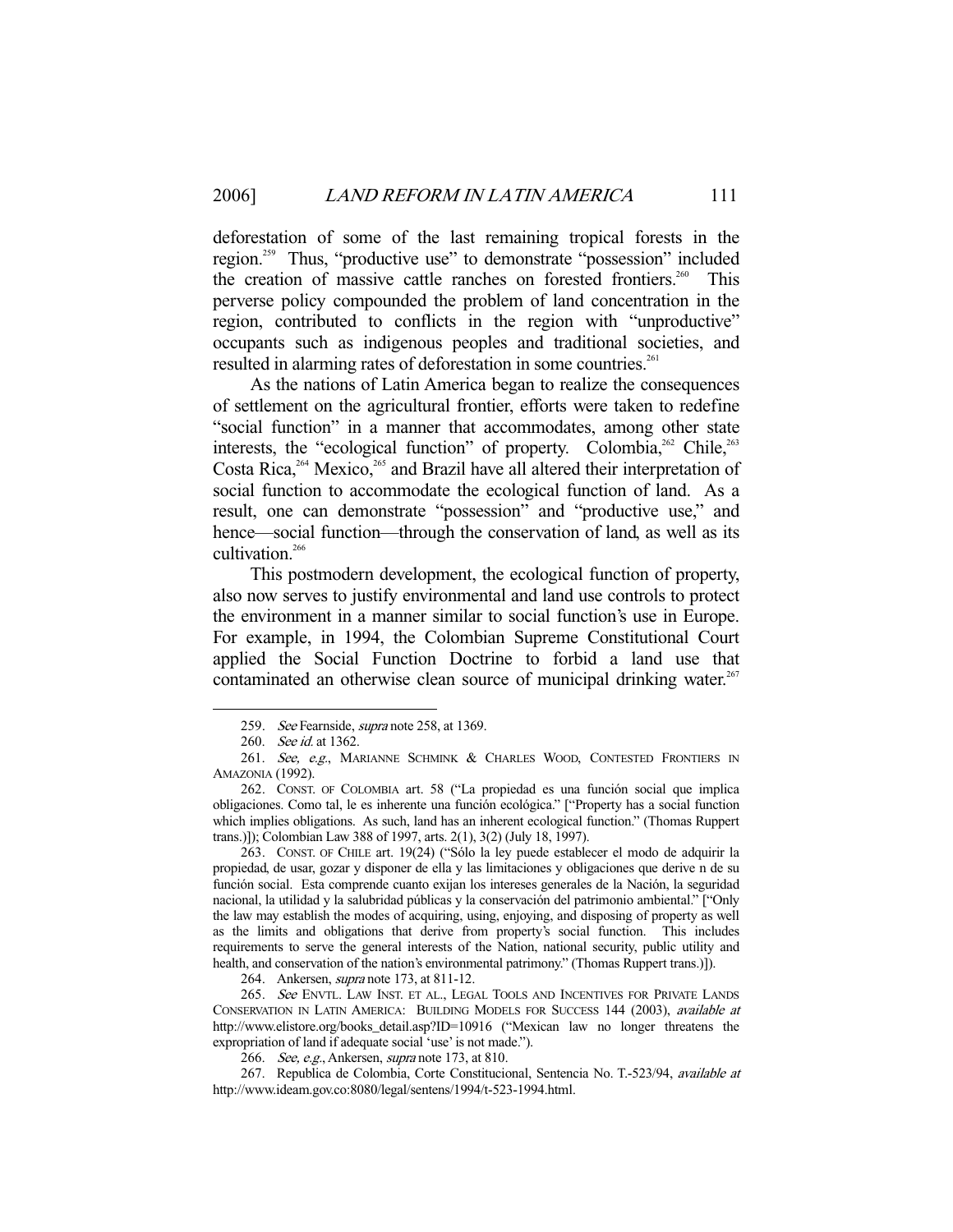deforestation of some of the last remaining tropical forests in the region.259 Thus, "productive use" to demonstrate "possession" included the creation of massive cattle ranches on forested frontiers.<sup>260</sup> This perverse policy compounded the problem of land concentration in the region, contributed to conflicts in the region with "unproductive" occupants such as indigenous peoples and traditional societies, and resulted in alarming rates of deforestation in some countries.<sup>261</sup>

 As the nations of Latin America began to realize the consequences of settlement on the agricultural frontier, efforts were taken to redefine "social function" in a manner that accommodates, among other state interests, the "ecological function" of property. Colombia,<sup>262</sup> Chile,<sup>263</sup> Costa Rica,<sup>264</sup> Mexico,<sup>265</sup> and Brazil have all altered their interpretation of social function to accommodate the ecological function of land. As a result, one can demonstrate "possession" and "productive use," and hence—social function—through the conservation of land, as well as its cultivation.<sup>266</sup>

 This postmodern development, the ecological function of property, also now serves to justify environmental and land use controls to protect the environment in a manner similar to social function's use in Europe. For example, in 1994, the Colombian Supreme Constitutional Court applied the Social Function Doctrine to forbid a land use that contaminated an otherwise clean source of municipal drinking water.<sup>267</sup>

-

264. Ankersen, *supra* note 173, at 811-12.

265. See ENVTL. LAW INST. ET AL., LEGAL TOOLS AND INCENTIVES FOR PRIVATE LANDS CONSERVATION IN LATIN AMERICA: BUILDING MODELS FOR SUCCESS 144 (2003), *available at* http://www.elistore.org/books\_detail.asp?ID=10916 ("Mexican law no longer threatens the expropriation of land if adequate social 'use' is not made.").

266. See, e.g., Ankersen, supra note 173, at 810.

 267. Republica de Colombia, Corte Constitucional, Sentencia No. T.-523/94, available at http://www.ideam.gov.co:8080/legal/sentens/1994/t-523-1994.html.

<sup>259.</sup> See Fearnside, supra note 258, at 1369.

<sup>260.</sup> See id. at 1362.

<sup>261.</sup> See, e.g., MARIANNE SCHMINK & CHARLES WOOD, CONTESTED FRONTIERS IN AMAZONIA (1992).

 <sup>262.</sup> CONST. OF COLOMBIA art. 58 ("La propiedad es una función social que implica obligaciones. Como tal, le es inherente una función ecológica." ["Property has a social function which implies obligations. As such, land has an inherent ecological function." (Thomas Ruppert trans.)]); Colombian Law 388 of 1997, arts. 2(1), 3(2) (July 18, 1997).

 <sup>263.</sup> CONST. OF CHILE art. 19(24) ("Sólo la ley puede establecer el modo de adquirir la propiedad, de usar, gozar y disponer de ella y las limitaciones y obligaciones que derive n de su función social. Esta comprende cuanto exijan los intereses generales de la Nación, la seguridad nacional, la utilidad y la salubridad públicas y la conservación del patrimonio ambiental." ["Only the law may establish the modes of acquiring, using, enjoying, and disposing of property as well as the limits and obligations that derive from property's social function. This includes requirements to serve the general interests of the Nation, national security, public utility and health, and conservation of the nation's environmental patrimony." (Thomas Ruppert trans.)]).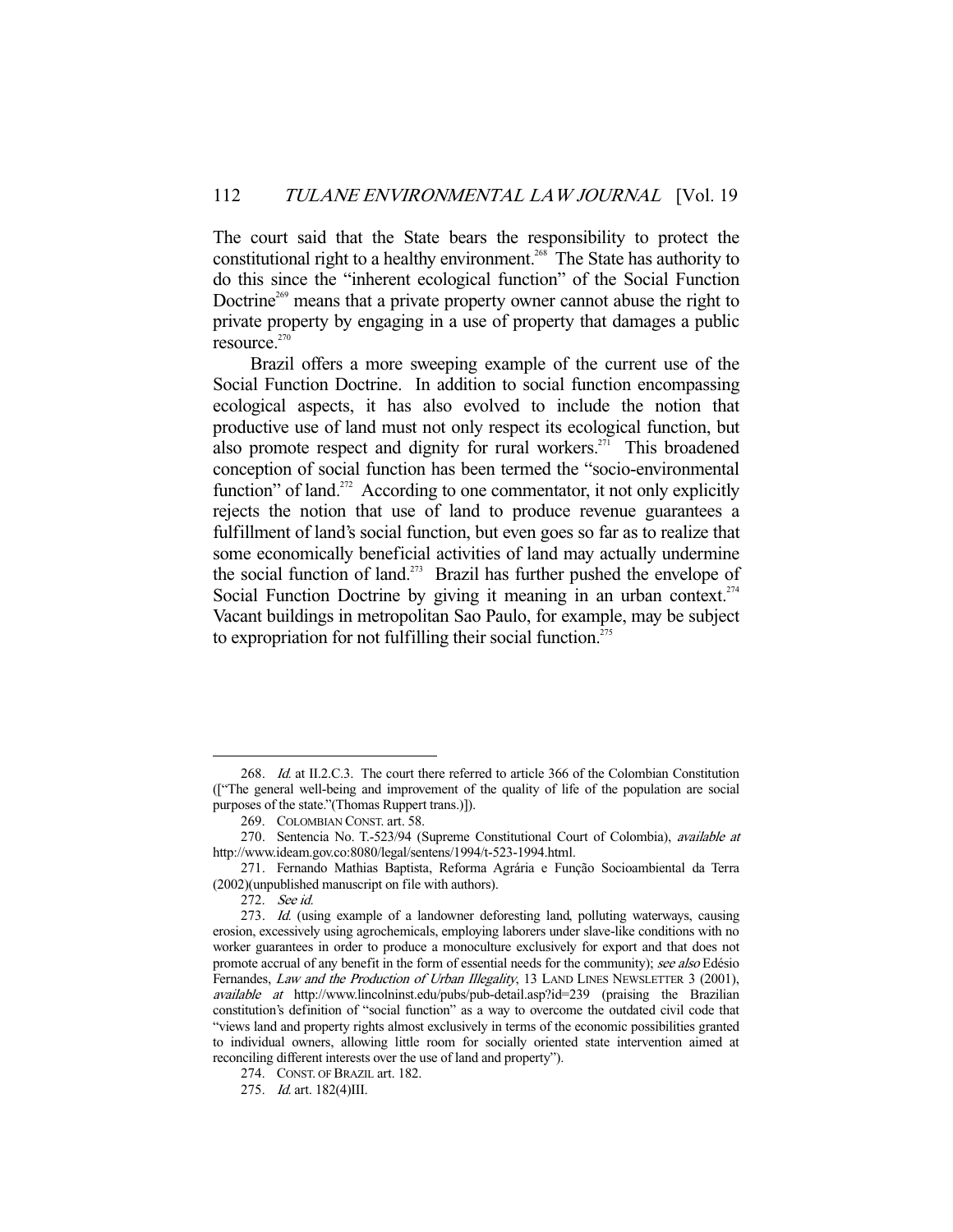The court said that the State bears the responsibility to protect the constitutional right to a healthy environment.<sup>268</sup> The State has authority to do this since the "inherent ecological function" of the Social Function Doctrine<sup>269</sup> means that a private property owner cannot abuse the right to private property by engaging in a use of property that damages a public resource.<sup>270</sup>

 Brazil offers a more sweeping example of the current use of the Social Function Doctrine. In addition to social function encompassing ecological aspects, it has also evolved to include the notion that productive use of land must not only respect its ecological function, but also promote respect and dignity for rural workers.<sup>271</sup> This broadened conception of social function has been termed the "socio-environmental function" of land.<sup>272</sup> According to one commentator, it not only explicitly rejects the notion that use of land to produce revenue guarantees a fulfillment of land's social function, but even goes so far as to realize that some economically beneficial activities of land may actually undermine the social function of land.<sup>273</sup> Brazil has further pushed the envelope of Social Function Doctrine by giving it meaning in an urban context.<sup>274</sup> Vacant buildings in metropolitan Sao Paulo, for example, may be subject to expropriation for not fulfilling their social function.<sup>275</sup>

 <sup>268.</sup> Id. at II.2.C.3. The court there referred to article 366 of the Colombian Constitution (["The general well-being and improvement of the quality of life of the population are social purposes of the state."(Thomas Ruppert trans.)]).

 <sup>269.</sup> COLOMBIAN CONST. art. 58.

 <sup>270.</sup> Sentencia No. T.-523/94 (Supreme Constitutional Court of Colombia), available at http://www.ideam.gov.co:8080/legal/sentens/1994/t-523-1994.html.

 <sup>271.</sup> Fernando Mathias Baptista, Reforma Agrária e Função Socioambiental da Terra (2002)(unpublished manuscript on file with authors).

 <sup>272.</sup> See id.

 <sup>273.</sup> Id. (using example of a landowner deforesting land, polluting waterways, causing erosion, excessively using agrochemicals, employing laborers under slave-like conditions with no worker guarantees in order to produce a monoculture exclusively for export and that does not promote accrual of any benefit in the form of essential needs for the community); see also Edésio Fernandes, Law and the Production of Urban Illegality, 13 LAND LINES NEWSLETTER 3 (2001), available at http://www.lincolninst.edu/pubs/pub-detail.asp?id=239 (praising the Brazilian constitution's definition of "social function" as a way to overcome the outdated civil code that "views land and property rights almost exclusively in terms of the economic possibilities granted to individual owners, allowing little room for socially oriented state intervention aimed at reconciling different interests over the use of land and property").

 <sup>274.</sup> CONST. OF BRAZIL art. 182.

 <sup>275.</sup> Id. art. 182(4)III.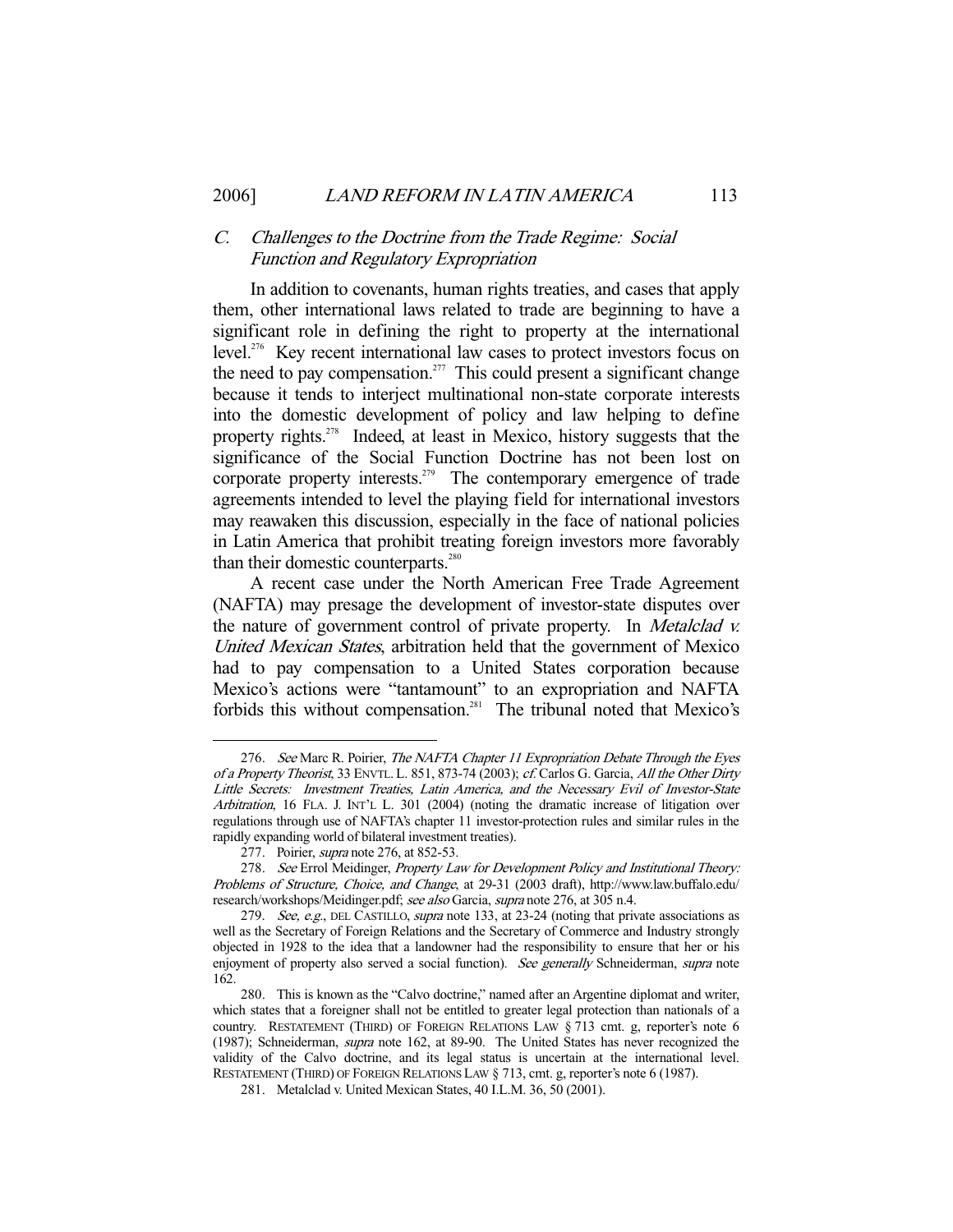#### C. Challenges to the Doctrine from the Trade Regime: Social Function and Regulatory Expropriation

 In addition to covenants, human rights treaties, and cases that apply them, other international laws related to trade are beginning to have a significant role in defining the right to property at the international level.<sup>276</sup> Key recent international law cases to protect investors focus on the need to pay compensation.<sup>277</sup> This could present a significant change because it tends to interject multinational non-state corporate interests into the domestic development of policy and law helping to define property rights.278 Indeed, at least in Mexico, history suggests that the significance of the Social Function Doctrine has not been lost on corporate property interests.<sup>279</sup> The contemporary emergence of trade agreements intended to level the playing field for international investors may reawaken this discussion, especially in the face of national policies in Latin America that prohibit treating foreign investors more favorably than their domestic counterparts.<sup>280</sup>

 A recent case under the North American Free Trade Agreement (NAFTA) may presage the development of investor-state disputes over the nature of government control of private property. In *Metalclad v.* United Mexican States, arbitration held that the government of Mexico had to pay compensation to a United States corporation because Mexico's actions were "tantamount" to an expropriation and NAFTA forbids this without compensation.<sup>281</sup> The tribunal noted that Mexico's

<sup>276.</sup> See Marc R. Poirier, The NAFTA Chapter 11 Expropriation Debate Through the Eyes of a Property Theorist, 33 ENVTL. L. 851, 873-74 (2003); cf. Carlos G. Garcia, All the Other Dirty Little Secrets: Investment Treaties, Latin America, and the Necessary Evil of Investor-State Arbitration, 16 FLA. J. INT'L L. 301 (2004) (noting the dramatic increase of litigation over regulations through use of NAFTA's chapter 11 investor-protection rules and similar rules in the rapidly expanding world of bilateral investment treaties).

<sup>277.</sup> Poirier, *supra* note 276, at 852-53.

<sup>278.</sup> See Errol Meidinger, Property Law for Development Policy and Institutional Theory: Problems of Structure, Choice, and Change, at 29-31 (2003 draft), http://www.law.buffalo.edu/ research/workshops/Meidinger.pdf; see also Garcia, supra note 276, at 305 n.4.

<sup>279.</sup> See, e.g., DEL CASTILLO, *supra* note 133, at 23-24 (noting that private associations as well as the Secretary of Foreign Relations and the Secretary of Commerce and Industry strongly objected in 1928 to the idea that a landowner had the responsibility to ensure that her or his enjoyment of property also served a social function). See generally Schneiderman, supra note 162.

 <sup>280.</sup> This is known as the "Calvo doctrine," named after an Argentine diplomat and writer, which states that a foreigner shall not be entitled to greater legal protection than nationals of a country. RESTATEMENT (THIRD) OF FOREIGN RELATIONS LAW § 713 cmt. g, reporter's note 6 (1987); Schneiderman, supra note 162, at 89-90. The United States has never recognized the validity of the Calvo doctrine, and its legal status is uncertain at the international level. RESTATEMENT (THIRD) OF FOREIGN RELATIONS LAW § 713, cmt. g, reporter's note 6 (1987).

 <sup>281.</sup> Metalclad v. United Mexican States, 40 I.L.M. 36, 50 (2001).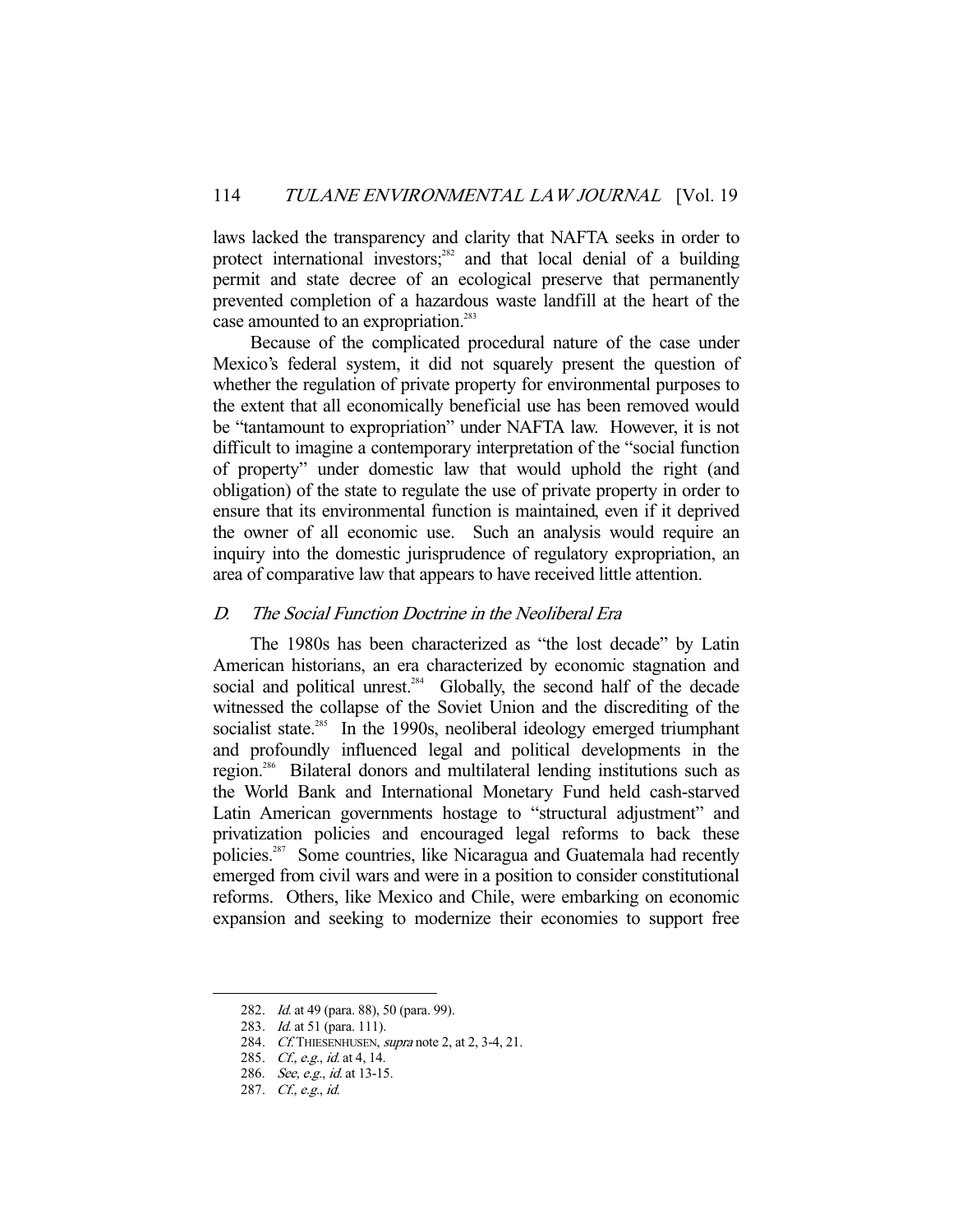laws lacked the transparency and clarity that NAFTA seeks in order to protect international investors; $282$  and that local denial of a building permit and state decree of an ecological preserve that permanently prevented completion of a hazardous waste landfill at the heart of the case amounted to an expropriation.<sup>283</sup>

 Because of the complicated procedural nature of the case under Mexico's federal system, it did not squarely present the question of whether the regulation of private property for environmental purposes to the extent that all economically beneficial use has been removed would be "tantamount to expropriation" under NAFTA law. However, it is not difficult to imagine a contemporary interpretation of the "social function of property" under domestic law that would uphold the right (and obligation) of the state to regulate the use of private property in order to ensure that its environmental function is maintained, even if it deprived the owner of all economic use. Such an analysis would require an inquiry into the domestic jurisprudence of regulatory expropriation, an area of comparative law that appears to have received little attention.

#### D. The Social Function Doctrine in the Neoliberal Era

 The 1980s has been characterized as "the lost decade" by Latin American historians, an era characterized by economic stagnation and social and political unrest.<sup>284</sup> Globally, the second half of the decade witnessed the collapse of the Soviet Union and the discrediting of the socialist state.<sup>285</sup> In the 1990s, neoliberal ideology emerged triumphant and profoundly influenced legal and political developments in the region.286 Bilateral donors and multilateral lending institutions such as the World Bank and International Monetary Fund held cash-starved Latin American governments hostage to "structural adjustment" and privatization policies and encouraged legal reforms to back these policies.287 Some countries, like Nicaragua and Guatemala had recently emerged from civil wars and were in a position to consider constitutional reforms. Others, like Mexico and Chile, were embarking on economic expansion and seeking to modernize their economies to support free

<sup>282.</sup> *Id.* at 49 (para. 88), 50 (para. 99).

<sup>283.</sup> *Id.* at 51 (para. 111).

<sup>284.</sup> Cf. THIESENHUSEN, supra note 2, at 2, 3-4, 21.

<sup>285.</sup> *Cf.*, *e.g.*, *id.* at 4, 14.

<sup>286.</sup> See, e.g., id. at 13-15.

 <sup>287.</sup> Cf., e.g., id.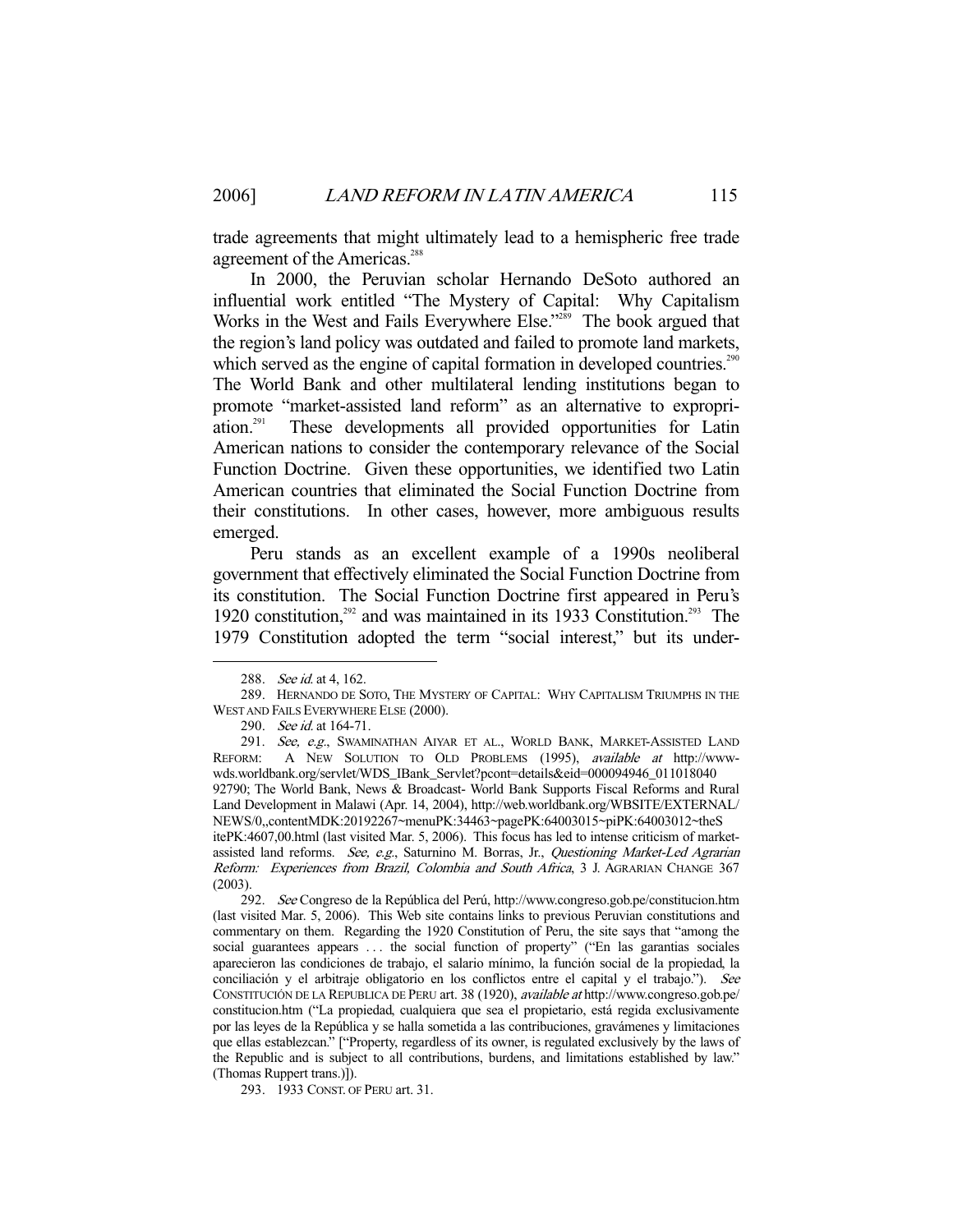trade agreements that might ultimately lead to a hemispheric free trade agreement of the Americas.<sup>288</sup>

 In 2000, the Peruvian scholar Hernando DeSoto authored an influential work entitled "The Mystery of Capital: Why Capitalism Works in the West and Fails Everywhere Else."<sup>289</sup> The book argued that the region's land policy was outdated and failed to promote land markets, which served as the engine of capital formation in developed countries.<sup>290</sup> The World Bank and other multilateral lending institutions began to promote "market-assisted land reform" as an alternative to expropriation.291 These developments all provided opportunities for Latin American nations to consider the contemporary relevance of the Social Function Doctrine. Given these opportunities, we identified two Latin American countries that eliminated the Social Function Doctrine from their constitutions. In other cases, however, more ambiguous results emerged.

 Peru stands as an excellent example of a 1990s neoliberal government that effectively eliminated the Social Function Doctrine from its constitution. The Social Function Doctrine first appeared in Peru's 1920 constitution, $292$  and was maintained in its 1933 Constitution. $293$  The 1979 Constitution adopted the term "social interest," but its under-

-

 292. See Congreso de la República del Perú, http://www.congreso.gob.pe/constitucion.htm (last visited Mar. 5, 2006). This Web site contains links to previous Peruvian constitutions and commentary on them. Regarding the 1920 Constitution of Peru, the site says that "among the social guarantees appears ... the social function of property" ("En las garantias sociales aparecieron las condiciones de trabajo, el salario mínimo, la función social de la propiedad, la conciliación y el arbitraje obligatorio en los conflictos entre el capital y el trabajo."). See CONSTITUCIÓN DE LA REPUBLICA DE PERU art. 38 (1920), available at http://www.congreso.gob.pe/ constitucion.htm ("La propiedad, cualquiera que sea el propietario, está regida exclusivamente por las leyes de la República y se halla sometida a las contribuciones, gravámenes y limitaciones que ellas establezcan." ["Property, regardless of its owner, is regulated exclusively by the laws of the Republic and is subject to all contributions, burdens, and limitations established by law." (Thomas Ruppert trans.)]).

293. 1933 CONST. OF PERU art. 31.

<sup>288.</sup> *See id.* at 4, 162.

 <sup>289.</sup> HERNANDO DE SOTO, THE MYSTERY OF CAPITAL: WHY CAPITALISM TRIUMPHS IN THE WEST AND FAILS EVERYWHERE ELSE (2000).

<sup>290.</sup> See id. at 164-71.

<sup>291.</sup> See, e.g., SWAMINATHAN AIYAR ET AL., WORLD BANK, MARKET-ASSISTED LAND REFORM: A NEW SOLUTION TO OLD PROBLEMS (1995), available at http://wwwwds.worldbank.org/servlet/WDS\_IBank\_Servlet?pcont=details&eid=000094946\_011018040 92790; The World Bank, News & Broadcast- World Bank Supports Fiscal Reforms and Rural Land Development in Malawi (Apr. 14, 2004), http://web.worldbank.org/WBSITE/EXTERNAL/ NEWS/0,,contentMDK:20192267~menuPK:34463~pagePK:64003015~piPK:64003012~theS itePK:4607,00.html (last visited Mar. 5, 2006). This focus has led to intense criticism of marketassisted land reforms. See, e.g., Saturnino M. Borras, Jr., Questioning Market-Led Agrarian Reform: Experiences from Brazil, Colombia and South Africa, 3 J. AGRARIAN CHANGE 367 (2003).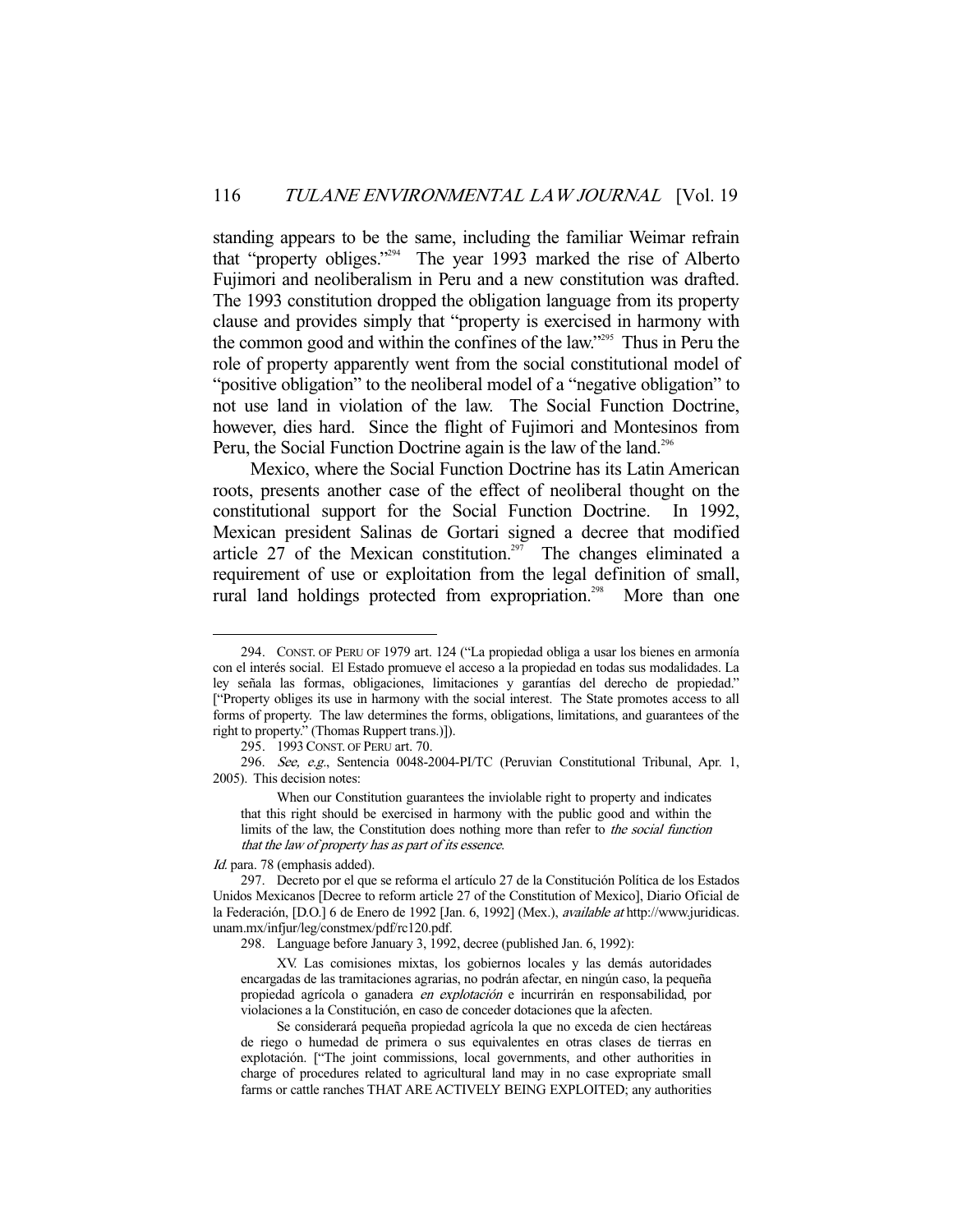standing appears to be the same, including the familiar Weimar refrain that "property obliges."294 The year 1993 marked the rise of Alberto Fujimori and neoliberalism in Peru and a new constitution was drafted. The 1993 constitution dropped the obligation language from its property clause and provides simply that "property is exercised in harmony with the common good and within the confines of the law."295 Thus in Peru the role of property apparently went from the social constitutional model of "positive obligation" to the neoliberal model of a "negative obligation" to not use land in violation of the law. The Social Function Doctrine, however, dies hard. Since the flight of Fujimori and Montesinos from Peru, the Social Function Doctrine again is the law of the land.<sup>296</sup>

 Mexico, where the Social Function Doctrine has its Latin American roots, presents another case of the effect of neoliberal thought on the constitutional support for the Social Function Doctrine. In 1992, Mexican president Salinas de Gortari signed a decree that modified article 27 of the Mexican constitution.<sup>297</sup> The changes eliminated a requirement of use or exploitation from the legal definition of small, rural land holdings protected from expropriation.<sup>298</sup> More than one

295. 1993CONST. OF PERU art. 70.

Id. para. 78 (emphasis added).

 <sup>294.</sup> CONST. OF PERU OF 1979 art. 124 ("La propiedad obliga a usar los bienes en armonía con el interés social. El Estado promueve el acceso a la propiedad en todas sus modalidades. La ley señala las formas, obligaciones, limitaciones y garantías del derecho de propiedad." ["Property obliges its use in harmony with the social interest. The State promotes access to all forms of property. The law determines the forms, obligations, limitations, and guarantees of the right to property." (Thomas Ruppert trans.)]).

 <sup>296.</sup> See, e.g., Sentencia 0048-2004-PI/TC (Peruvian Constitutional Tribunal, Apr. 1, 2005). This decision notes:

When our Constitution guarantees the inviolable right to property and indicates that this right should be exercised in harmony with the public good and within the limits of the law, the Constitution does nothing more than refer to the social function that the law of property has as part of its essence.

 <sup>297.</sup> Decreto por el que se reforma el artículo 27 de la Constitución Política de los Estados Unidos Mexicanos [Decree to reform article 27 of the Constitution of Mexico], Diario Oficial de la Federación, [D.O.] 6 de Enero de 1992 [Jan. 6, 1992] (Mex.), *available at* http://www.juridicas. unam.mx/infjur/leg/constmex/pdf/rc120.pdf.

 <sup>298.</sup> Language before January 3, 1992, decree (published Jan. 6, 1992):

XV. Las comisiones mixtas, los gobiernos locales y las demás autoridades encargadas de las tramitaciones agrarias, no podrán afectar, en ningún caso, la pequeña propiedad agrícola o ganadera en explotación e incurrirán en responsabilidad, por violaciones a la Constitución, en caso de conceder dotaciones que la afecten.

Se considerará pequeña propiedad agrícola la que no exceda de cien hectáreas de riego o humedad de primera o sus equivalentes en otras clases de tierras en explotación. ["The joint commissions, local governments, and other authorities in charge of procedures related to agricultural land may in no case expropriate small farms or cattle ranches THAT ARE ACTIVELY BEING EXPLOITED; any authorities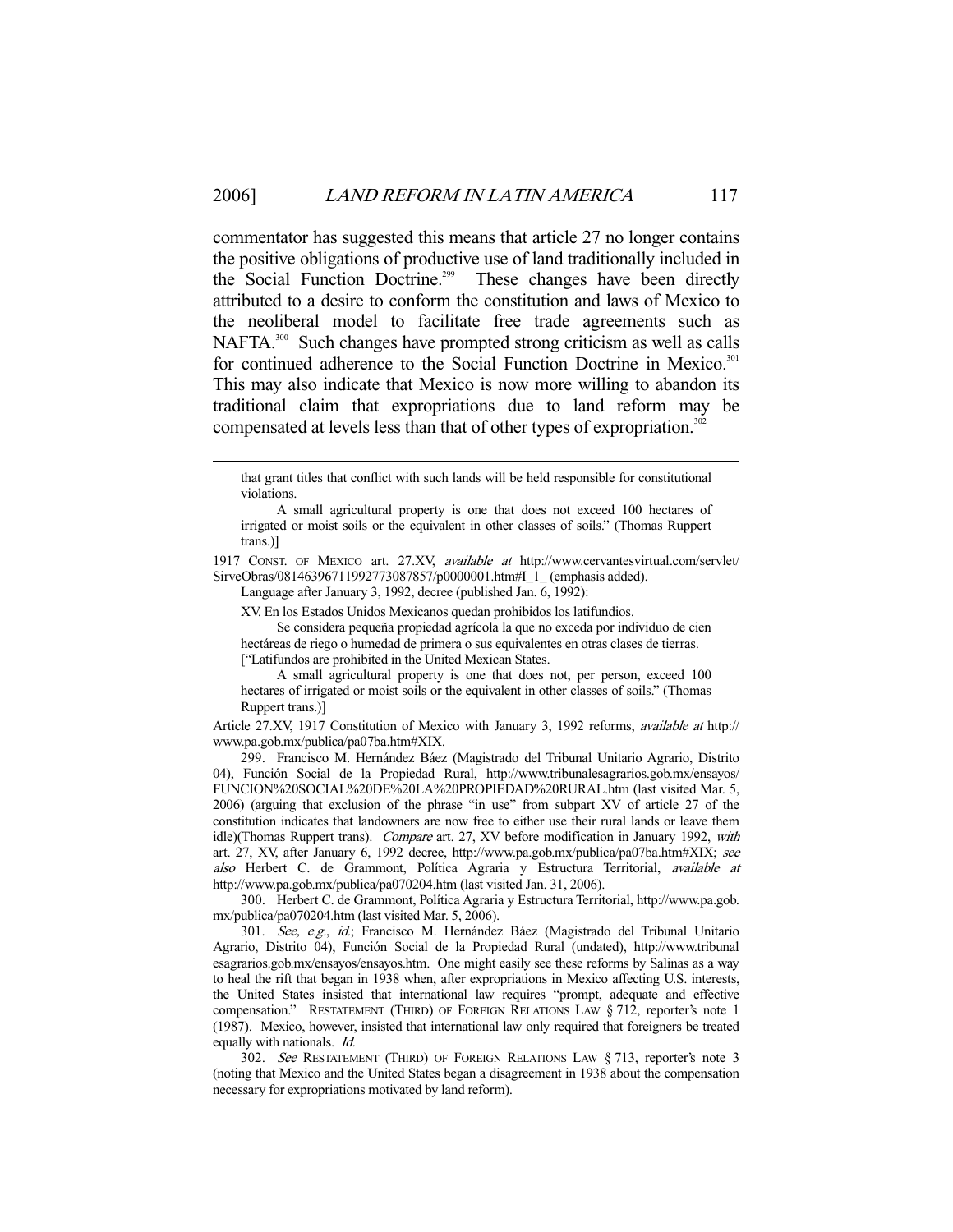commentator has suggested this means that article 27 no longer contains the positive obligations of productive use of land traditionally included in the Social Function Doctrine.<sup>299</sup> These changes have been directly attributed to a desire to conform the constitution and laws of Mexico to the neoliberal model to facilitate free trade agreements such as NAFTA.<sup>300</sup> Such changes have prompted strong criticism as well as calls for continued adherence to the Social Function Doctrine in Mexico.<sup>301</sup> This may also indicate that Mexico is now more willing to abandon its traditional claim that expropriations due to land reform may be compensated at levels less than that of other types of expropriation.<sup>302</sup>

 that grant titles that conflict with such lands will be held responsible for constitutional violations.

 A small agricultural property is one that does not exceed 100 hectares of irrigated or moist soils or the equivalent in other classes of soils." (Thomas Ruppert trans.)]

1917 CONST. OF MEXICO art. 27.XV, available at http://www.cervantesvirtual.com/servlet/ SirveObras/08146396711992773087857/p0000001.htm#I\_1\_ (emphasis added).

Language after January 3, 1992, decree (published Jan. 6, 1992):

XV. En los Estados Unidos Mexicanos quedan prohibidos los latifundios.

 Se considera pequeña propiedad agrícola la que no exceda por individuo de cien hectáreas de riego o humedad de primera o sus equivalentes en otras clases de tierras. ["Latifundos are prohibited in the United Mexican States.

 A small agricultural property is one that does not, per person, exceed 100 hectares of irrigated or moist soils or the equivalent in other classes of soils." (Thomas Ruppert trans.)]

Article 27.XV, 1917 Constitution of Mexico with January 3, 1992 reforms, *available at* http:// www.pa.gob.mx/publica/pa07ba.htm#XIX.

 299. Francisco M. Hernández Báez (Magistrado del Tribunal Unitario Agrario, Distrito 04), Función Social de la Propiedad Rural, http://www.tribunalesagrarios.gob.mx/ensayos/ FUNCION%20SOCIAL%20DE%20LA%20PROPIEDAD%20RURAL.htm (last visited Mar. 5, 2006) (arguing that exclusion of the phrase "in use" from subpart XV of article 27 of the constitution indicates that landowners are now free to either use their rural lands or leave them idle)(Thomas Ruppert trans). Compare art. 27, XV before modification in January 1992, with art. 27, XV, after January 6, 1992 decree, http://www.pa.gob.mx/publica/pa07ba.htm#XIX; see also Herbert C. de Grammont, Política Agraria y Estructura Territorial, available at http://www.pa.gob.mx/publica/pa070204.htm (last visited Jan. 31, 2006).

 300. Herbert C. de Grammont, Política Agraria y Estructura Territorial, http://www.pa.gob. mx/publica/pa070204.htm (last visited Mar. 5, 2006).

 301. See, e.g., id.; Francisco M. Hernández Báez (Magistrado del Tribunal Unitario Agrario, Distrito 04), Función Social de la Propiedad Rural (undated), http://www.tribunal esagrarios.gob.mx/ensayos/ensayos.htm. One might easily see these reforms by Salinas as a way to heal the rift that began in 1938 when, after expropriations in Mexico affecting U.S. interests, the United States insisted that international law requires "prompt, adequate and effective compensation." RESTATEMENT (THIRD) OF FOREIGN RELATIONS LAW § 712, reporter's note 1 (1987). Mexico, however, insisted that international law only required that foreigners be treated equally with nationals. Id.

302. See RESTATEMENT (THIRD) OF FOREIGN RELATIONS LAW § 713, reporter's note 3 (noting that Mexico and the United States began a disagreement in 1938 about the compensation necessary for expropriations motivated by land reform).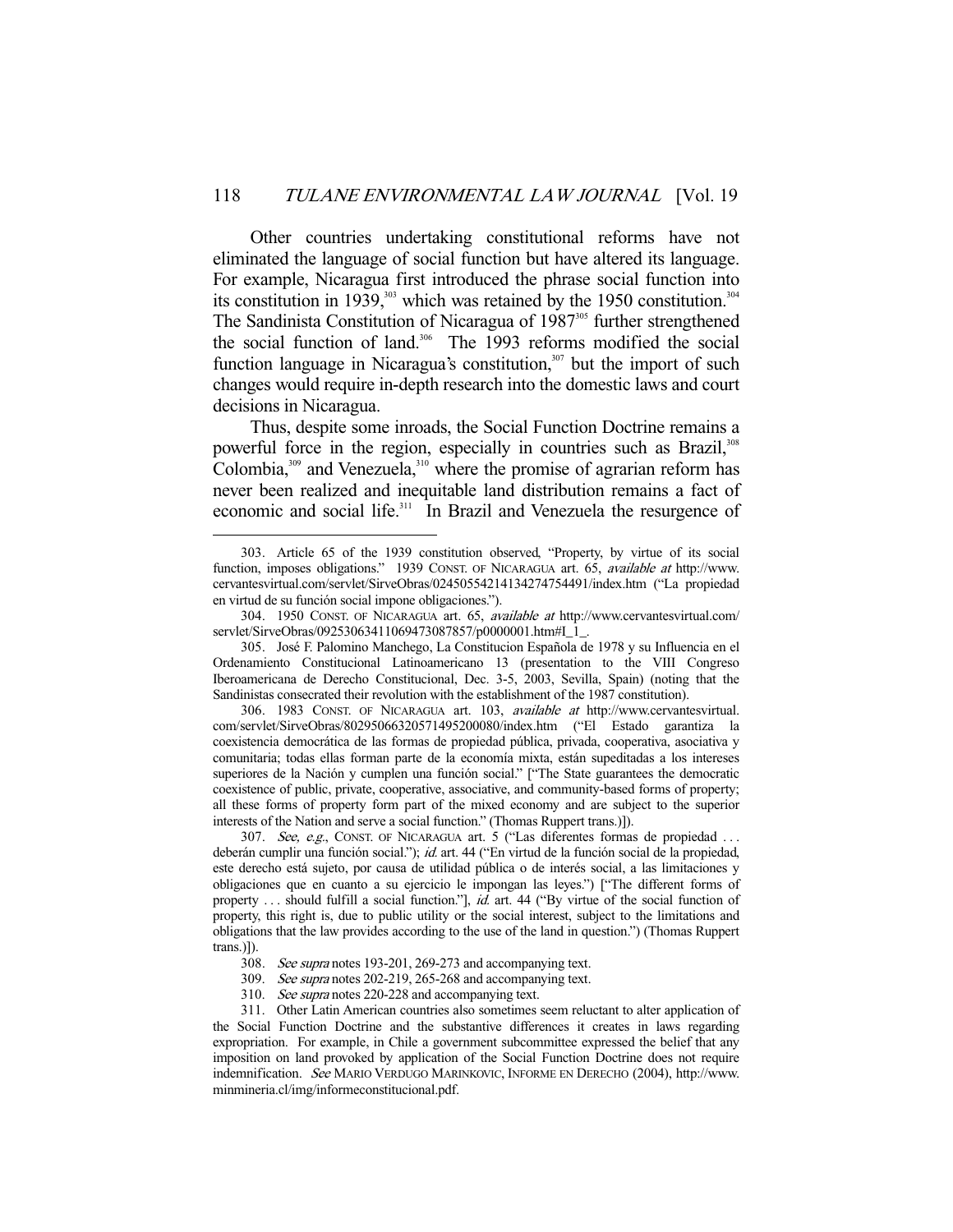Other countries undertaking constitutional reforms have not eliminated the language of social function but have altered its language. For example, Nicaragua first introduced the phrase social function into its constitution in 1939, $303$  which was retained by the 1950 constitution.<sup>304</sup> The Sandinista Constitution of Nicaragua of 1987<sup>305</sup> further strengthened the social function of land.<sup>306</sup> The 1993 reforms modified the social function language in Nicaragua's constitution, $307$  but the import of such changes would require in-depth research into the domestic laws and court decisions in Nicaragua.

 Thus, despite some inroads, the Social Function Doctrine remains a powerful force in the region, especially in countries such as Brazil,<sup>308</sup> Colombia,309 and Venezuela,310 where the promise of agrarian reform has never been realized and inequitable land distribution remains a fact of economic and social life.<sup>311</sup> In Brazil and Venezuela the resurgence of

 <sup>303.</sup> Article 65 of the 1939 constitution observed, "Property, by virtue of its social function, imposes obligations." 1939 CONST. OF NICARAGUA art. 65, available at http://www. cervantesvirtual.com/servlet/SirveObras/02450554214134274754491/index.htm ("La propiedad en virtud de su función social impone obligaciones.").

<sup>304. 1950</sup> CONST. OF NICARAGUA art. 65, available at http://www.cervantesvirtual.com/ servlet/SirveObras/09253063411069473087857/p0000001.htm#I\_1\_.

 <sup>305.</sup> José F. Palomino Manchego, La Constitucion Española de 1978 y su Influencia en el Ordenamiento Constitucional Latinoamericano 13 (presentation to the VIII Congreso Iberoamericana de Derecho Constitucional, Dec. 3-5, 2003, Sevilla, Spain) (noting that the Sandinistas consecrated their revolution with the establishment of the 1987 constitution).

 <sup>306. 1983</sup> CONST. OF NICARAGUA art. 103, available at http://www.cervantesvirtual. com/servlet/SirveObras/80295066320571495200080/index.htm ("El Estado garantiza la coexistencia democrática de las formas de propiedad pública, privada, cooperativa, asociativa y comunitaria; todas ellas forman parte de la economía mixta, están supeditadas a los intereses superiores de la Nación y cumplen una función social." ["The State guarantees the democratic coexistence of public, private, cooperative, associative, and community-based forms of property; all these forms of property form part of the mixed economy and are subject to the superior interests of the Nation and serve a social function." (Thomas Ruppert trans.)]).

<sup>307.</sup> See, e.g., CONST. OF NICARAGUA art. 5 ("Las diferentes formas de propiedad ... deberán cumplir una función social."); id. art. 44 ("En virtud de la función social de la propiedad, este derecho está sujeto, por causa de utilidad pública o de interés social, a las limitaciones y obligaciones que en cuanto a su ejercicio le impongan las leyes.") ["The different forms of property ... should fulfill a social function."], id. art. 44 ("By virtue of the social function of property, this right is, due to public utility or the social interest, subject to the limitations and obligations that the law provides according to the use of the land in question.") (Thomas Ruppert trans.)]).

 <sup>308.</sup> See supra notes 193-201, 269-273 and accompanying text.

 <sup>309.</sup> See supra notes 202-219, 265-268 and accompanying text.

 <sup>310.</sup> See supra notes 220-228 and accompanying text.

 <sup>311.</sup> Other Latin American countries also sometimes seem reluctant to alter application of the Social Function Doctrine and the substantive differences it creates in laws regarding expropriation. For example, in Chile a government subcommittee expressed the belief that any imposition on land provoked by application of the Social Function Doctrine does not require indemnification. See MARIO VERDUGO MARINKOVIC, INFORME EN DERECHO (2004), http://www. minmineria.cl/img/informeconstitucional.pdf.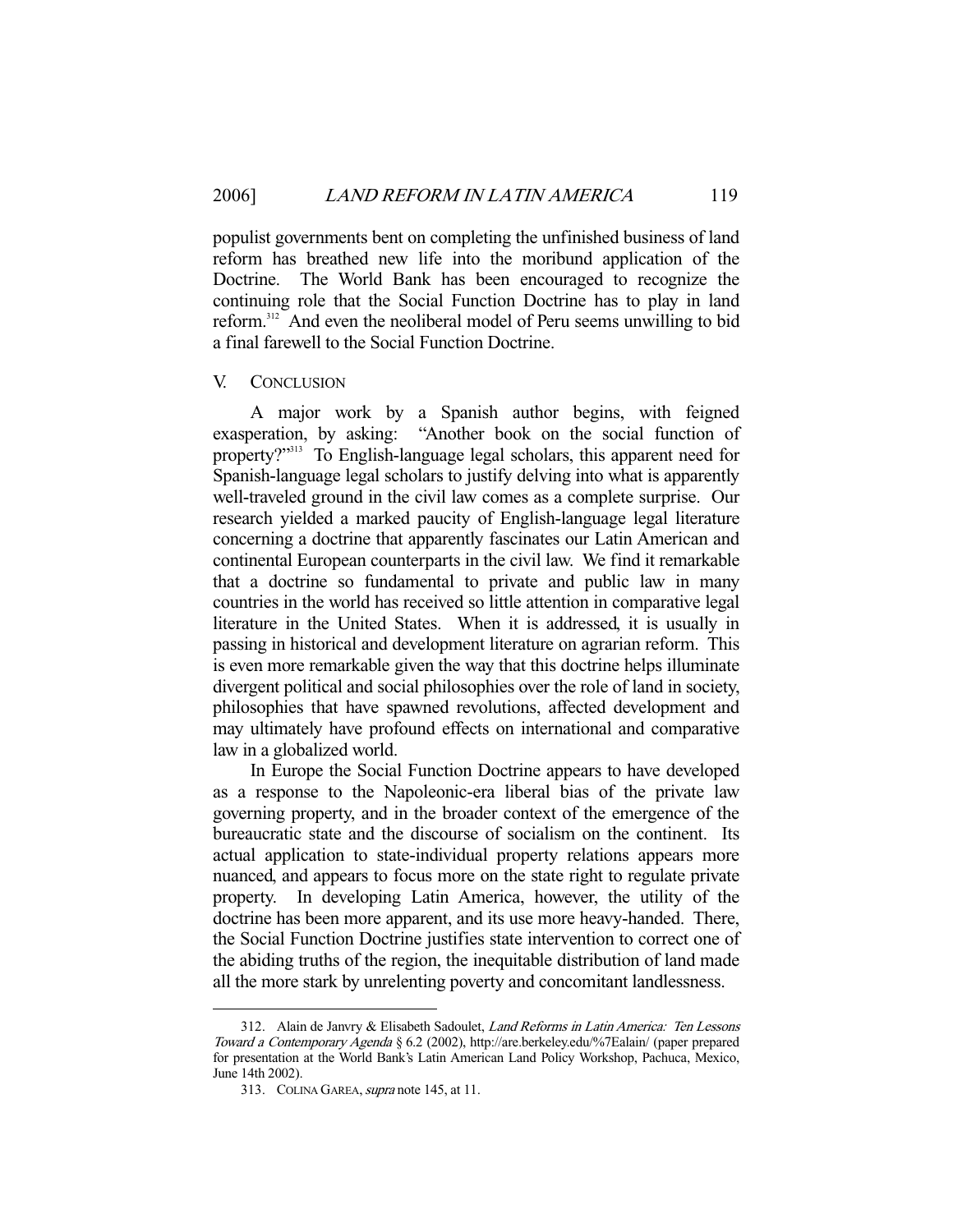populist governments bent on completing the unfinished business of land reform has breathed new life into the moribund application of the Doctrine. The World Bank has been encouraged to recognize the continuing role that the Social Function Doctrine has to play in land reform.312 And even the neoliberal model of Peru seems unwilling to bid a final farewell to the Social Function Doctrine.

#### V. CONCLUSION

 A major work by a Spanish author begins, with feigned exasperation, by asking: "Another book on the social function of property?"<sup>313</sup> To English-language legal scholars, this apparent need for Spanish-language legal scholars to justify delving into what is apparently well-traveled ground in the civil law comes as a complete surprise. Our research yielded a marked paucity of English-language legal literature concerning a doctrine that apparently fascinates our Latin American and continental European counterparts in the civil law. We find it remarkable that a doctrine so fundamental to private and public law in many countries in the world has received so little attention in comparative legal literature in the United States. When it is addressed, it is usually in passing in historical and development literature on agrarian reform. This is even more remarkable given the way that this doctrine helps illuminate divergent political and social philosophies over the role of land in society, philosophies that have spawned revolutions, affected development and may ultimately have profound effects on international and comparative law in a globalized world.

 In Europe the Social Function Doctrine appears to have developed as a response to the Napoleonic-era liberal bias of the private law governing property, and in the broader context of the emergence of the bureaucratic state and the discourse of socialism on the continent. Its actual application to state-individual property relations appears more nuanced, and appears to focus more on the state right to regulate private property. In developing Latin America, however, the utility of the doctrine has been more apparent, and its use more heavy-handed. There, the Social Function Doctrine justifies state intervention to correct one of the abiding truths of the region, the inequitable distribution of land made all the more stark by unrelenting poverty and concomitant landlessness.

 <sup>312.</sup> Alain de Janvry & Elisabeth Sadoulet, Land Reforms in Latin America: Ten Lessons Toward a Contemporary Agenda § 6.2 (2002), http://are.berkeley.edu/%7Ealain/ (paper prepared for presentation at the World Bank's Latin American Land Policy Workshop, Pachuca, Mexico, June 14th 2002).

<sup>313.</sup> COLINA GAREA, *supra* note 145, at 11.